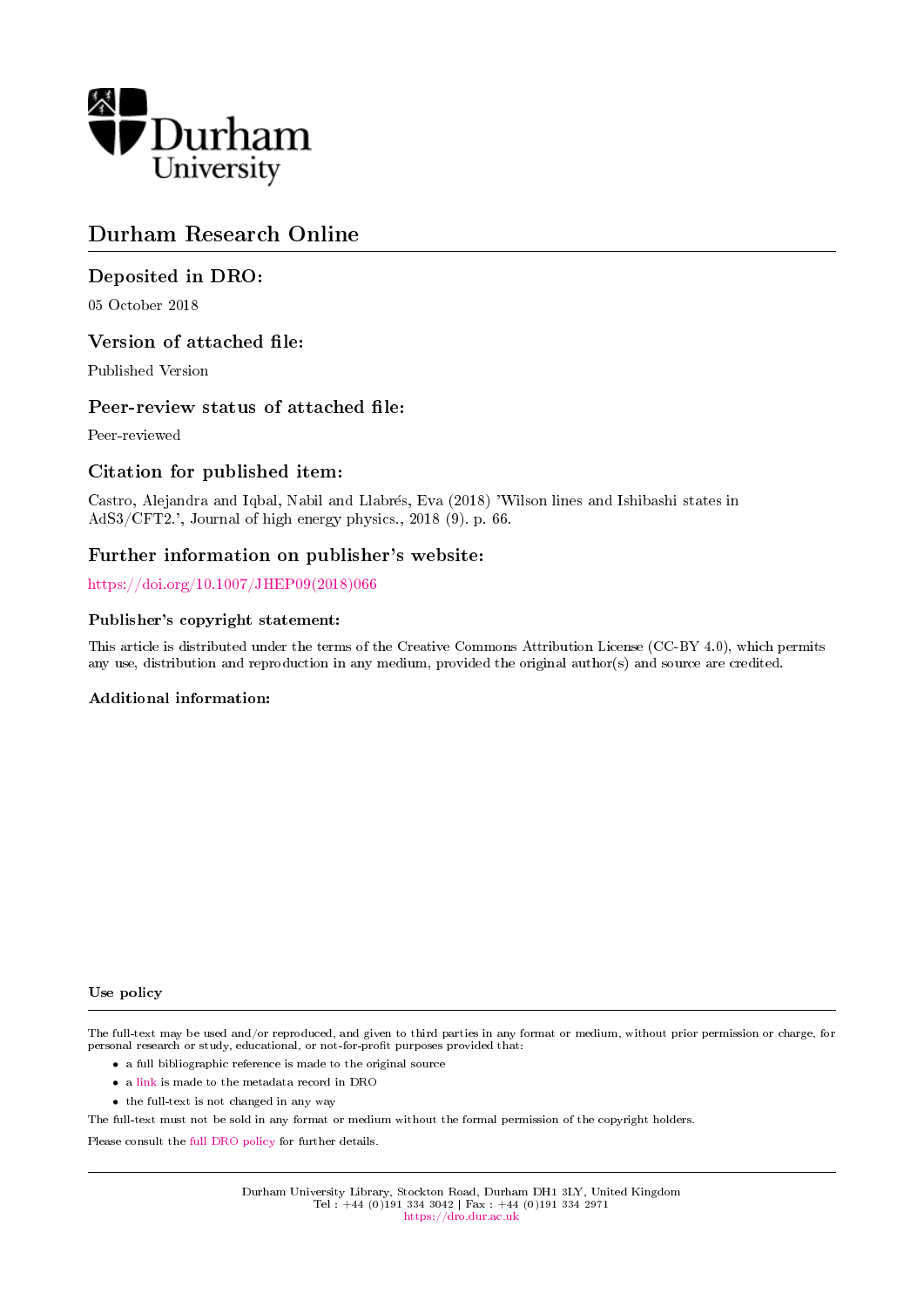

# Durham Research Online

# Deposited in DRO:

05 October 2018

# Version of attached file:

Published Version

# Peer-review status of attached file:

Peer-reviewed

# Citation for published item:

Castro, Alejandra and Iqbal, Nabil and Llabres, Eva (2018) 'Wilson lines and Ishibashi states in AdS3/CFT2.', Journal of high energy physics., 2018 (9). p. 66.

# Further information on publisher's website:

[https://doi.org/10.1007/JHEP09\(2018\)066](https://doi.org/10.1007/JHEP09(2018)066)

# Publisher's copyright statement:

This article is distributed under the terms of the Creative Commons Attribution License (CC-BY 4.0), which permits any use, distribution and reproduction in any medium, provided the original author(s) and source are credited.

# Additional information:

#### Use policy

The full-text may be used and/or reproduced, and given to third parties in any format or medium, without prior permission or charge, for personal research or study, educational, or not-for-profit purposes provided that:

- a full bibliographic reference is made to the original source
- a [link](http://dro.dur.ac.uk/26415/) is made to the metadata record in DRO
- the full-text is not changed in any way

The full-text must not be sold in any format or medium without the formal permission of the copyright holders.

Please consult the [full DRO policy](https://dro.dur.ac.uk/policies/usepolicy.pdf) for further details.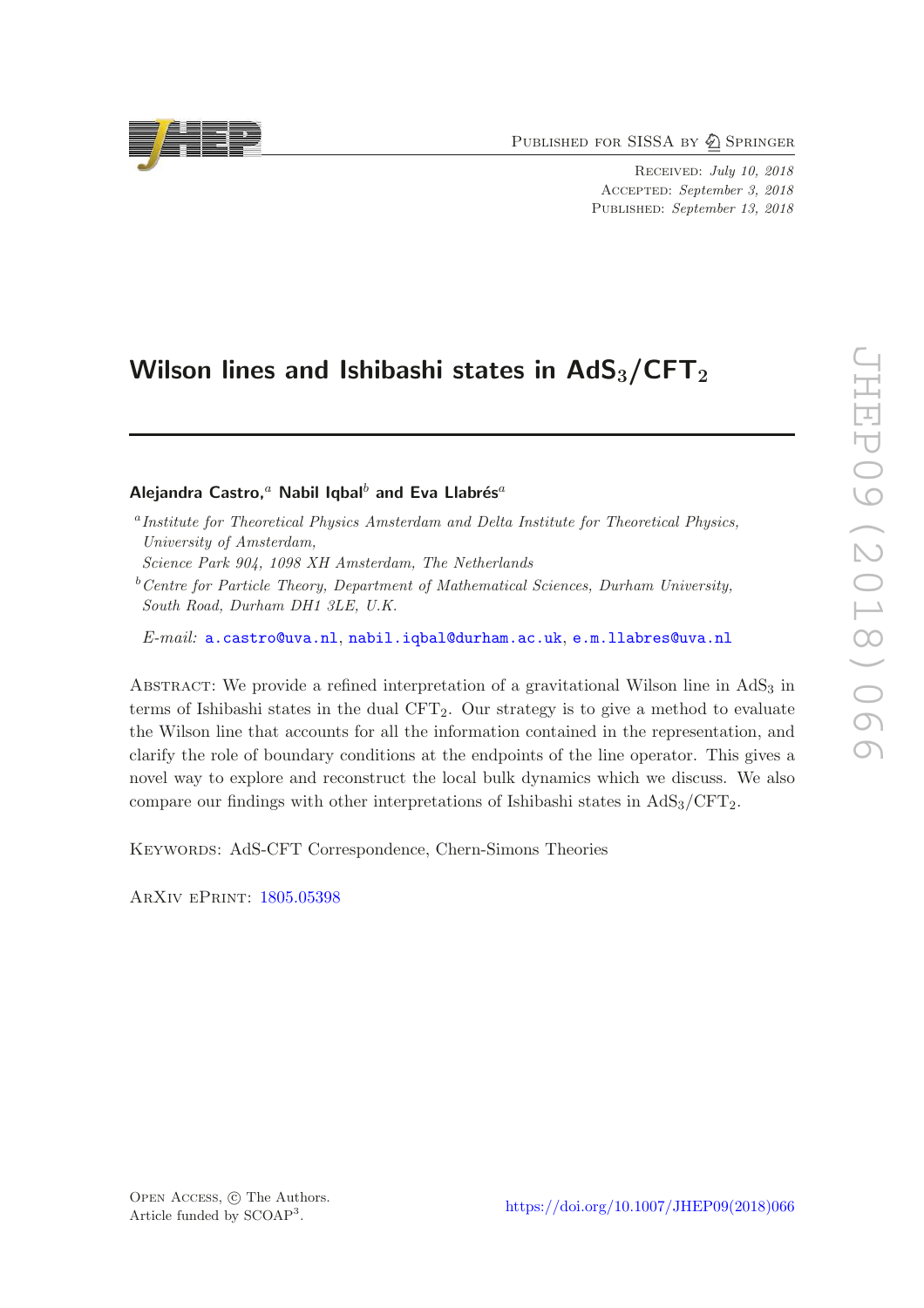PUBLISHED FOR SISSA BY 2 SPRINGER

Received: July 10, 2018 ACCEPTED: September 3, 2018 PUBLISHED: September 13, 2018

# Wilson lines and Ishibashi states in  $AdS_3/CFT_2$

# Alejandra Castro,<sup>a</sup> Nabil Iqbal<sup>b</sup> and Eva Llabrés<sup>a</sup>

<sup>a</sup> Institute for Theoretical Physics Amsterdam and Delta Institute for Theoretical Physics, University of Amsterdam,

Science Park 904, 1098 XH Amsterdam, The Netherlands

 $b$ <sup>b</sup>Centre for Particle Theory, Department of Mathematical Sciences, Durham University, South Road, Durham DH1 3LE, U.K.

E-mail: [a.castro@uva.nl](mailto:a.castro@uva.nl), [nabil.iqbal@durham.ac.uk](mailto:nabil.iqbal@durham.ac.uk), [e.m.llabres@uva.nl](mailto:e.m.llabres@uva.nl)

ABSTRACT: We provide a refined interpretation of a gravitational Wilson line in  $AdS<sub>3</sub>$  in terms of Ishibashi states in the dual  $CFT<sub>2</sub>$ . Our strategy is to give a method to evaluate the Wilson line that accounts for all the information contained in the representation, and clarify the role of boundary conditions at the endpoints of the line operator. This gives a novel way to explore and reconstruct the local bulk dynamics which we discuss. We also compare our findings with other interpretations of Ishibashi states in  $AdS_3/CFT_2$ .

KEYWORDS: AdS-CFT Correspondence, Chern-Simons Theories

ArXiv ePrint: [1805.05398](https://arxiv.org/abs/1805.05398)



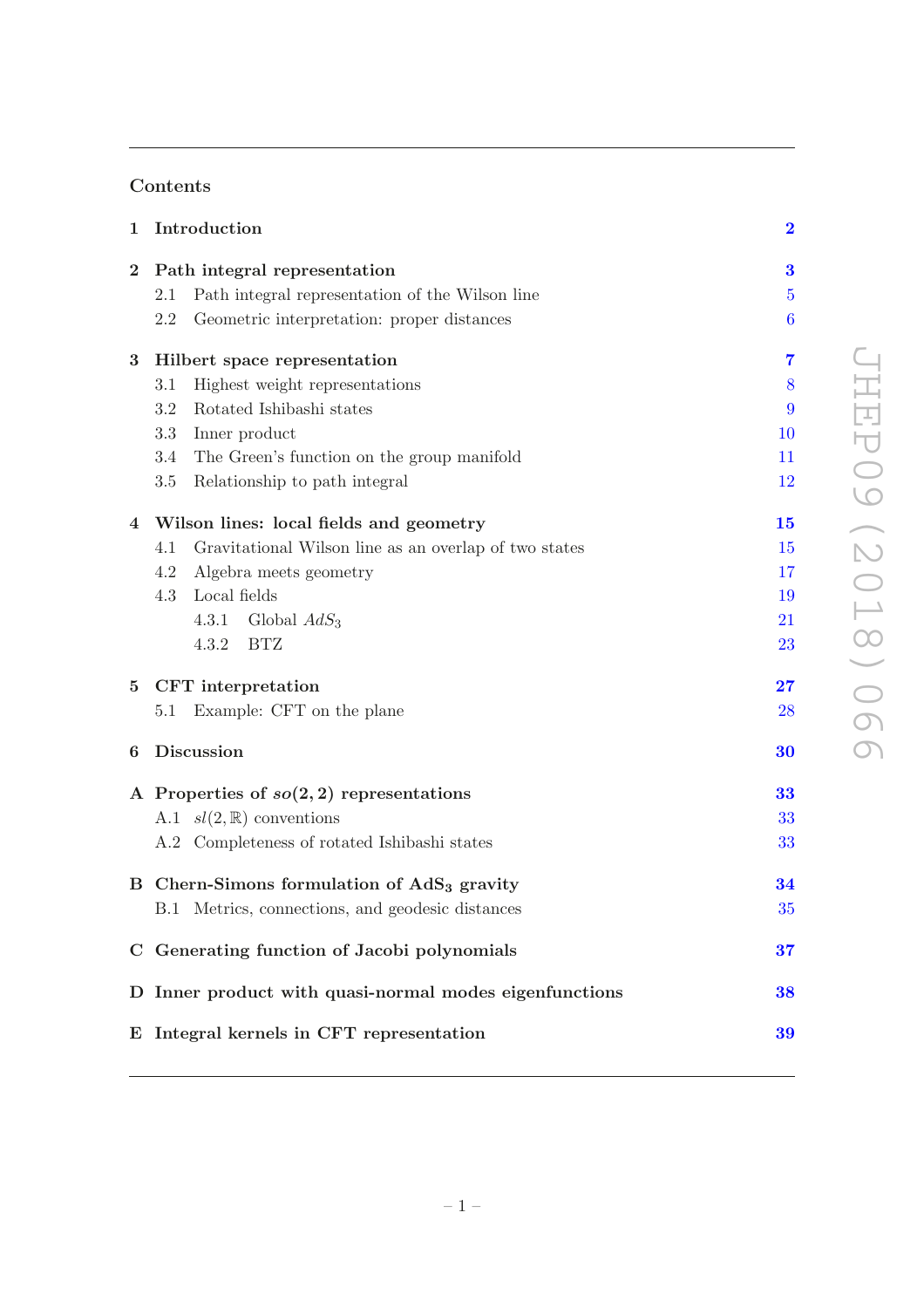# Contents

| $\mathbf 1$     | Introduction                                                 | $\overline{\mathbf{2}}$  |
|-----------------|--------------------------------------------------------------|--------------------------|
| $\bf{2}$        | Path integral representation                                 | 3                        |
|                 | Path integral representation of the Wilson line<br>2.1       | $\overline{5}$           |
|                 | 2.2<br>Geometric interpretation: proper distances            | 6                        |
| 3               | Hilbert space representation                                 | $\overline{7}$           |
|                 | Highest weight representations<br>3.1                        | 8                        |
|                 | Rotated Ishibashi states<br>3.2                              | 9                        |
|                 | 3.3<br>Inner product                                         | 10                       |
|                 | 3.4<br>The Green's function on the group manifold            | 11                       |
|                 | 3.5<br>Relationship to path integral                         | 12                       |
|                 | 4 Wilson lines: local fields and geometry                    | 15                       |
|                 | 4.1<br>Gravitational Wilson line as an overlap of two states | 15                       |
|                 | 4.2<br>Algebra meets geometry                                | 17                       |
|                 | Local fields<br>4.3                                          | 19                       |
|                 | Global $AdS_3$<br>4.3.1                                      | 21                       |
|                 | 4.3.2<br>BTZ                                                 | 23                       |
| $5\phantom{.0}$ | CFT interpretation                                           | $\overline{\mathbf{27}}$ |
|                 | Example: CFT on the plane<br>5.1                             | 28                       |
| 6               | Discussion                                                   | 30                       |
|                 | A Properties of $so(2,2)$ representations                    | 33                       |
|                 | A.1 $sl(2,\mathbb{R})$ conventions                           | 33                       |
|                 | A.2 Completeness of rotated Ishibashi states                 | 33                       |
|                 | B Chern-Simons formulation of AdS <sub>3</sub> gravity       | 34                       |
|                 | B.1 Metrics, connections, and geodesic distances             | 35                       |
|                 | C Generating function of Jacobi polynomials                  | 37                       |
|                 | D Inner product with quasi-normal modes eigenfunctions       | 38                       |
|                 | E Integral kernels in CFT representation                     | 39                       |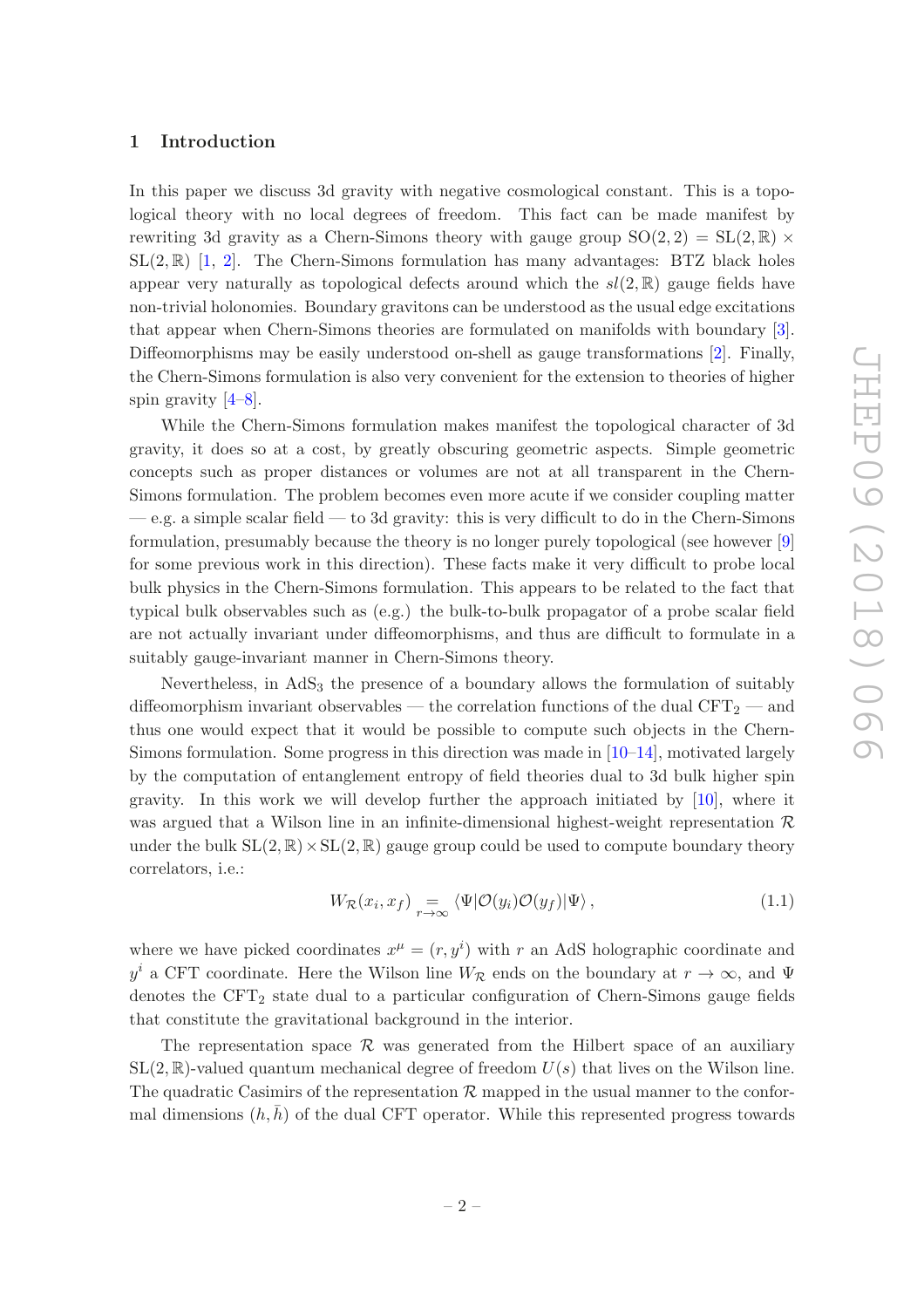## <span id="page-3-0"></span>1 Introduction

In this paper we discuss 3d gravity with negative cosmological constant. This is a topological theory with no local degrees of freedom. This fact can be made manifest by rewriting 3d gravity as a Chern-Simons theory with gauge group  $SO(2, 2) = SL(2, \mathbb{R}) \times$  $SL(2,\mathbb{R})$  $SL(2,\mathbb{R})$  $SL(2,\mathbb{R})$  [\[1](#page-42-0), 2]. The Chern-Simons formulation has many advantages: BTZ black holes appear very naturally as topological defects around which the  $sl(2,\mathbb{R})$  gauge fields have non-trivial holonomies. Boundary gravitons can be understood as the usual edge excitations that appear when Chern-Simons theories are formulated on manifolds with boundary [\[3\]](#page-42-2). Diffeomorphisms may be easily understood on-shell as gauge transformations [\[2](#page-42-1)]. Finally, the Chern-Simons formulation is also very convenient for the extension to theories of higher spin gravity  $[4-8]$ .

While the Chern-Simons formulation makes manifest the topological character of 3d gravity, it does so at a cost, by greatly obscuring geometric aspects. Simple geometric concepts such as proper distances or volumes are not at all transparent in the Chern-Simons formulation. The problem becomes even more acute if we consider coupling matter  $-e.g.$  a simple scalar field  $-$  to 3d gravity: this is very difficult to do in the Chern-Simons formulation, presumably because the theory is no longer purely topological (see however [\[9\]](#page-42-5) for some previous work in this direction). These facts make it very difficult to probe local bulk physics in the Chern-Simons formulation. This appears to be related to the fact that typical bulk observables such as (e.g.) the bulk-to-bulk propagator of a probe scalar field are not actually invariant under diffeomorphisms, and thus are difficult to formulate in a suitably gauge-invariant manner in Chern-Simons theory.

Nevertheless, in  $AdS<sub>3</sub>$  the presence of a boundary allows the formulation of suitably diffeomorphism invariant observables — the correlation functions of the dual  $CFT_2$  — and thus one would expect that it would be possible to compute such objects in the Chern-Simons formulation. Some progress in this direction was made in  $[10-14]$ , motivated largely by the computation of entanglement entropy of field theories dual to 3d bulk higher spin gravity. In this work we will develop further the approach initiated by [\[10\]](#page-42-6), where it was argued that a Wilson line in an infinite-dimensional highest-weight representation  $\mathcal R$ under the bulk  $SL(2,\mathbb{R})\times SL(2,\mathbb{R})$  gauge group could be used to compute boundary theory correlators, i.e.:

<span id="page-3-1"></span>
$$
W_{\mathcal{R}}(x_i, x_f) = \bigvee_{r \to \infty} \langle \Psi | \mathcal{O}(y_i) \mathcal{O}(y_f) | \Psi \rangle, \tag{1.1}
$$

where we have picked coordinates  $x^{\mu} = (r, y^{i})$  with r an AdS holographic coordinate and  $y^i$  a CFT coordinate. Here the Wilson line  $W_{\mathcal{R}}$  ends on the boundary at  $r \to \infty$ , and  $\Psi$ denotes the  $CFT_2$  state dual to a particular configuration of Chern-Simons gauge fields that constitute the gravitational background in the interior.

The representation space  $\mathcal R$  was generated from the Hilbert space of an auxiliary  $SL(2,\mathbb{R})$ -valued quantum mechanical degree of freedom  $U(s)$  that lives on the Wilson line. The quadratic Casimirs of the representation  $\mathcal R$  mapped in the usual manner to the conformal dimensions  $(h, \bar{h})$  of the dual CFT operator. While this represented progress towards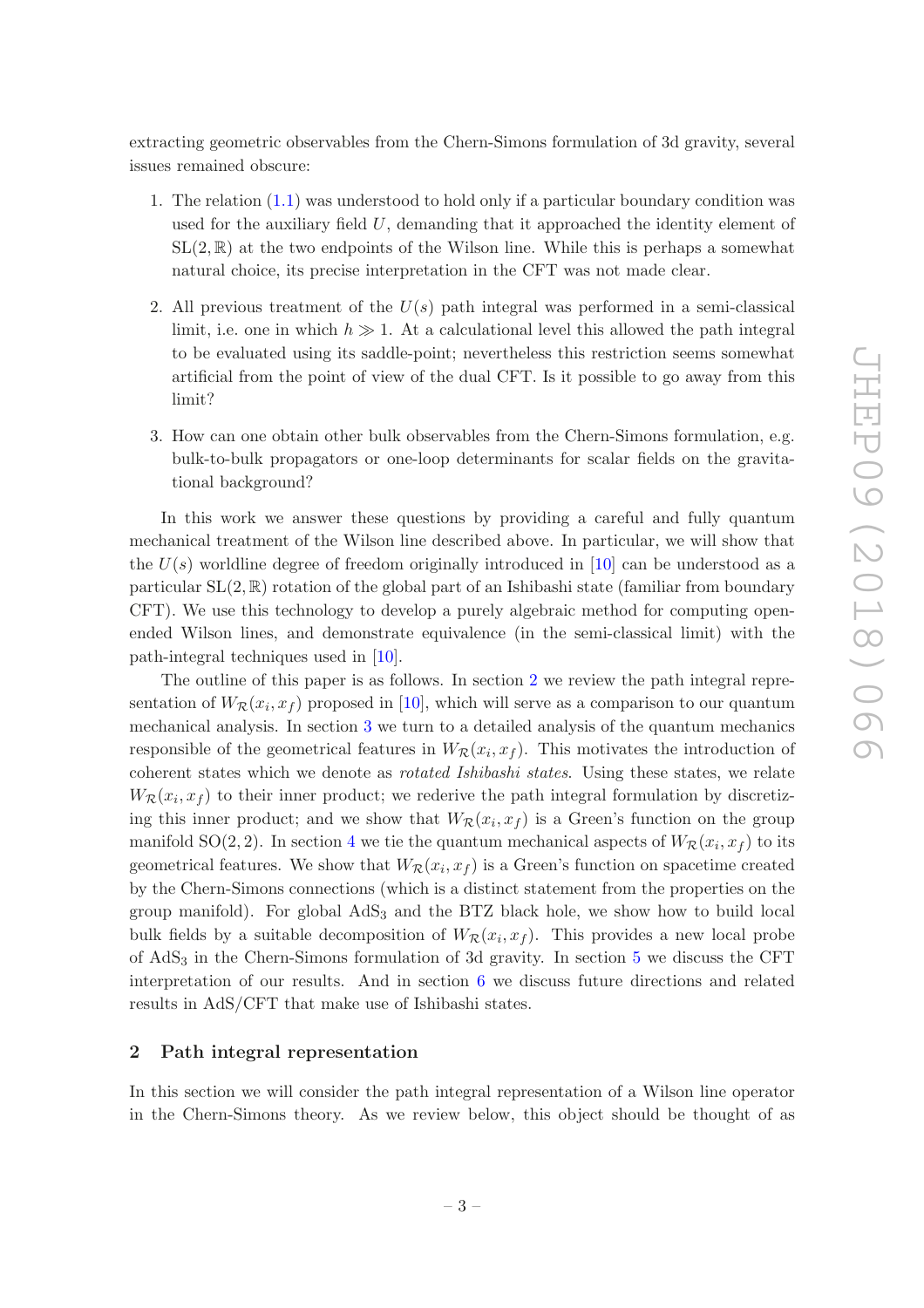extracting geometric observables from the Chern-Simons formulation of 3d gravity, several issues remained obscure:

- 1. The relation [\(1.1\)](#page-3-1) was understood to hold only if a particular boundary condition was used for the auxiliary field  $U$ , demanding that it approached the identity element of  $SL(2,\mathbb{R})$  at the two endpoints of the Wilson line. While this is perhaps a somewhat natural choice, its precise interpretation in the CFT was not made clear.
- 2. All previous treatment of the  $U(s)$  path integral was performed in a semi-classical limit, i.e. one in which  $h \gg 1$ . At a calculational level this allowed the path integral to be evaluated using its saddle-point; nevertheless this restriction seems somewhat artificial from the point of view of the dual CFT. Is it possible to go away from this limit?
- 3. How can one obtain other bulk observables from the Chern-Simons formulation, e.g. bulk-to-bulk propagators or one-loop determinants for scalar fields on the gravitational background?

In this work we answer these questions by providing a careful and fully quantum mechanical treatment of the Wilson line described above. In particular, we will show that the  $U(s)$  worldline degree of freedom originally introduced in [\[10\]](#page-42-6) can be understood as a particular  $SL(2, \mathbb{R})$  rotation of the global part of an Ishibashi state (familiar from boundary CFT). We use this technology to develop a purely algebraic method for computing openended Wilson lines, and demonstrate equivalence (in the semi-classical limit) with the path-integral techniques used in [\[10](#page-42-6)].

The outline of this paper is as follows. In section [2](#page-4-0) we review the path integral representation of  $W_{\mathcal{R}}(x_i, x_f)$  proposed in [\[10\]](#page-42-6), which will serve as a comparison to our quantum mechanical analysis. In section [3](#page-8-0) we turn to a detailed analysis of the quantum mechanics responsible of the geometrical features in  $W_R(x_i, x_f)$ . This motivates the introduction of coherent states which we denote as rotated Ishibashi states. Using these states, we relate  $W_{\mathcal{R}}(x_i, x_f)$  to their inner product; we rederive the path integral formulation by discretizing this inner product; and we show that  $W_R(x_i, x_f)$  is a Green's function on the group manifold SO(2, 2). In section [4](#page-16-0) we tie the quantum mechanical aspects of  $W_R(x_i, x_f)$  to its geometrical features. We show that  $W_R(x_i, x_f)$  is a Green's function on spacetime created by the Chern-Simons connections (which is a distinct statement from the properties on the group manifold). For global  $AdS_3$  and the BTZ black hole, we show how to build local bulk fields by a suitable decomposition of  $W_R(x_i, x_f)$ . This provides a new local probe of AdS<sup>3</sup> in the Chern-Simons formulation of 3d gravity. In section [5](#page-28-0) we discuss the CFT interpretation of our results. And in section [6](#page-31-0) we discuss future directions and related results in AdS/CFT that make use of Ishibashi states.

#### <span id="page-4-0"></span>2 Path integral representation

In this section we will consider the path integral representation of a Wilson line operator in the Chern-Simons theory. As we review below, this object should be thought of as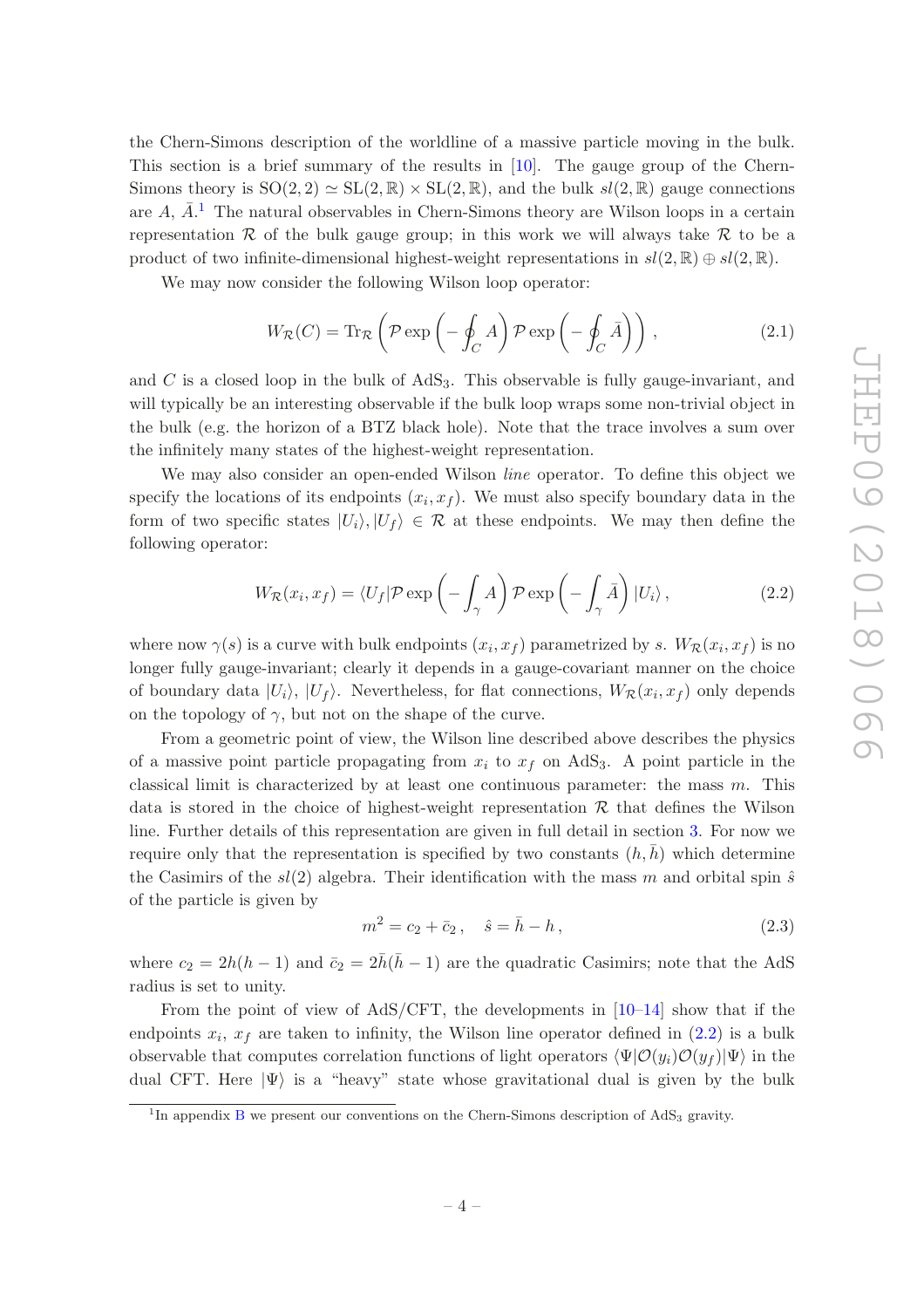the Chern-Simons description of the worldline of a massive particle moving in the bulk. This section is a brief summary of the results in [\[10\]](#page-42-6). The gauge group of the Chern-Simons theory is  $SO(2, 2) \simeq SL(2, \mathbb{R}) \times SL(2, \mathbb{R})$ , and the bulk  $sl(2, \mathbb{R})$  gauge connections are  $A, \overline{A}.^1$  $A, \overline{A}.^1$  The natural observables in Chern-Simons theory are Wilson loops in a certain representation  $\mathcal R$  of the bulk gauge group; in this work we will always take  $\mathcal R$  to be a product of two infinite-dimensional highest-weight representations in  $sl(2,\mathbb{R})\oplus sl(2,\mathbb{R})$ .

We may now consider the following Wilson loop operator:

<span id="page-5-2"></span>
$$
W_{\mathcal{R}}(C) = \text{Tr}_{\mathcal{R}}\left(\mathcal{P}\exp\left(-\oint_C A\right)\mathcal{P}\exp\left(-\oint_C \bar{A}\right)\right),\tag{2.1}
$$

and  $C$  is a closed loop in the bulk of  $AdS<sub>3</sub>$ . This observable is fully gauge-invariant, and will typically be an interesting observable if the bulk loop wraps some non-trivial object in the bulk (e.g. the horizon of a BTZ black hole). Note that the trace involves a sum over the infinitely many states of the highest-weight representation.

We may also consider an open-ended Wilson *line* operator. To define this object we specify the locations of its endpoints  $(x_i, x_f)$ . We must also specify boundary data in the form of two specific states  $|U_i\rangle, |U_f\rangle \in \mathcal{R}$  at these endpoints. We may then define the following operator:

<span id="page-5-1"></span>
$$
W_{\mathcal{R}}(x_i, x_f) = \langle U_f | \mathcal{P} \exp\left(-\int_{\gamma} A\right) \mathcal{P} \exp\left(-\int_{\gamma} \bar{A}\right) |U_i\rangle, \qquad (2.2)
$$

where now  $\gamma(s)$  is a curve with bulk endpoints  $(x_i, x_f)$  parametrized by s.  $W_{\mathcal{R}}(x_i, x_f)$  is no longer fully gauge-invariant; clearly it depends in a gauge-covariant manner on the choice of boundary data  $|U_i\rangle$ ,  $|U_f\rangle$ . Nevertheless, for flat connections,  $W_{\mathcal{R}}(x_i, x_f)$  only depends on the topology of  $\gamma$ , but not on the shape of the curve.

From a geometric point of view, the Wilson line described above describes the physics of a massive point particle propagating from  $x_i$  to  $x_f$  on AdS<sub>3</sub>. A point particle in the classical limit is characterized by at least one continuous parameter: the mass  $m$ . This data is stored in the choice of highest-weight representation  $R$  that defines the Wilson line. Further details of this representation are given in full detail in section [3.](#page-8-0) For now we require only that the representation is specified by two constants  $(h, h)$  which determine the Casimirs of the  $sl(2)$  algebra. Their identification with the mass m and orbital spin  $\hat{s}$ of the particle is given by

$$
m^2 = c_2 + \bar{c}_2, \quad \hat{s} = \bar{h} - h,\tag{2.3}
$$

where  $c_2 = 2h(h-1)$  and  $\bar{c}_2 = 2\bar{h}(\bar{h}-1)$  are the quadratic Casimirs; note that the AdS radius is set to unity.

From the point of view of  $AdS/CFT$ , the developments in  $[10-14]$  show that if the endpoints  $x_i$ ,  $x_f$  are taken to infinity, the Wilson line operator defined in  $(2.2)$  is a bulk observable that computes correlation functions of light operators  $\langle \Psi | \mathcal{O}(y_i) \mathcal{O}(y_f) | \Psi \rangle$  in the dual CFT. Here  $|\Psi\rangle$  is a "heavy" state whose gravitational dual is given by the bulk

<span id="page-5-0"></span><sup>&</sup>lt;sup>1</sup>In appendix [B](#page-35-0) we present our conventions on the Chern-Simons description of  $AdS<sub>3</sub>$  gravity.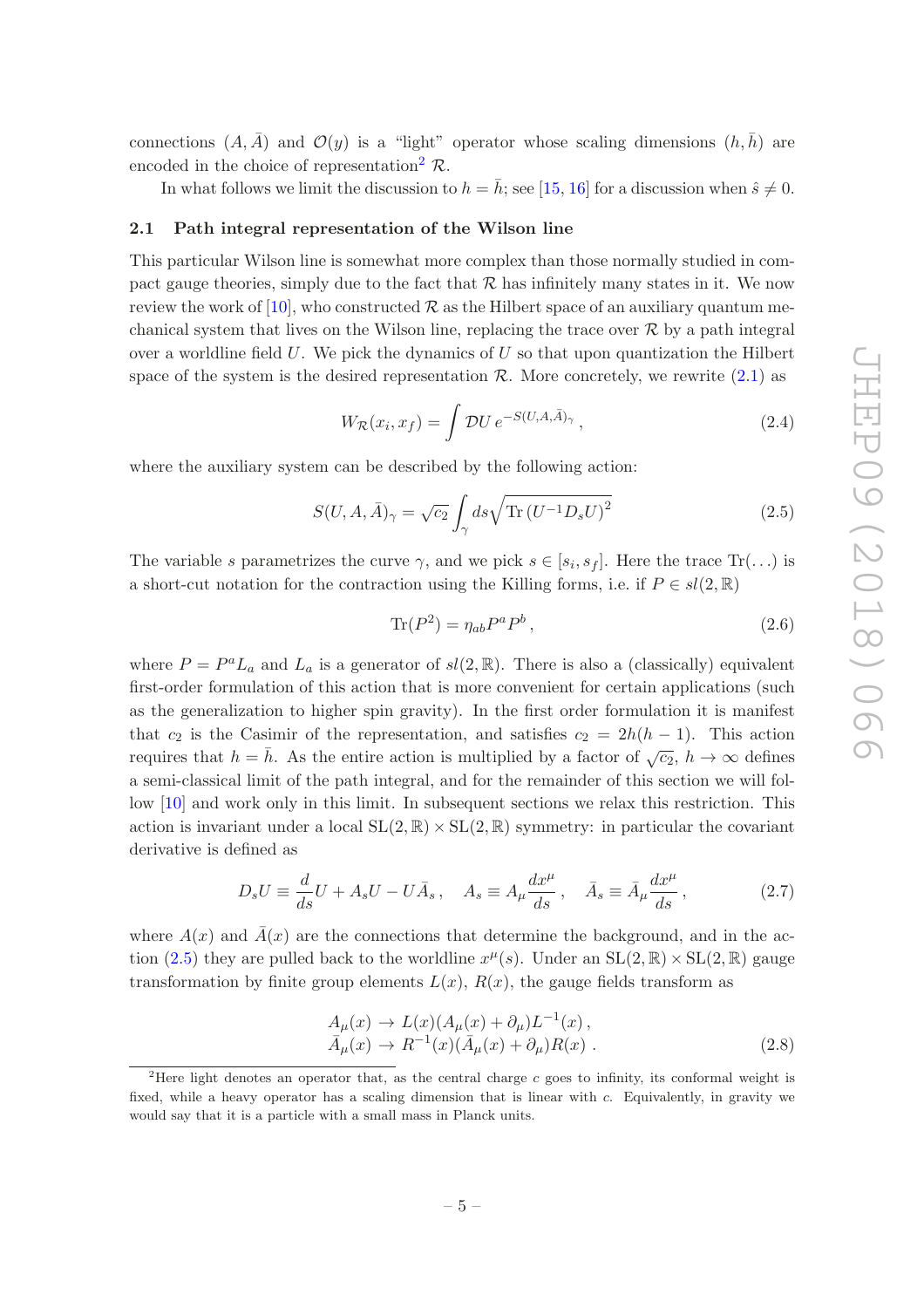connections  $(A, \overline{A})$  and  $\mathcal{O}(y)$  is a "light" operator whose scaling dimensions  $(h, \overline{h})$  are encoded in the choice of representation<sup>[2](#page-6-1)</sup>  $\mathcal{R}$ .

In what follows we limit the discussion to  $h = \bar{h}$ ; see [\[15,](#page-42-8) [16](#page-42-9)] for a discussion when  $\hat{s} \neq 0$ .

#### <span id="page-6-0"></span>2.1 Path integral representation of the Wilson line

This particular Wilson line is somewhat more complex than those normally studied in compact gauge theories, simply due to the fact that  $R$  has infinitely many states in it. We now review the work of [\[10\]](#page-42-6), who constructed  $\mathcal R$  as the Hilbert space of an auxiliary quantum mechanical system that lives on the Wilson line, replacing the trace over  $\mathcal R$  by a path integral over a worldline field  $U$ . We pick the dynamics of  $U$  so that upon quantization the Hilbert space of the system is the desired representation  $\mathcal{R}$ . More concretely, we rewrite [\(2.1\)](#page-5-2) as

<span id="page-6-3"></span>
$$
W_{\mathcal{R}}(x_i, x_f) = \int \mathcal{D}U \, e^{-S(U, A, \bar{A})_{\gamma}}, \tag{2.4}
$$

where the auxiliary system can be described by the following action:

<span id="page-6-2"></span>
$$
S(U, A, \bar{A})_{\gamma} = \sqrt{c_2} \int_{\gamma} ds \sqrt{\text{Tr}(U^{-1}D_s U)^2}
$$
\n(2.5)

The variable s parametrizes the curve  $\gamma$ , and we pick  $s \in [s_i, s_f]$ . Here the trace  $\text{Tr}(\ldots)$  is a short-cut notation for the contraction using the Killing forms, i.e. if  $P \in sl(2,\mathbb{R})$ 

$$
\text{Tr}(P^2) = \eta_{ab} P^a P^b \,,\tag{2.6}
$$

where  $P = P^a L_a$  and  $L_a$  is a generator of  $sl(2, \mathbb{R})$ . There is also a (classically) equivalent first-order formulation of this action that is more convenient for certain applications (such as the generalization to higher spin gravity). In the first order formulation it is manifest that  $c_2$  is the Casimir of the representation, and satisfies  $c_2 = 2h(h-1)$ . This action requires that  $h = \bar{h}$ . As the entire action is multiplied by a factor of  $\sqrt{c_2}$ ,  $h \to \infty$  defines a semi-classical limit of the path integral, and for the remainder of this section we will follow [\[10\]](#page-42-6) and work only in this limit. In subsequent sections we relax this restriction. This action is invariant under a local  $SL(2, \mathbb{R}) \times SL(2, \mathbb{R})$  symmetry: in particular the covariant derivative is defined as

<span id="page-6-4"></span>
$$
D_s U \equiv \frac{d}{ds} U + A_s U - U \bar{A}_s \,, \quad A_s \equiv A_\mu \frac{dx^\mu}{ds} \,, \quad \bar{A}_s \equiv \bar{A}_\mu \frac{dx^\mu}{ds} \,, \tag{2.7}
$$

where  $A(x)$  and  $\overline{A}(x)$  are the connections that determine the background, and in the ac-tion [\(2.5\)](#page-6-2) they are pulled back to the worldline  $x^{\mu}(s)$ . Under an  $SL(2,\mathbb{R}) \times SL(2,\mathbb{R})$  gauge transformation by finite group elements  $L(x)$ ,  $R(x)$ , the gauge fields transform as

$$
A_{\mu}(x) \rightarrow L(x)(A_{\mu}(x) + \partial_{\mu})L^{-1}(x),
$$
  
\n
$$
\bar{A}_{\mu}(x) \rightarrow R^{-1}(x)(\bar{A}_{\mu}(x) + \partial_{\mu})R(x).
$$
\n(2.8)

<span id="page-6-1"></span><sup>&</sup>lt;sup>2</sup>Here light denotes an operator that, as the central charge c goes to infinity, its conformal weight is fixed, while a heavy operator has a scaling dimension that is linear with c. Equivalently, in gravity we would say that it is a particle with a small mass in Planck units.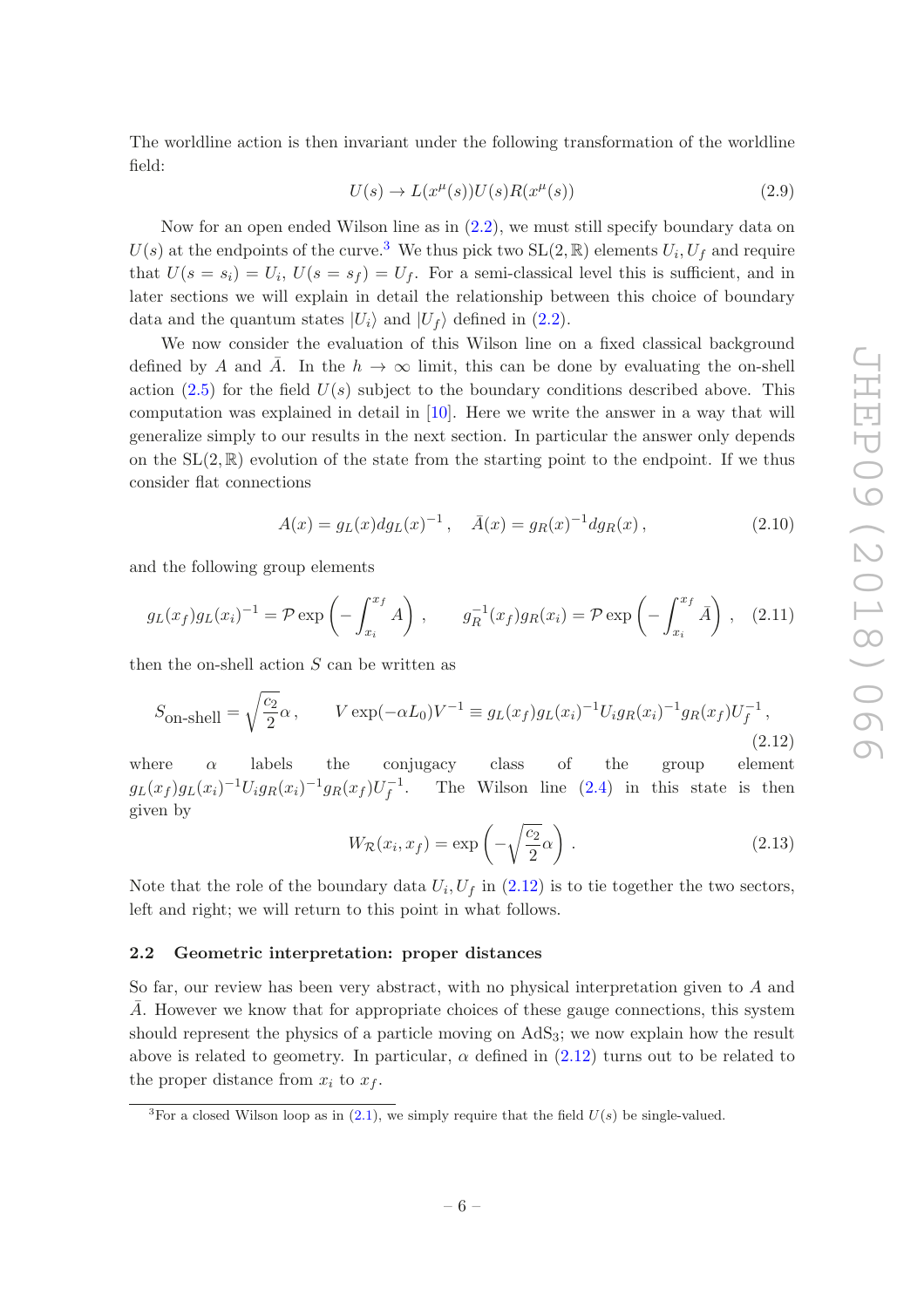The worldline action is then invariant under the following transformation of the worldline field:

<span id="page-7-3"></span>
$$
U(s) \to L(x^{\mu}(s))U(s)R(x^{\mu}(s))
$$
\n(2.9)

Now for an open ended Wilson line as in [\(2.2\)](#page-5-1), we must still specify boundary data on  $U(s)$  at the endpoints of the curve.<sup>[3](#page-7-1)</sup> We thus pick two  $SL(2,\mathbb{R})$  elements  $U_i, U_f$  and require that  $U(s = s_i) = U_i$ ,  $U(s = s_f) = U_f$ . For a semi-classical level this is sufficient, and in later sections we will explain in detail the relationship between this choice of boundary data and the quantum states  $|U_i\rangle$  and  $|U_f\rangle$  defined in [\(2.2\)](#page-5-1).

We now consider the evaluation of this Wilson line on a fixed classical background defined by A and  $\overline{A}$ . In the  $h \to \infty$  limit, this can be done by evaluating the on-shell action  $(2.5)$  for the field  $U(s)$  subject to the boundary conditions described above. This computation was explained in detail in [\[10](#page-42-6)]. Here we write the answer in a way that will generalize simply to our results in the next section. In particular the answer only depends on the  $SL(2,\mathbb{R})$  evolution of the state from the starting point to the endpoint. If we thus consider flat connections

$$
A(x) = g_L(x) dg_L(x)^{-1}, \quad \bar{A}(x) = g_R(x)^{-1} dg_R(x), \tag{2.10}
$$

and the following group elements

$$
g_L(x_f)g_L(x_i)^{-1} = \mathcal{P} \exp\left(-\int_{x_i}^{x_f} A\right), \qquad g_R^{-1}(x_f)g_R(x_i) = \mathcal{P} \exp\left(-\int_{x_i}^{x_f} \bar{A}\right), \quad (2.11)
$$

then the on-shell action  $S$  can be written as

<span id="page-7-2"></span>
$$
S_{\text{on-shell}} = \sqrt{\frac{c_2}{2}} \alpha, \qquad V \exp(-\alpha L_0) V^{-1} \equiv g_L(x_f) g_L(x_i)^{-1} U_i g_R(x_i)^{-1} g_R(x_f) U_f^{-1}, \qquad (2.12)
$$

where  $\alpha$  labels the conjugacy class of the group element  $g_L(x_f)g_L(x_i)^{-1}U_ig_R(x_i)^{-1}g_R(x_f)U_f^{-1}$ f The Wilson line  $(2.4)$  in this state is then given by

$$
W_{\mathcal{R}}(x_i, x_f) = \exp\left(-\sqrt{\frac{c_2}{2}}\alpha\right). \tag{2.13}
$$

Note that the role of the boundary data  $U_i, U_f$  in  $(2.12)$  is to tie together the two sectors, left and right; we will return to this point in what follows.

#### <span id="page-7-0"></span>2.2 Geometric interpretation: proper distances

So far, our review has been very abstract, with no physical interpretation given to A and  $\overline{A}$ . However we know that for appropriate choices of these gauge connections, this system should represent the physics of a particle moving on AdS3; we now explain how the result above is related to geometry. In particular,  $\alpha$  defined in [\(2.12\)](#page-7-2) turns out to be related to the proper distance from  $x_i$  to  $x_f$ .

<span id="page-7-1"></span><sup>&</sup>lt;sup>3</sup>For a closed Wilson loop as in [\(2.1\)](#page-5-2), we simply require that the field  $U(s)$  be single-valued.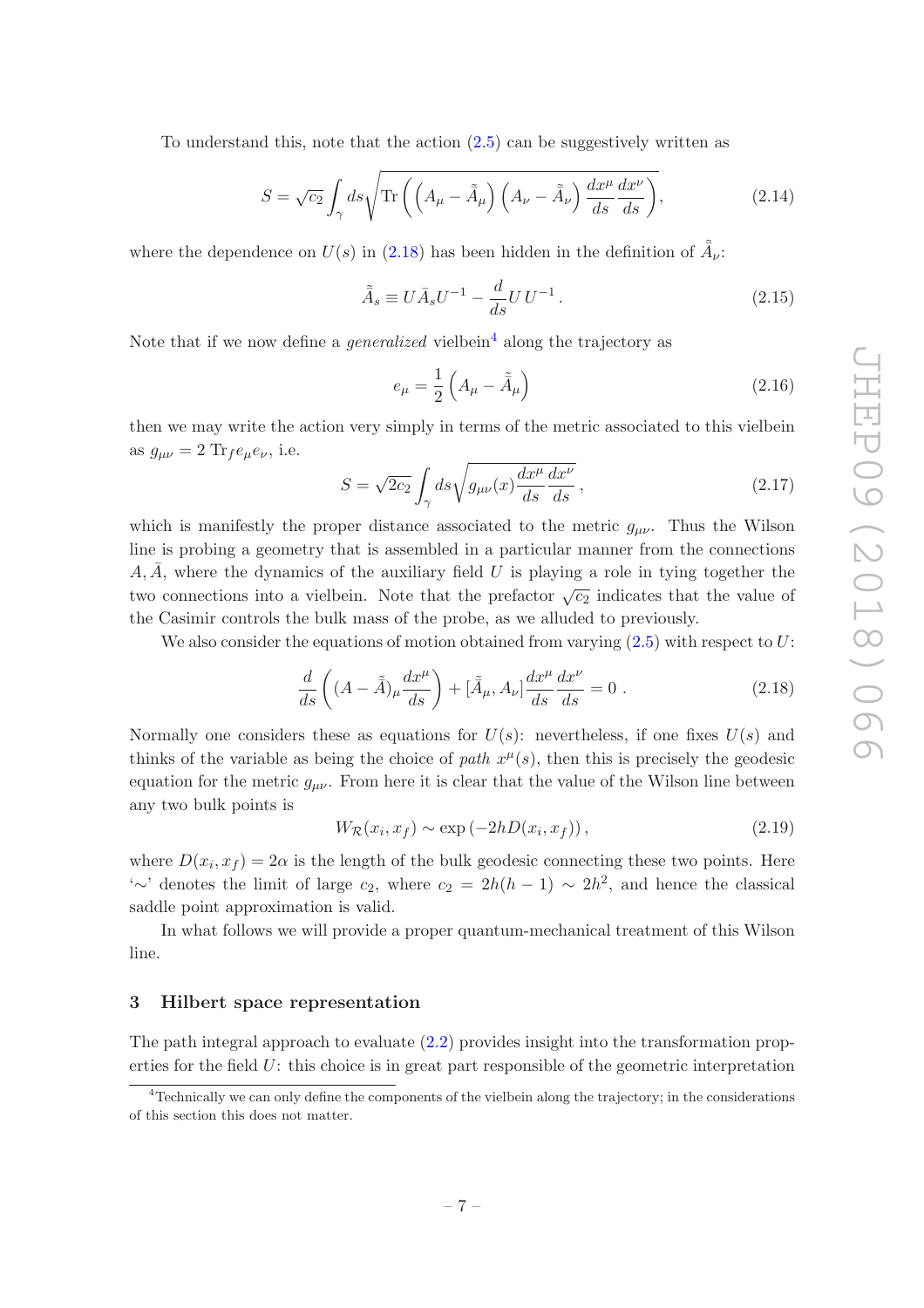To understand this, note that the action  $(2.5)$  can be suggestively written as

$$
S = \sqrt{c_2} \int_{\gamma} ds \sqrt{\text{Tr}\left(\left(A_{\mu} - \tilde{A}_{\mu}\right)\left(A_{\nu} - \tilde{A}_{\nu}\right) \frac{dx^{\mu}}{ds} \frac{dx^{\nu}}{ds}\right)},\tag{2.14}
$$

where the dependence on  $U(s)$  in [\(2.18\)](#page-8-1) has been hidden in the definition of  $\tilde{\tilde{A}}_{\nu}$ :

$$
\tilde{\bar{A}}_s \equiv U \bar{A}_s U^{-1} - \frac{d}{ds} U U^{-1} . \tag{2.15}
$$

Note that if we now define a *generalized* vielbein<sup>[4](#page-8-2)</sup> along the trajectory as

$$
e_{\mu} = \frac{1}{2} \left( A_{\mu} - \tilde{A}_{\mu} \right) \tag{2.16}
$$

then we may write the action very simply in terms of the metric associated to this vielbein as  $g_{\mu\nu} = 2 \text{Tr}_f e_\mu e_\nu$ , i.e.

<span id="page-8-4"></span>
$$
S = \sqrt{2c_2} \int_{\gamma} ds \sqrt{g_{\mu\nu}(x) \frac{dx^{\mu}}{ds} \frac{dx^{\nu}}{ds}},
$$
\n(2.17)

which is manifestly the proper distance associated to the metric  $g_{\mu\nu}$ . Thus the Wilson line is probing a geometry that is assembled in a particular manner from the connections  $A, \overline{A}$ , where the dynamics of the auxiliary field U is playing a role in tying together the two connections into a vielbein. Note that the prefactor  $\sqrt{c_2}$  indicates that the value of the Casimir controls the bulk mass of the probe, as we alluded to previously.

We also consider the equations of motion obtained from varying  $(2.5)$  with respect to U:

<span id="page-8-1"></span>
$$
\frac{d}{ds}\left((A-\tilde{A})_{\mu}\frac{dx^{\mu}}{ds}\right) + \left[\tilde{A}_{\mu},A_{\nu}\right]\frac{dx^{\mu}}{ds}\frac{dx^{\nu}}{ds} = 0.
$$
\n(2.18)

Normally one considers these as equations for  $U(s)$ : nevertheless, if one fixes  $U(s)$  and thinks of the variable as being the choice of path  $x^{\mu}(s)$ , then this is precisely the geodesic equation for the metric  $g_{\mu\nu}$ . From here it is clear that the value of the Wilson line between any two bulk points is

<span id="page-8-3"></span>
$$
W_{\mathcal{R}}(x_i, x_f) \sim \exp(-2hD(x_i, x_f)), \qquad (2.19)
$$

where  $D(x_i, x_f) = 2\alpha$  is the length of the bulk geodesic connecting these two points. Here '∼' denotes the limit of large  $c_2$ , where  $c_2 = 2h(h-1) \sim 2h^2$ , and hence the classical saddle point approximation is valid.

In what follows we will provide a proper quantum-mechanical treatment of this Wilson line.

### <span id="page-8-0"></span>3 Hilbert space representation

The path integral approach to evaluate [\(2.2\)](#page-5-1) provides insight into the transformation properties for the field U: this choice is in great part responsible of the geometric interpretation

<span id="page-8-2"></span><sup>4</sup>Technically we can only define the components of the vielbein along the trajectory; in the considerations of this section this does not matter.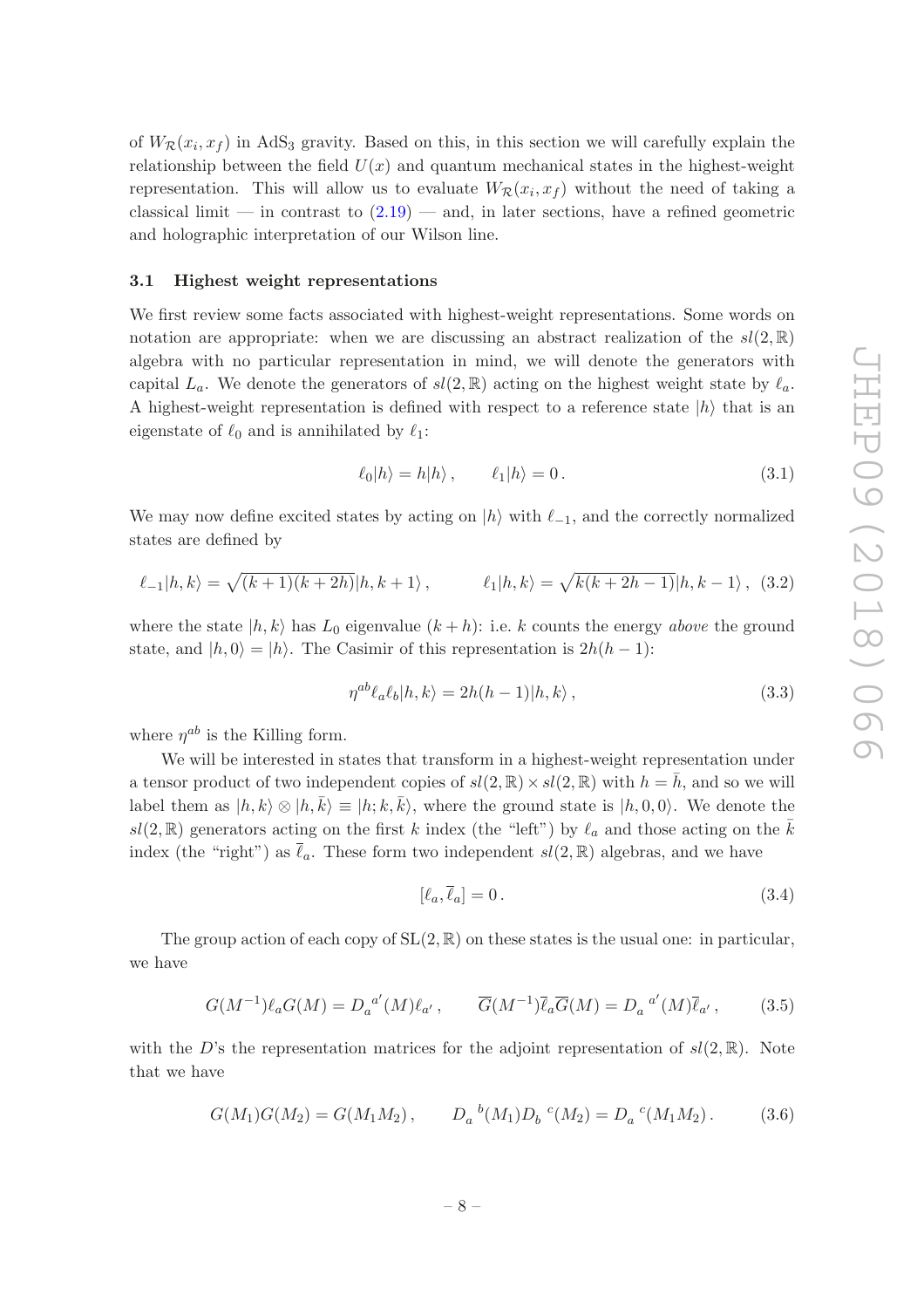of  $W_{\mathcal{R}}(x_i, x_f)$  in AdS<sub>3</sub> gravity. Based on this, in this section we will carefully explain the relationship between the field  $U(x)$  and quantum mechanical states in the highest-weight representation. This will allow us to evaluate  $W_R(x_i, x_f)$  without the need of taking a classical limit — in contrast to  $(2.19)$  — and, in later sections, have a refined geometric and holographic interpretation of our Wilson line.

# <span id="page-9-0"></span>3.1 Highest weight representations

We first review some facts associated with highest-weight representations. Some words on notation are appropriate: when we are discussing an abstract realization of the  $sl(2,\mathbb{R})$ algebra with no particular representation in mind, we will denote the generators with capital  $L_a$ . We denote the generators of  $sl(2,\mathbb{R})$  acting on the highest weight state by  $\ell_a$ . A highest-weight representation is defined with respect to a reference state  $|h\rangle$  that is an eigenstate of  $\ell_0$  and is annihilated by  $\ell_1$ :

$$
\ell_0|h\rangle = h|h\rangle, \qquad \ell_1|h\rangle = 0. \qquad (3.1)
$$

We may now define excited states by acting on  $|h\rangle$  with  $\ell_{-1}$ , and the correctly normalized states are defined by

<span id="page-9-2"></span>
$$
\ell_{-1}|h,k\rangle = \sqrt{(k+1)(k+2h)}|h,k+1\rangle, \qquad \ell_{1}|h,k\rangle = \sqrt{k(k+2h-1)}|h,k-1\rangle, (3.2)
$$

where the state  $|h, k\rangle$  has  $L_0$  eigenvalue  $(k+h)$ : i.e. k counts the energy above the ground state, and  $|h, 0\rangle = |h\rangle$ . The Casimir of this representation is  $2h(h-1)$ :

<span id="page-9-1"></span>
$$
\eta^{ab}\ell_a\ell_b|h,k\rangle = 2h(h-1)|h,k\rangle, \qquad (3.3)
$$

where  $\eta^{ab}$  is the Killing form.

We will be interested in states that transform in a highest-weight representation under a tensor product of two independent copies of  $sl(2, \mathbb{R}) \times sl(2, \mathbb{R})$  with  $h = \overline{h}$ , and so we will label them as  $|h, k\rangle \otimes |h, \bar{k}\rangle \equiv |h; k, \bar{k}\rangle$ , where the ground state is  $|h, 0, 0\rangle$ . We denote the sl(2, R) generators acting on the first k index (the "left") by  $\ell_a$  and those acting on the  $\bar{k}$ index (the "right") as  $\bar{\ell}_a$ . These form two independent  $sl(2,\mathbb{R})$  algebras, and we have

$$
[\ell_a, \overline{\ell}_a] = 0. \tag{3.4}
$$

The group action of each copy of  $SL(2,\mathbb{R})$  on these states is the usual one: in particular, we have

$$
G(M^{-1})\ell_a G(M) = D_a^{a'}(M)\ell_{a'}, \qquad \overline{G}(M^{-1})\overline{\ell}_a \overline{G}(M) = D_a^{a'}(M)\overline{\ell}_{a'}, \qquad (3.5)
$$

with the D's the representation matrices for the adjoint representation of  $sl(2,\mathbb{R})$ . Note that we have

$$
G(M_1)G(M_2) = G(M_1M_2), \qquad D_a{}^b(M_1)D_b{}^c(M_2) = D_a{}^c(M_1M_2). \tag{3.6}
$$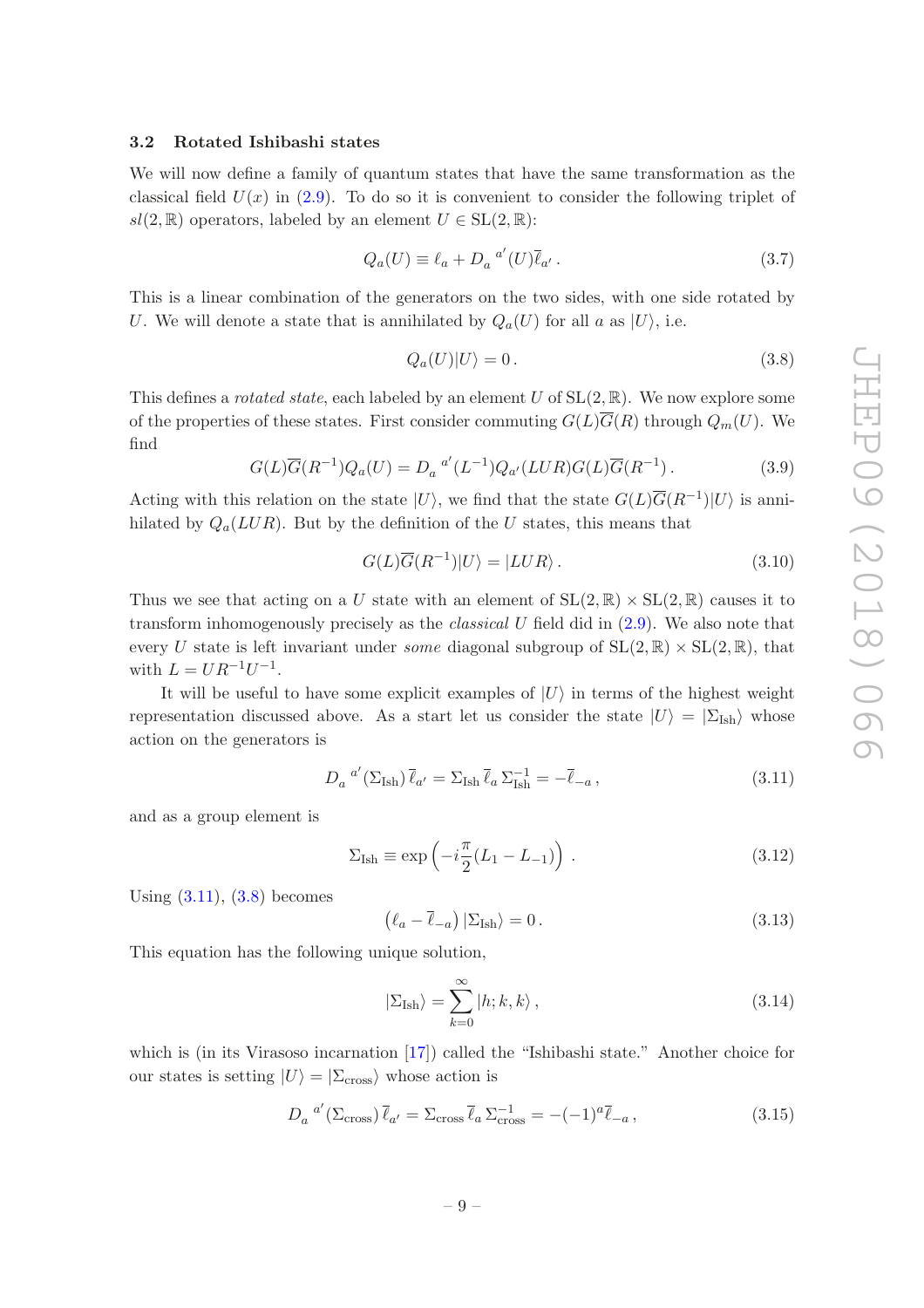## <span id="page-10-0"></span>3.2 Rotated Ishibashi states

We will now define a family of quantum states that have the same transformation as the classical field  $U(x)$  in [\(2.9\)](#page-7-3). To do so it is convenient to consider the following triplet of  $sl(2,\mathbb{R})$  operators, labeled by an element  $U \in SL(2,\mathbb{R})$ :

$$
Q_a(U) \equiv \ell_a + D_a^{a'}(U)\overline{\ell}_{a'}.
$$
\n(3.7)

This is a linear combination of the generators on the two sides, with one side rotated by U. We will denote a state that is annihilated by  $Q_a(U)$  for all a as  $|U\rangle$ , i.e.

<span id="page-10-2"></span>
$$
Q_a(U)|U\rangle = 0.
$$
\n(3.8)

This defines a *rotated state*, each labeled by an element U of  $SL(2, \mathbb{R})$ . We now explore some of the properties of these states. First consider commuting  $G(L)\overline{G}(R)$  through  $Q_m(U)$ . We find

$$
G(L)\overline{G}(R^{-1})Q_a(U) = D_a^{a'}(L^{-1})Q_{a'}(LUR)G(L)\overline{G}(R^{-1}).
$$
\n(3.9)

Acting with this relation on the state  $|U\rangle$ , we find that the state  $G(L)\overline{G}(R^{-1})|U\rangle$  is annihilated by  $Q_a(LUR)$ . But by the definition of the U states, this means that

<span id="page-10-5"></span>
$$
G(L)\overline{G}(R^{-1})|U\rangle = |LUR\rangle.
$$
\n(3.10)

Thus we see that acting on a U state with an element of  $SL(2,\mathbb{R}) \times SL(2,\mathbb{R})$  causes it to transform inhomogenously precisely as the classical U field did in [\(2.9\)](#page-7-3). We also note that every U state is left invariant under *some* diagonal subgroup of  $SL(2,\mathbb{R}) \times SL(2,\mathbb{R})$ , that with  $L = U R^{-1} U^{-1}$ .

It will be useful to have some explicit examples of  $|U\rangle$  in terms of the highest weight representation discussed above. As a start let us consider the state  $|U\rangle = |\Sigma_{\text{Ish}}\rangle$  whose action on the generators is

<span id="page-10-1"></span>
$$
D_a^{a'}(\Sigma_{\text{Ish}})\,\bar{\ell}_{a'} = \Sigma_{\text{Ish}}\,\bar{\ell}_a\,\Sigma_{\text{Ish}}^{-1} = -\bar{\ell}_{-a}\,,\tag{3.11}
$$

and as a group element is

$$
\Sigma_{\text{Ish}} \equiv \exp\left(-i\frac{\pi}{2}(L_1 - L_{-1})\right). \tag{3.12}
$$

Using  $(3.11)$ ,  $(3.8)$  becomes

<span id="page-10-6"></span>
$$
\left(\ell_a - \overline{\ell}_{-a}\right) |\Sigma_{\text{Ish}}\rangle = 0. \tag{3.13}
$$

This equation has the following unique solution,

<span id="page-10-3"></span>
$$
|\Sigma_{\text{Ish}}\rangle = \sum_{k=0}^{\infty} |h; k, k\rangle, \qquad (3.14)
$$

which is (in its Virasoso incarnation [\[17](#page-42-10)]) called the "Ishibashi state." Another choice for our states is setting  $|U\rangle = |\Sigma_{\text{cross}}\rangle$  whose action is

<span id="page-10-4"></span>
$$
D_a^{a'}(\Sigma_{\rm cross})\overline{\ell}_{a'} = \Sigma_{\rm cross}\overline{\ell}_a \Sigma_{\rm cross}^{-1} = -(-1)^{a}\overline{\ell}_{-a}, \qquad (3.15)
$$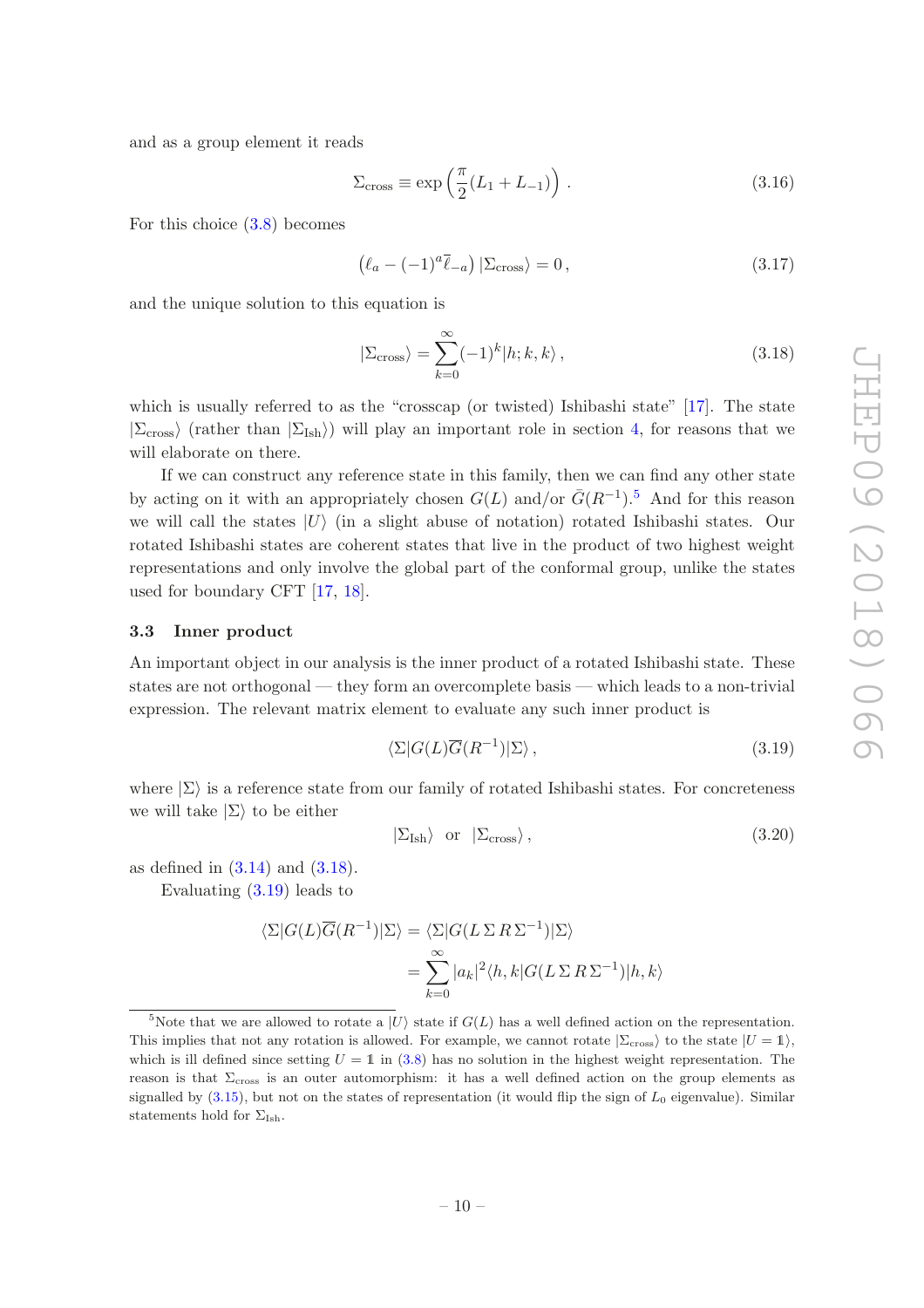and as a group element it reads

$$
\Sigma_{\rm cross} \equiv \exp\left(\frac{\pi}{2}(L_1 + L_{-1})\right). \tag{3.16}
$$

For this choice [\(3.8\)](#page-10-2) becomes

<span id="page-11-4"></span>
$$
\left(\ell_a - (-1)^a \overline{\ell}_{-a}\right) |\Sigma_{\text{cross}}\rangle = 0, \qquad (3.17)
$$

and the unique solution to this equation is

<span id="page-11-2"></span>
$$
|\Sigma_{\rm cross}\rangle = \sum_{k=0}^{\infty} (-1)^k |h; k, k\rangle, \qquad (3.18)
$$

which is usually referred to as the "crosscap (or twisted) Ishibashi state" [\[17\]](#page-42-10). The state  $|\Sigma_{\rm cross}\rangle$  (rather than  $|\Sigma_{\rm Ish}\rangle$ ) will play an important role in section [4,](#page-16-0) for reasons that we will elaborate on there.

If we can construct any reference state in this family, then we can find any other state by acting on it with an appropriately chosen  $G(L)$  and/or  $\bar{G}(R^{-1})$ .<sup>[5](#page-11-1)</sup> And for this reason we will call the states  $|U\rangle$  (in a slight abuse of notation) rotated Ishibashi states. Our rotated Ishibashi states are coherent states that live in the product of two highest weight representations and only involve the global part of the conformal group, unlike the states used for boundary CFT [\[17,](#page-42-10) [18](#page-43-0)].

#### <span id="page-11-0"></span>3.3 Inner product

An important object in our analysis is the inner product of a rotated Ishibashi state. These states are not orthogonal — they form an overcomplete basis — which leads to a non-trivial expression. The relevant matrix element to evaluate any such inner product is

<span id="page-11-3"></span>
$$
\langle \Sigma | G(L) \overline{G}(R^{-1}) | \Sigma \rangle , \qquad (3.19)
$$

where  $|\Sigma\rangle$  is a reference state from our family of rotated Ishibashi states. For concreteness we will take  $|\Sigma\rangle$  to be either

$$
|\Sigma_{\rm Ish}\rangle \quad \text{or} \quad |\Sigma_{\rm cross}\rangle \,, \tag{3.20}
$$

as defined in  $(3.14)$  and  $(3.18)$ .

Evaluating [\(3.19\)](#page-11-3) leads to

$$
\langle \Sigma | G(L) \overline{G}(R^{-1}) | \Sigma \rangle = \langle \Sigma | G(L \Sigma R \Sigma^{-1}) | \Sigma \rangle
$$
  
= 
$$
\sum_{k=0}^{\infty} |a_k|^2 \langle h, k | G(L \Sigma R \Sigma^{-1}) | h, k \rangle
$$

<span id="page-11-1"></span><sup>&</sup>lt;sup>5</sup>Note that we are allowed to rotate a  $|U\rangle$  state if  $G(L)$  has a well defined action on the representation. This implies that not any rotation is allowed. For example, we cannot rotate  $|\Sigma_{\rm cross}\rangle$  to the state  $|U = 1\rangle$ , which is ill defined since setting  $U = 1$  in [\(3.8\)](#page-10-2) has no solution in the highest weight representation. The reason is that Σcross is an outer automorphism: it has a well defined action on the group elements as signalled by  $(3.15)$ , but not on the states of representation (it would flip the sign of  $L_0$  eigenvalue). Similar statements hold for  $\Sigma_{\text{Ish}}$ .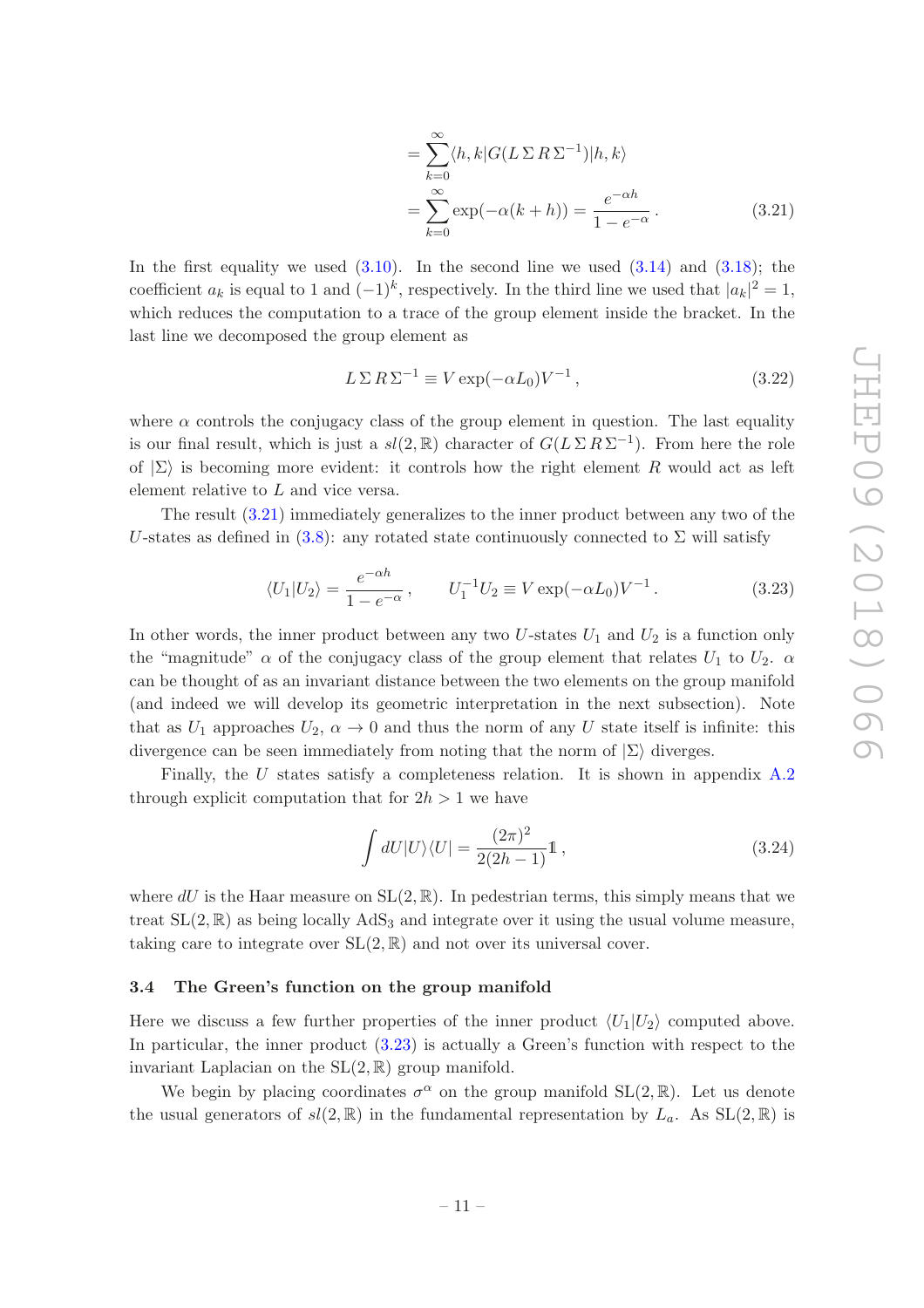<span id="page-12-1"></span>
$$
= \sum_{k=0}^{\infty} \langle h, k | G(L \Sigma R \Sigma^{-1}) | h, k \rangle
$$
  
= 
$$
\sum_{k=0}^{\infty} \exp(-\alpha (k + h)) = \frac{e^{-\alpha h}}{1 - e^{-\alpha}}.
$$
 (3.21)

In the first equality we used  $(3.10)$ . In the second line we used  $(3.14)$  and  $(3.18)$ ; the coefficient  $a_k$  is equal to 1 and  $(-1)^k$ , respectively. In the third line we used that  $|a_k|^2 = 1$ , which reduces the computation to a trace of the group element inside the bracket. In the last line we decomposed the group element as

<span id="page-12-4"></span>
$$
L \Sigma R \Sigma^{-1} \equiv V \exp(-\alpha L_0) V^{-1}, \qquad (3.22)
$$

where  $\alpha$  controls the conjugacy class of the group element in question. The last equality is our final result, which is just a  $sl(2,\mathbb{R})$  character of  $G(L \Sigma R \Sigma^{-1})$ . From here the role of  $|\Sigma\rangle$  is becoming more evident: it controls how the right element R would act as left element relative to L and vice versa.

The result [\(3.21\)](#page-12-1) immediately generalizes to the inner product between any two of the U-states as defined in [\(3.8\)](#page-10-2): any rotated state continuously connected to  $\Sigma$  will satisfy

<span id="page-12-2"></span>
$$
\langle U_1 | U_2 \rangle = \frac{e^{-\alpha h}}{1 - e^{-\alpha}}, \qquad U_1^{-1} U_2 \equiv V \exp(-\alpha L_0) V^{-1}.
$$
 (3.23)

In other words, the inner product between any two  $U$ -states  $U_1$  and  $U_2$  is a function only the "magnitude"  $\alpha$  of the conjugacy class of the group element that relates  $U_1$  to  $U_2$ .  $\alpha$ can be thought of as an invariant distance between the two elements on the group manifold (and indeed we will develop its geometric interpretation in the next subsection). Note that as  $U_1$  approaches  $U_2$ ,  $\alpha \to 0$  and thus the norm of any U state itself is infinite: this divergence can be seen immediately from noting that the norm of  $|\Sigma\rangle$  diverges.

Finally, the U states satisfy a completeness relation. It is shown in appendix [A.2](#page-34-2) through explicit computation that for  $2h > 1$  we have

<span id="page-12-3"></span>
$$
\int dU|U\rangle\langle U| = \frac{(2\pi)^2}{2(2h-1)}\mathbb{1},\tag{3.24}
$$

where  $dU$  is the Haar measure on  $SL(2,\mathbb{R})$ . In pedestrian terms, this simply means that we treat  $SL(2,\mathbb{R})$  as being locally AdS<sub>3</sub> and integrate over it using the usual volume measure, taking care to integrate over  $SL(2, \mathbb{R})$  and not over its universal cover.

#### <span id="page-12-0"></span>3.4 The Green's function on the group manifold

Here we discuss a few further properties of the inner product  $\langle U_1|U_2\rangle$  computed above. In particular, the inner product [\(3.23\)](#page-12-2) is actually a Green's function with respect to the invariant Laplacian on the  $SL(2,\mathbb{R})$  group manifold.

We begin by placing coordinates  $\sigma^{\alpha}$  on the group manifold  $SL(2,\mathbb{R})$ . Let us denote the usual generators of  $sl(2,\mathbb{R})$  in the fundamental representation by  $L_a$ . As  $SL(2,\mathbb{R})$  is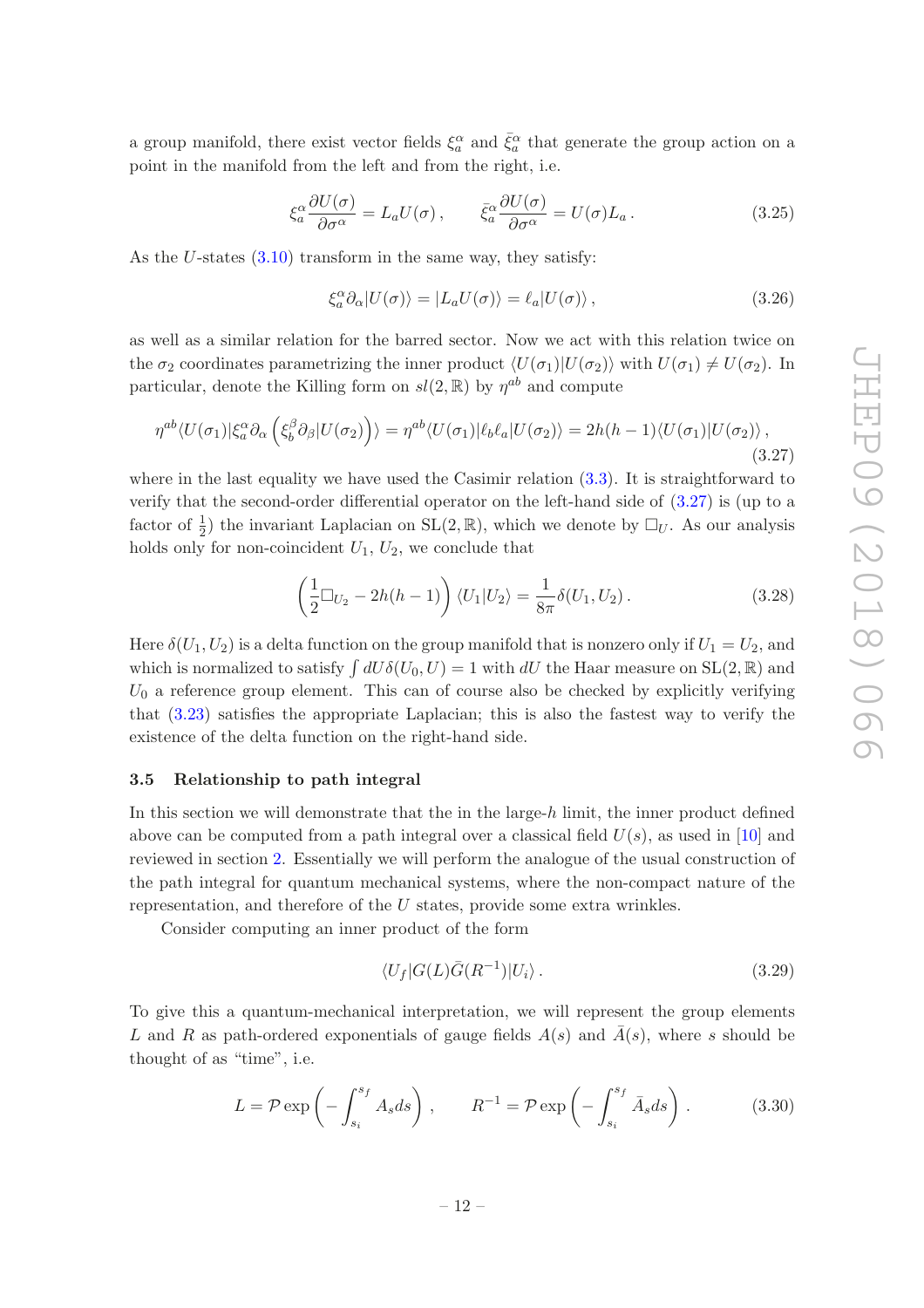a group manifold, there exist vector fields  $\xi_a^{\alpha}$  and  $\bar{\xi}_a^{\alpha}$  that generate the group action on a point in the manifold from the left and from the right, i.e.

<span id="page-13-4"></span>
$$
\xi_a^{\alpha} \frac{\partial U(\sigma)}{\partial \sigma^{\alpha}} = L_a U(\sigma), \qquad \bar{\xi}_a^{\alpha} \frac{\partial U(\sigma)}{\partial \sigma^{\alpha}} = U(\sigma) L_a. \tag{3.25}
$$

As the U-states  $(3.10)$  transform in the same way, they satisfy:

$$
\xi_a^{\alpha} \partial_{\alpha} |U(\sigma)\rangle = |L_a U(\sigma)\rangle = \ell_a |U(\sigma)\rangle , \qquad (3.26)
$$

as well as a similar relation for the barred sector. Now we act with this relation twice on the  $\sigma_2$  coordinates parametrizing the inner product  $\langle U(\sigma_1)|U(\sigma_2)\rangle$  with  $U(\sigma_1)\neq U(\sigma_2)$ . In particular, denote the Killing form on  $sl(2,\mathbb{R})$  by  $\eta^{ab}$  and compute

<span id="page-13-1"></span>
$$
\eta^{ab}\langle U(\sigma_1)|\xi_a^{\alpha}\partial_{\alpha}\left(\xi_b^{\beta}\partial_{\beta}|U(\sigma_2)\right)\rangle = \eta^{ab}\langle U(\sigma_1)|\ell_b\ell_a|U(\sigma_2)\rangle = 2h(h-1)\langle U(\sigma_1)|U(\sigma_2)\rangle, \tag{3.27}
$$

where in the last equality we have used the Casimir relation  $(3.3)$ . It is straightforward to verify that the second-order differential operator on the left-hand side of [\(3.27\)](#page-13-1) is (up to a factor of  $\frac{1}{2}$ ) the invariant Laplacian on SL $(2,\mathbb{R})$ , which we denote by  $\Box_U$ . As our analysis holds only for non-coincident  $U_1, U_2$ , we conclude that

<span id="page-13-3"></span>
$$
\left(\frac{1}{2}\Box_{U_2} - 2h(h-1)\right) \langle U_1 | U_2 \rangle = \frac{1}{8\pi} \delta(U_1, U_2).
$$
 (3.28)

Here  $\delta(U_1, U_2)$  is a delta function on the group manifold that is nonzero only if  $U_1 = U_2$ , and which is normalized to satisfy  $\int dU \delta(U_0, U) = 1$  with  $dU$  the Haar measure on  $SL(2, \mathbb{R})$  and  $U_0$  a reference group element. This can of course also be checked by explicitly verifying that [\(3.23\)](#page-12-2) satisfies the appropriate Laplacian; this is also the fastest way to verify the existence of the delta function on the right-hand side.

#### <span id="page-13-0"></span>3.5 Relationship to path integral

In this section we will demonstrate that the in the large- $h$  limit, the inner product defined above can be computed from a path integral over a classical field  $U(s)$ , as used in [\[10\]](#page-42-6) and reviewed in section [2.](#page-4-0) Essentially we will perform the analogue of the usual construction of the path integral for quantum mechanical systems, where the non-compact nature of the representation, and therefore of the U states, provide some extra wrinkles.

Consider computing an inner product of the form

<span id="page-13-2"></span>
$$
\langle U_f | G(L) \bar{G}(R^{-1}) | U_i \rangle . \tag{3.29}
$$

To give this a quantum-mechanical interpretation, we will represent the group elements L and R as path-ordered exponentials of gauge fields  $A(s)$  and  $\overline{A}(s)$ , where s should be thought of as "time", i.e.

$$
L = \mathcal{P} \exp\left(-\int_{s_i}^{s_f} A_s ds\right), \qquad R^{-1} = \mathcal{P} \exp\left(-\int_{s_i}^{s_f} \bar{A}_s ds\right). \tag{3.30}
$$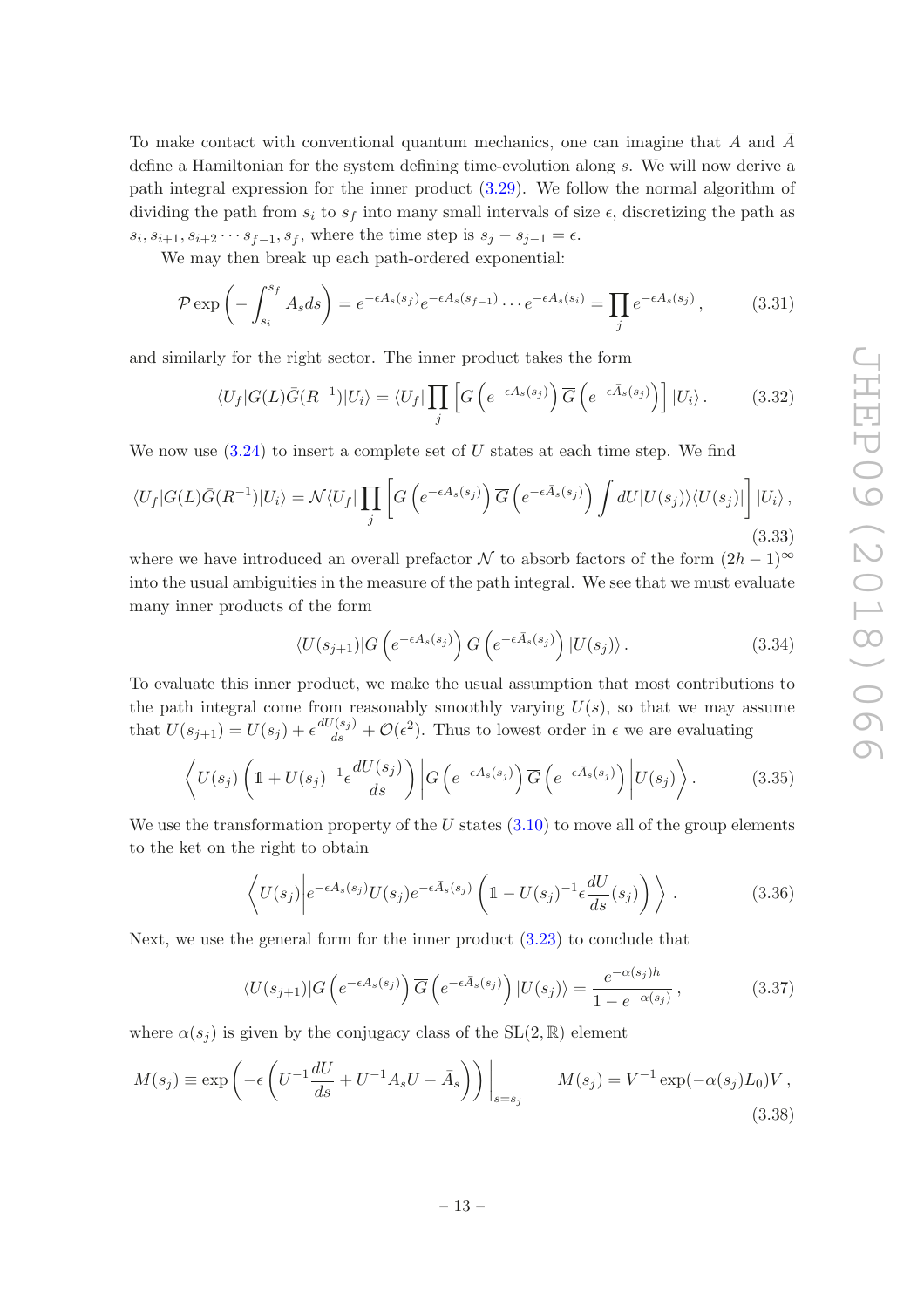To make contact with conventional quantum mechanics, one can imagine that A and  $\overline{A}$ define a Hamiltonian for the system defining time-evolution along s. We will now derive a path integral expression for the inner product [\(3.29\)](#page-13-2). We follow the normal algorithm of dividing the path from  $s_i$  to  $s_f$  into many small intervals of size  $\epsilon$ , discretizing the path as  $s_i, s_{i+1}, s_{i+2} \cdots s_{f-1}, s_f$ , where the time step is  $s_j - s_{j-1} = \epsilon$ .

We may then break up each path-ordered exponential:

$$
\mathcal{P} \exp\left(-\int_{s_i}^{s_f} A_s ds\right) = e^{-\epsilon A_s(s_f)} e^{-\epsilon A_s(s_{f-1})} \cdots e^{-\epsilon A_s(s_i)} = \prod_j e^{-\epsilon A_s(s_j)},\tag{3.31}
$$

and similarly for the right sector. The inner product takes the form

$$
\langle U_f | G(L) \bar{G}(R^{-1}) | U_i \rangle = \langle U_f | \prod_j \left[ G\left( e^{-\epsilon A_s(s_j)} \right) \overline{G} \left( e^{-\epsilon \bar{A}_s(s_j)} \right) \right] | U_i \rangle. \tag{3.32}
$$

We now use  $(3.24)$  to insert a complete set of U states at each time step. We find

$$
\langle U_f | G(L) \bar{G}(R^{-1}) | U_i \rangle = \mathcal{N} \langle U_f | \prod_j \left[ G\left( e^{-\epsilon A_s(s_j)} \right) \overline{G} \left( e^{-\epsilon \bar{A}_s(s_j)} \right) \int dU | U(s_j) \rangle \langle U(s_j) | \right] | U_i \rangle , \tag{3.33}
$$

where we have introduced an overall prefactor N to absorb factors of the form  $(2h-1)^\infty$ into the usual ambiguities in the measure of the path integral. We see that we must evaluate many inner products of the form

$$
\langle U(s_{j+1})|G\left(e^{-\epsilon A_s(s_j)}\right)\overline{G}\left(e^{-\epsilon \overline{A}_s(s_j)}\right)|U(s_j)\rangle.
$$
 (3.34)

To evaluate this inner product, we make the usual assumption that most contributions to the path integral come from reasonably smoothly varying  $U(s)$ , so that we may assume that  $U(s_{j+1}) = U(s_j) + \epsilon \frac{dU(s_j)}{ds} + \mathcal{O}(\epsilon^2)$ . Thus to lowest order in  $\epsilon$  we are evaluating

$$
\left\langle U(s_j) \left( 1 + U(s_j)^{-1} \epsilon \frac{dU(s_j)}{ds} \right) \left| G \left( e^{-\epsilon A_s(s_j)} \right) \overline{G} \left( e^{-\epsilon \overline{A}_s(s_j)} \right) \left| U(s_j) \right. \right\rangle. \tag{3.35}
$$

We use the transformation property of the U states  $(3.10)$  to move all of the group elements to the ket on the right to obtain

$$
\left\langle U(s_j) \middle| e^{-\epsilon A_s(s_j)} U(s_j) e^{-\epsilon \bar{A}_s(s_j)} \left( 1 - U(s_j)^{-1} \epsilon \frac{dU}{ds}(s_j) \right) \right\rangle. \tag{3.36}
$$

Next, we use the general form for the inner product [\(3.23\)](#page-12-2) to conclude that

$$
\langle U(s_{j+1})|G\left(e^{-\epsilon A_s(s_j)}\right)\overline{G}\left(e^{-\epsilon \overline{A}_s(s_j)}\right)|U(s_j)\rangle = \frac{e^{-\alpha(s_j)h}}{1 - e^{-\alpha(s_j)}},\tag{3.37}
$$

where  $\alpha(s_i)$  is given by the conjugacy class of the  $SL(2,\mathbb{R})$  element

<span id="page-14-0"></span>
$$
M(s_j) \equiv \exp\left(-\epsilon \left(U^{-1}\frac{dU}{ds} + U^{-1}A_sU - \bar{A}_s\right)\right)\Big|_{s=s_j} \qquad M(s_j) = V^{-1}\exp(-\alpha(s_j)L_0)V,
$$
\n(3.38)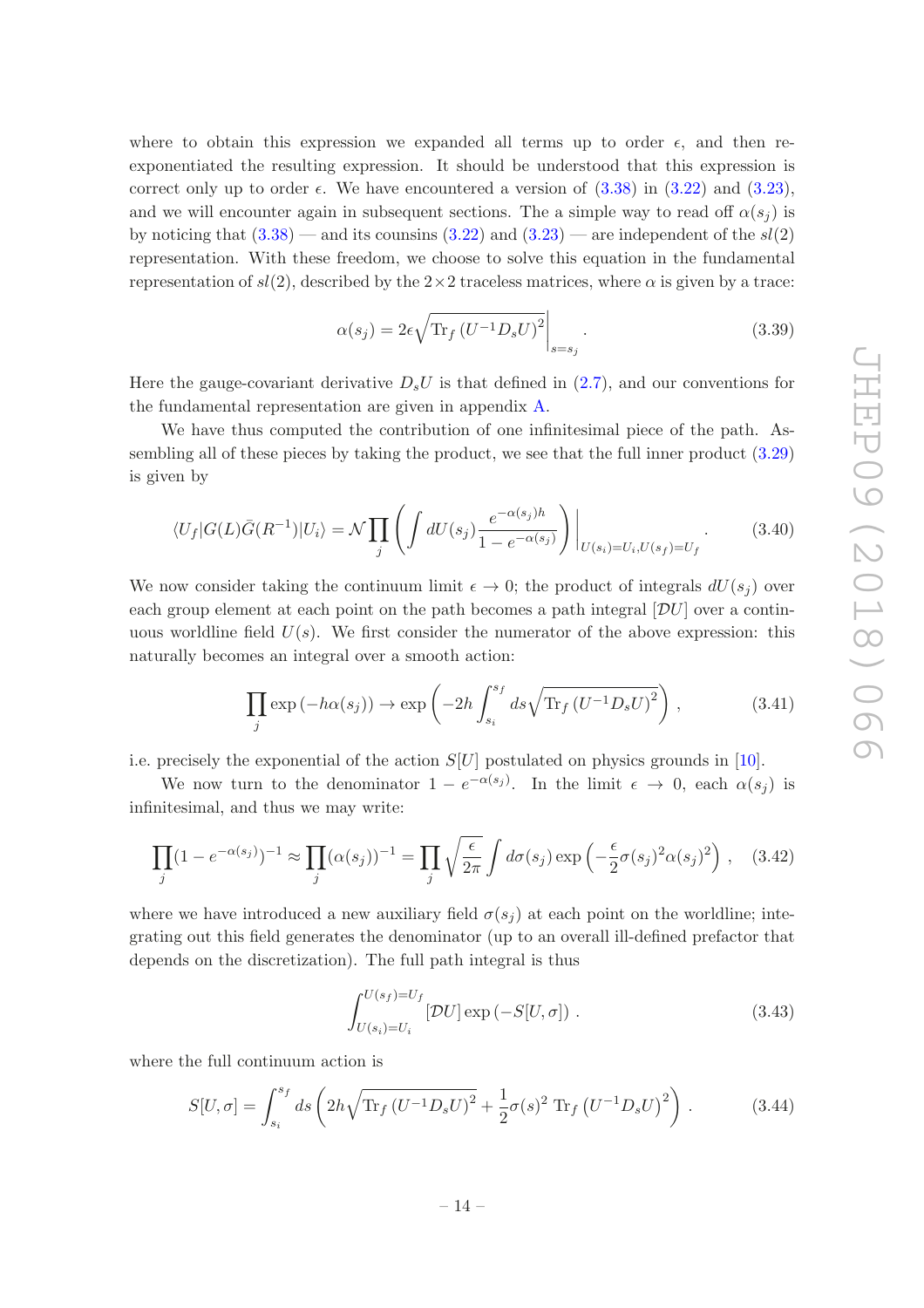where to obtain this expression we expanded all terms up to order  $\epsilon$ , and then reexponentiated the resulting expression. It should be understood that this expression is correct only up to order  $\epsilon$ . We have encountered a version of  $(3.38)$  in  $(3.22)$  and  $(3.23)$ , and we will encounter again in subsequent sections. The a simple way to read off  $\alpha(s_i)$  is by noticing that  $(3.38)$  — and its counsins  $(3.22)$  and  $(3.23)$  — are independent of the  $sl(2)$ representation. With these freedom, we choose to solve this equation in the fundamental representation of  $sl(2)$ , described by the  $2\times 2$  traceless matrices, where  $\alpha$  is given by a trace:

$$
\alpha(s_j) = 2\epsilon \sqrt{\text{Tr}_f \left( U^{-1} D_s U \right)^2} \bigg|_{s=s_j}.
$$
\n(3.39)

Here the gauge-covariant derivative  $D_sU$  is that defined in [\(2.7\)](#page-6-4), and our conventions for the fundamental representation are given in appendix [A.](#page-34-0)

We have thus computed the contribution of one infinitesimal piece of the path. Assembling all of these pieces by taking the product, we see that the full inner product [\(3.29\)](#page-13-2) is given by

$$
\langle U_f | G(L) \bar{G}(R^{-1}) | U_i \rangle = \mathcal{N} \prod_j \left( \int dU(s_j) \frac{e^{-\alpha(s_j)h}}{1 - e^{-\alpha(s_j)}} \right) \Big|_{U(s_i) = U_i, U(s_f) = U_f} . \tag{3.40}
$$

We now consider taking the continuum limit  $\epsilon \to 0$ ; the product of integrals  $dU(s_i)$  over each group element at each point on the path becomes a path integral  $[\mathcal{D}U]$  over a continuous worldline field  $U(s)$ . We first consider the numerator of the above expression: this naturally becomes an integral over a smooth action:

$$
\prod_{j} \exp(-h\alpha(s_j)) \to \exp\left(-2h \int_{s_i}^{s_f} ds \sqrt{\text{Tr}_f (U^{-1} D_s U)^2}\right), \tag{3.41}
$$

i.e. precisely the exponential of the action  $S[U]$  postulated on physics grounds in [\[10\]](#page-42-6).

We now turn to the denominator  $1 - e^{-\alpha(s_j)}$ . In the limit  $\epsilon \to 0$ , each  $\alpha(s_j)$  is infinitesimal, and thus we may write:

$$
\prod_j (1 - e^{-\alpha(s_j)})^{-1} \approx \prod_j (\alpha(s_j))^{-1} = \prod_j \sqrt{\frac{\epsilon}{2\pi}} \int d\sigma(s_j) \exp\left(-\frac{\epsilon}{2}\sigma(s_j)^2 \alpha(s_j)^2\right), \quad (3.42)
$$

where we have introduced a new auxiliary field  $\sigma(s_i)$  at each point on the worldline; integrating out this field generates the denominator (up to an overall ill-defined prefactor that depends on the discretization). The full path integral is thus

$$
\int_{U(s_i)=U_i}^{U(s_f)=U_f} [\mathcal{D}U] \exp(-S[U,\sigma]). \tag{3.43}
$$

where the full continuum action is

$$
S[U,\sigma] = \int_{s_i}^{s_f} ds \left( 2h\sqrt{\text{Tr}_f (U^{-1}D_s U)^2} + \frac{1}{2}\sigma(s)^2 \text{Tr}_f (U^{-1}D_s U)^2 \right). \tag{3.44}
$$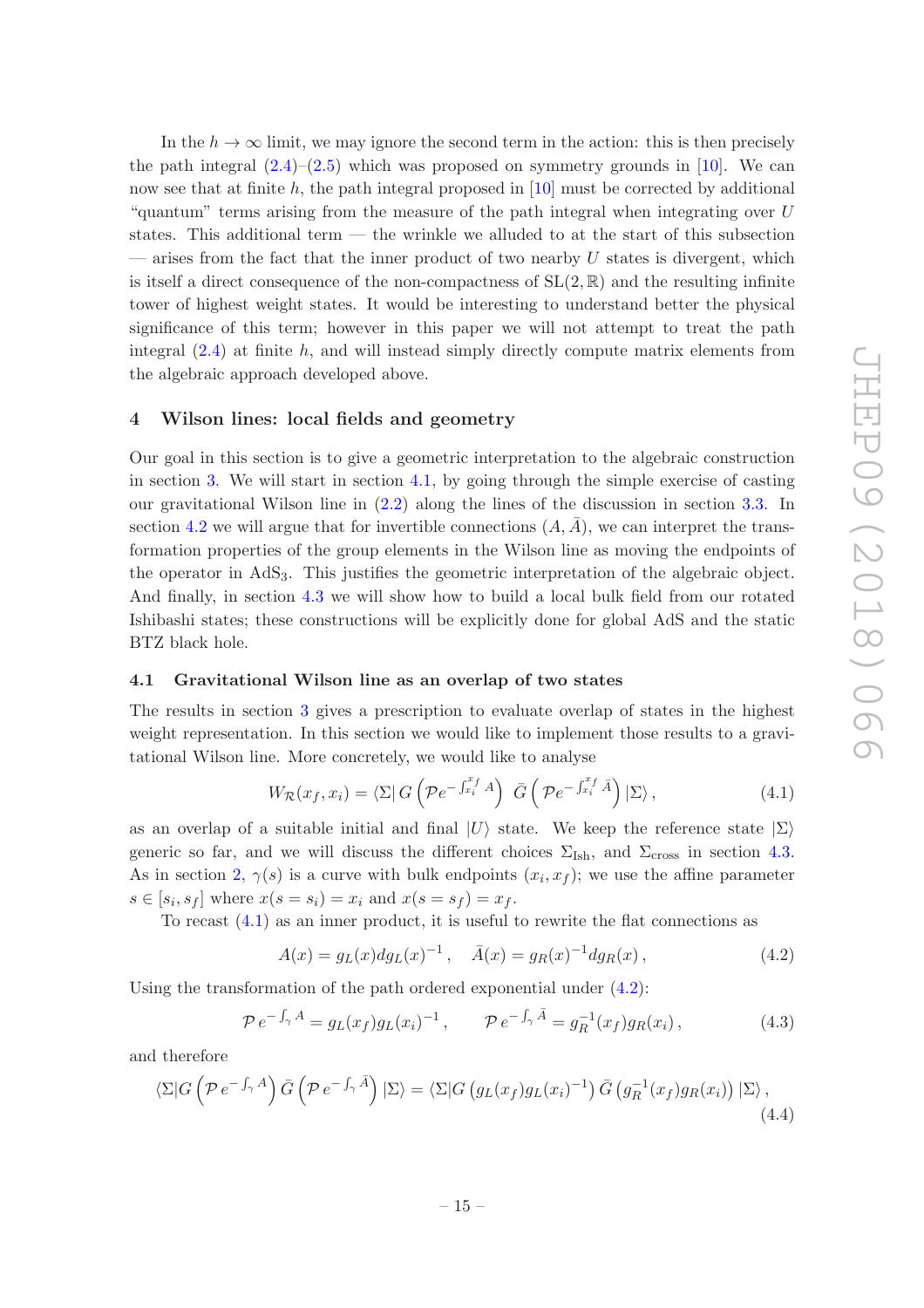In the  $h \to \infty$  limit, we may ignore the second term in the action: this is then precisely the path integral  $(2.4)$ – $(2.5)$  which was proposed on symmetry grounds in [\[10\]](#page-42-6). We can now see that at finite h, the path integral proposed in  $[10]$  must be corrected by additional "quantum" terms arising from the measure of the path integral when integrating over U states. This additional term — the wrinkle we alluded to at the start of this subsection — arises from the fact that the inner product of two nearby  $U$  states is divergent, which is itself a direct consequence of the non-compactness of  $SL(2,\mathbb{R})$  and the resulting infinite tower of highest weight states. It would be interesting to understand better the physical significance of this term; however in this paper we will not attempt to treat the path integral  $(2.4)$  at finite h, and will instead simply directly compute matrix elements from the algebraic approach developed above.

### <span id="page-16-0"></span>4 Wilson lines: local fields and geometry

Our goal in this section is to give a geometric interpretation to the algebraic construction in section [3.](#page-8-0) We will start in section [4.1,](#page-16-1) by going through the simple exercise of casting our gravitational Wilson line in [\(2.2\)](#page-5-1) along the lines of the discussion in section [3.3.](#page-11-0) In section [4.2](#page-18-0) we will argue that for invertible connections  $(A, A)$ , we can interpret the transformation properties of the group elements in the Wilson line as moving the endpoints of the operator in  $AdS<sub>3</sub>$ . This justifies the geometric interpretation of the algebraic object. And finally, in section [4.3](#page-20-0) we will show how to build a local bulk field from our rotated Ishibashi states; these constructions will be explicitly done for global AdS and the static BTZ black hole.

### <span id="page-16-1"></span>4.1 Gravitational Wilson line as an overlap of two states

The results in section [3](#page-8-0) gives a prescription to evaluate overlap of states in the highest weight representation. In this section we would like to implement those results to a gravitational Wilson line. More concretely, we would like to analyse

<span id="page-16-2"></span>
$$
W_{\mathcal{R}}(x_f, x_i) = \langle \Sigma | G\left(\mathcal{P}e^{-\int_{x_i}^{x_f} A}\right) \bar{G}\left(\mathcal{P}e^{-\int_{x_i}^{x_f} \bar{A}}\right) | \Sigma \rangle, \qquad (4.1)
$$

as an overlap of a suitable initial and final  $|U\rangle$  state. We keep the reference state  $|\Sigma\rangle$ generic so far, and we will discuss the different choices  $\Sigma_{\text{Ish}}$ , and  $\Sigma_{\text{cross}}$  in section [4.3.](#page-20-0) As in section [2,](#page-4-0)  $\gamma(s)$  is a curve with bulk endpoints  $(x_i, x_f)$ ; we use the affine parameter  $s \in [s_i, s_f]$  where  $x(s = s_i) = x_i$  and  $x(s = s_f) = x_f$ .

To recast [\(4.1\)](#page-16-2) as an inner product, it is useful to rewrite the flat connections as

<span id="page-16-3"></span>
$$
A(x) = g_L(x) dg_L(x)^{-1}, \quad \bar{A}(x) = g_R(x)^{-1} dg_R(x), \tag{4.2}
$$

Using the transformation of the path ordered exponential under [\(4.2\)](#page-16-3):

<span id="page-16-4"></span>
$$
\mathcal{P} e^{-\int_{\gamma} A} = g_L(x_f) g_L(x_i)^{-1}, \qquad \mathcal{P} e^{-\int_{\gamma} \bar{A}} = g_R^{-1}(x_f) g_R(x_i), \qquad (4.3)
$$

and therefore

$$
\langle \Sigma | G \left( \mathcal{P} e^{-\int_{\gamma} A} \right) \bar{G} \left( \mathcal{P} e^{-\int_{\gamma} \bar{A}} \right) | \Sigma \rangle = \langle \Sigma | G \left( g_L(x_f) g_L(x_i)^{-1} \right) \bar{G} \left( g_R^{-1}(x_f) g_R(x_i) \right) | \Sigma \rangle, \tag{4.4}
$$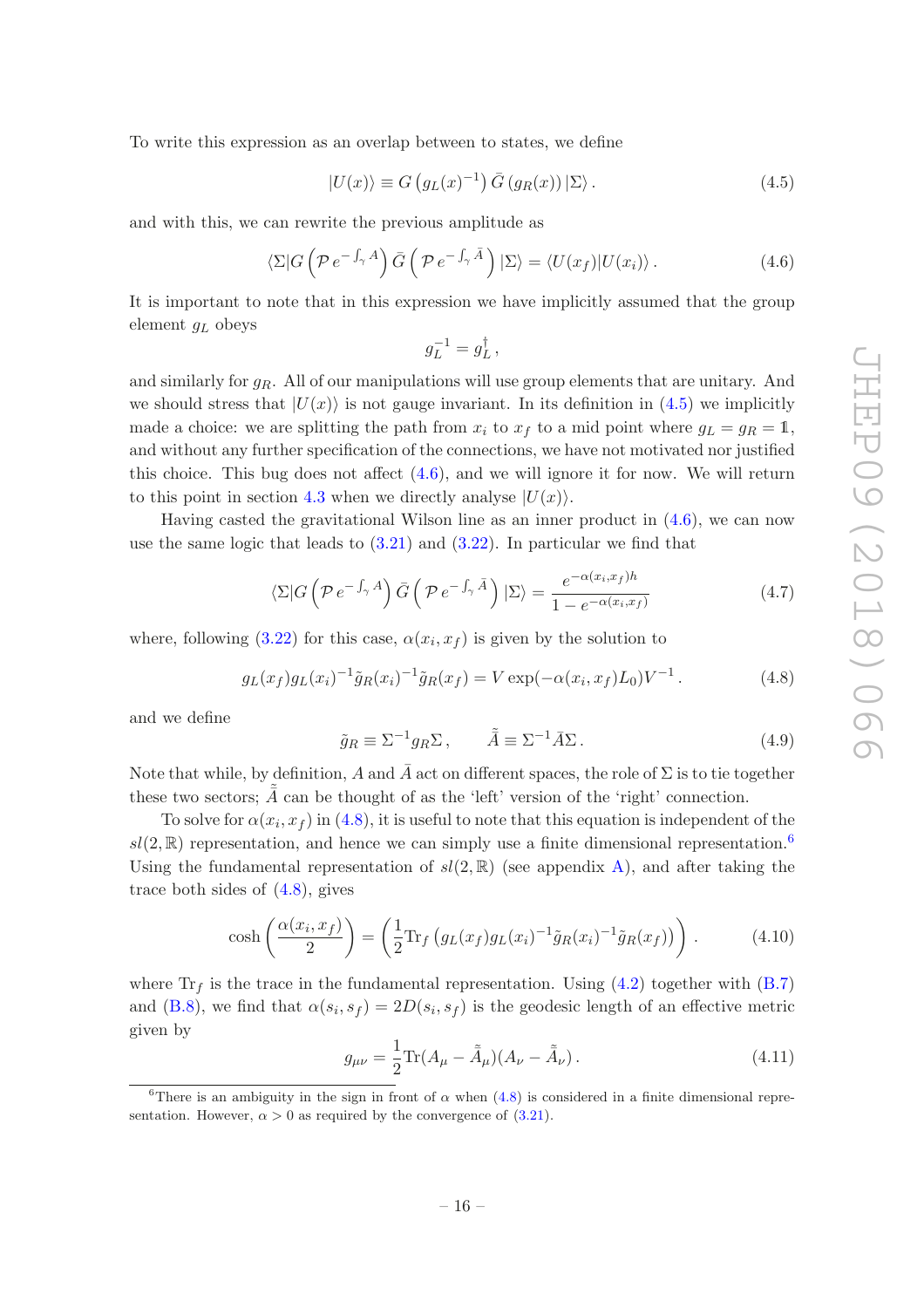To write this expression as an overlap between to states, we define

<span id="page-17-0"></span>
$$
|U(x)\rangle \equiv G\left(g_L(x)^{-1}\right)\bar{G}\left(g_R(x)\right)|\Sigma\rangle\,. \tag{4.5}
$$

and with this, we can rewrite the previous amplitude as

<span id="page-17-1"></span>
$$
\langle \Sigma | G \left( \mathcal{P} e^{-\int_{\gamma} A} \right) \bar{G} \left( \mathcal{P} e^{-\int_{\gamma} \bar{A}} \right) | \Sigma \rangle = \langle U(x_f) | U(x_i) \rangle. \tag{4.6}
$$

It is important to note that in this expression we have implicitly assumed that the group element  $g_L$  obeys

$$
g_L^{-1} = g_L^{\dagger} \,,
$$

and similarly for  $g_R$ . All of our manipulations will use group elements that are unitary. And we should stress that  $|U(x)\rangle$  is not gauge invariant. In its definition in [\(4.5\)](#page-17-0) we implicitly made a choice: we are splitting the path from  $x_i$  to  $x_f$  to a mid point where  $g_L = g_R = 1$ , and without any further specification of the connections, we have not motivated nor justified this choice. This bug does not affect  $(4.6)$ , and we will ignore it for now. We will return to this point in section [4.3](#page-20-0) when we directly analyse  $|U(x)\rangle$ .

Having casted the gravitational Wilson line as an inner product in [\(4.6\)](#page-17-1), we can now use the same logic that leads to [\(3.21\)](#page-12-1) and [\(3.22\)](#page-12-4). In particular we find that

$$
\langle \Sigma | G \left( \mathcal{P} e^{-\int_{\gamma} A} \right) \bar{G} \left( \mathcal{P} e^{-\int_{\gamma} \bar{A}} \right) | \Sigma \rangle = \frac{e^{-\alpha(x_i, x_f)h}}{1 - e^{-\alpha(x_i, x_f)}}
$$
(4.7)

where, following  $(3.22)$  for this case,  $\alpha(x_i, x_f)$  is given by the solution to

<span id="page-17-2"></span>
$$
g_L(x_f)g_L(x_i)^{-1}\tilde{g}_R(x_i)^{-1}\tilde{g}_R(x_f) = V \exp(-\alpha(x_i, x_f)L_0)V^{-1}.
$$
 (4.8)

and we define

$$
\tilde{g}_R \equiv \Sigma^{-1} g_R \Sigma \,, \qquad \tilde{\tilde{A}} \equiv \Sigma^{-1} \bar{A} \Sigma \,. \tag{4.9}
$$

Note that while, by definition, A and  $\bar{A}$  act on different spaces, the role of  $\Sigma$  is to tie together these two sectors;  $\tilde{\tilde{A}}$  can be thought of as the 'left' version of the 'right' connection.

To solve for  $\alpha(x_i, x_f)$  in [\(4.8\)](#page-17-2), it is useful to note that this equation is independent of the  $sl(2,\mathbb{R})$  representation, and hence we can simply use a finite dimensional representation.<sup>[6](#page-17-3)</sup> Using the fundamental representation of  $sl(2,\mathbb{R})$  (see appendix [A\)](#page-34-0), and after taking the trace both sides of  $(4.8)$ , gives

$$
\cosh\left(\frac{\alpha(x_i, x_f)}{2}\right) = \left(\frac{1}{2} \text{Tr}_f\left(g_L(x_f)g_L(x_i)^{-1}\tilde{g}_R(x_i)^{-1}\tilde{g}_R(x_f)\right)\right). \tag{4.10}
$$

where  $Tr<sub>f</sub>$  is the trace in the fundamental representation. Using [\(4.2\)](#page-16-3) together with [\(B.7\)](#page-36-1) and [\(B.8\)](#page-37-0), we find that  $\alpha(s_i, s_f) = 2D(s_i, s_f)$  is the geodesic length of an effective metric given by

<span id="page-17-4"></span>
$$
g_{\mu\nu} = \frac{1}{2} \text{Tr}(A_{\mu} - \tilde{A}_{\mu})(A_{\nu} - \tilde{A}_{\nu}). \qquad (4.11)
$$

<span id="page-17-3"></span><sup>&</sup>lt;sup>6</sup>There is an ambiguity in the sign in front of  $\alpha$  when [\(4.8\)](#page-17-2) is considered in a finite dimensional representation. However,  $\alpha > 0$  as required by the convergence of [\(3.21\)](#page-12-1).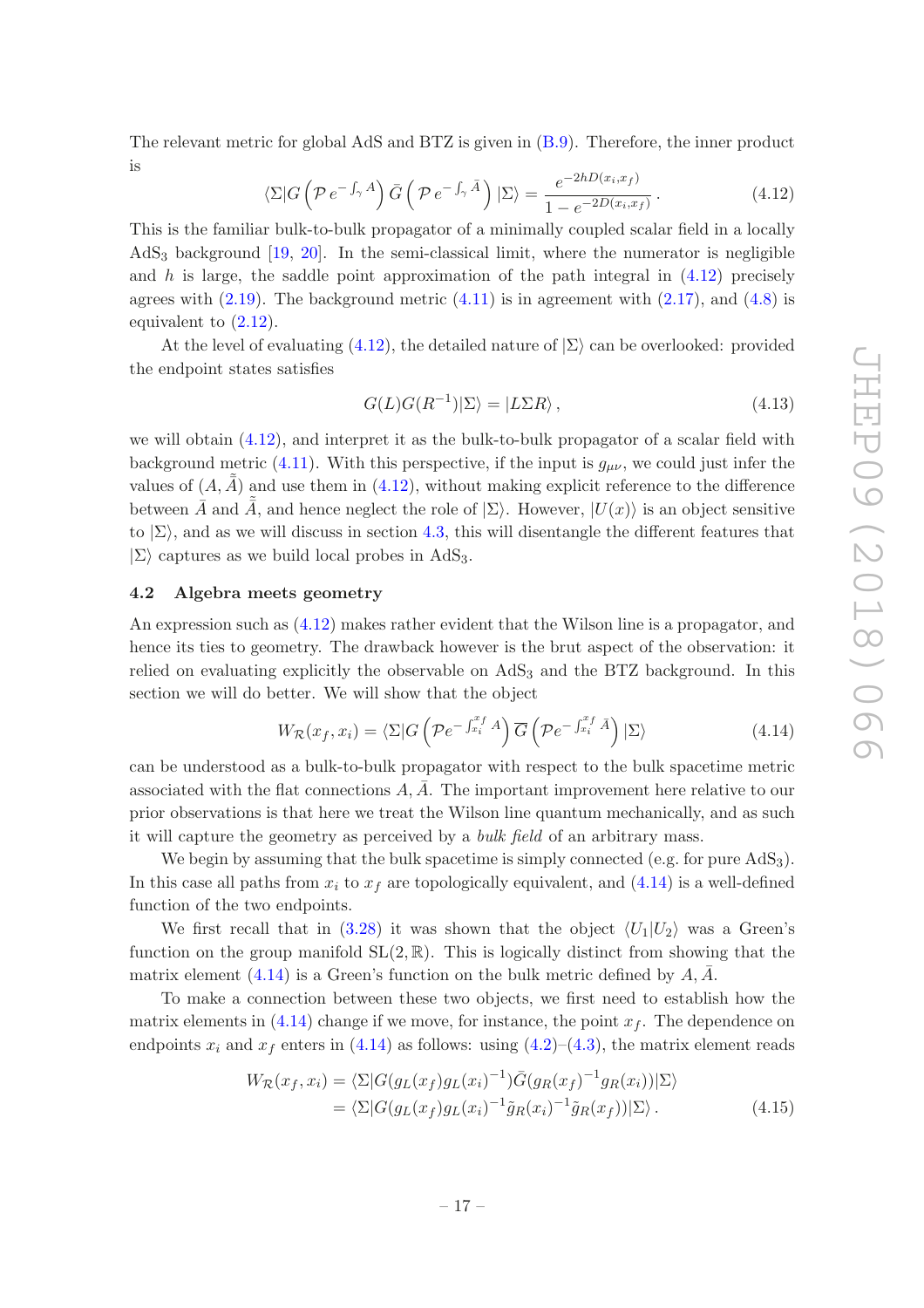The relevant metric for global AdS and BTZ is given in [\(B.9\)](#page-37-1). Therefore, the inner product is

<span id="page-18-1"></span>
$$
\langle \Sigma | G \left( \mathcal{P} e^{-\int_{\gamma} A} \right) \bar{G} \left( \mathcal{P} e^{-\int_{\gamma} \bar{A}} \right) | \Sigma \rangle = \frac{e^{-2hD(x_i, x_f)}}{1 - e^{-2D(x_i, x_f)}}.
$$
\n(4.12)

This is the familiar bulk-to-bulk propagator of a minimally coupled scalar field in a locally AdS<sup>3</sup> background [\[19](#page-43-1), [20\]](#page-43-2). In the semi-classical limit, where the numerator is negligible and h is large, the saddle point approximation of the path integral in  $(4.12)$  precisely agrees with  $(2.19)$ . The background metric  $(4.11)$  is in agreement with  $(2.17)$ , and  $(4.8)$  is equivalent to [\(2.12\)](#page-7-2).

At the level of evaluating [\(4.12\)](#page-18-1), the detailed nature of  $\Sigma$  can be overlooked: provided the endpoint states satisfies

$$
G(L)G(R^{-1})|\Sigma\rangle = |L\Sigma R\rangle, \qquad (4.13)
$$

we will obtain [\(4.12\)](#page-18-1), and interpret it as the bulk-to-bulk propagator of a scalar field with background metric [\(4.11\)](#page-17-4). With this perspective, if the input is  $g_{\mu\nu}$ , we could just infer the values of  $(A, \tilde{A})$  and use them in [\(4.12\)](#page-18-1), without making explicit reference to the difference between  $\tilde{A}$  and  $\tilde{A}$ , and hence neglect the role of  $|\Sigma\rangle$ . However,  $|U(x)\rangle$  is an object sensitive to  $|\Sigma\rangle$ , and as we will discuss in section [4.3,](#page-20-0) this will disentangle the different features that  $|\Sigma\rangle$  captures as we build local probes in AdS<sub>3</sub>.

#### <span id="page-18-0"></span>4.2 Algebra meets geometry

An expression such as [\(4.12\)](#page-18-1) makes rather evident that the Wilson line is a propagator, and hence its ties to geometry. The drawback however is the brut aspect of the observation: it relied on evaluating explicitly the observable on  $AdS<sub>3</sub>$  and the BTZ background. In this section we will do better. We will show that the object

<span id="page-18-2"></span>
$$
W_{\mathcal{R}}(x_f, x_i) = \langle \Sigma | G\left(\mathcal{P}e^{-\int_{x_i}^{x_f} A}\right) \overline{G}\left(\mathcal{P}e^{-\int_{x_i}^{x_f} \overline{A}}\right) | \Sigma \rangle \tag{4.14}
$$

can be understood as a bulk-to-bulk propagator with respect to the bulk spacetime metric associated with the flat connections  $\vec{A}$ ,  $\vec{A}$ . The important improvement here relative to our prior observations is that here we treat the Wilson line quantum mechanically, and as such it will capture the geometry as perceived by a bulk field of an arbitrary mass.

We begin by assuming that the bulk spacetime is simply connected (e.g. for pure  $AdS_3$ ). In this case all paths from  $x_i$  to  $x_f$  are topologically equivalent, and [\(4.14\)](#page-18-2) is a well-defined function of the two endpoints.

We first recall that in [\(3.28\)](#page-13-3) it was shown that the object  $\langle U_1|U_2\rangle$  was a Green's function on the group manifold  $SL(2,\mathbb{R})$ . This is logically distinct from showing that the matrix element [\(4.14\)](#page-18-2) is a Green's function on the bulk metric defined by  $A, \overline{A}$ .

To make a connection between these two objects, we first need to establish how the matrix elements in  $(4.14)$  change if we move, for instance, the point  $x<sub>f</sub>$ . The dependence on endpoints  $x_i$  and  $x_f$  enters in [\(4.14\)](#page-18-2) as follows: using [\(4.2\)](#page-16-3)–[\(4.3\)](#page-16-4), the matrix element reads

<span id="page-18-3"></span>
$$
W_{\mathcal{R}}(x_f, x_i) = \langle \Sigma | G(g_L(x_f)g_L(x_i)^{-1}) \bar{G}(g_R(x_f)^{-1}g_R(x_i)) | \Sigma \rangle
$$
  
= 
$$
\langle \Sigma | G(g_L(x_f)g_L(x_i)^{-1} \tilde{g}_R(x_i)^{-1} \tilde{g}_R(x_f)) | \Sigma \rangle.
$$
 (4.15)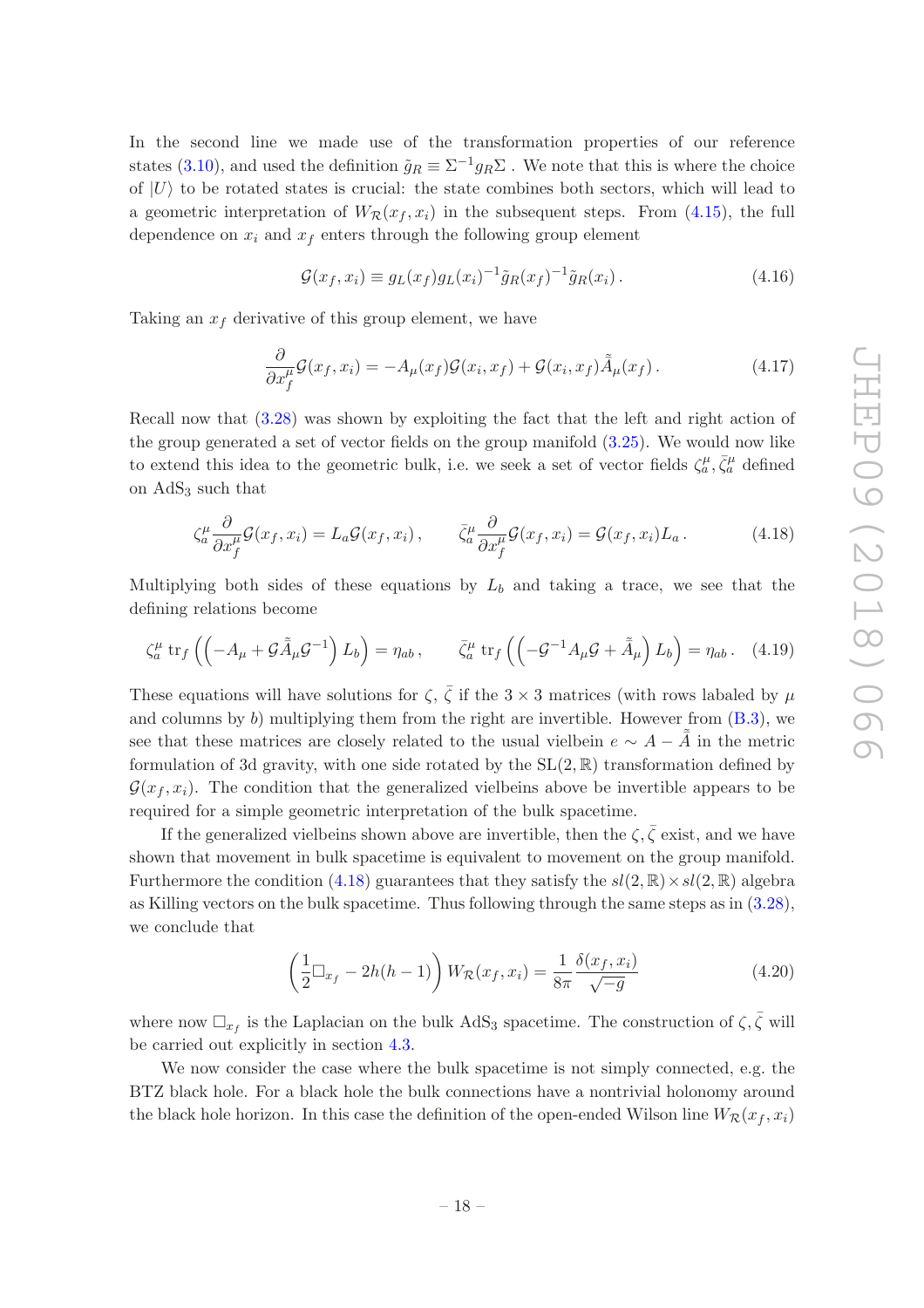In the second line we made use of the transformation properties of our reference states [\(3.10\)](#page-10-5), and used the definition  $\tilde{g}_R \equiv \Sigma^{-1} g_R \Sigma$ . We note that this is where the choice of  $|U\rangle$  to be rotated states is crucial: the state combines both sectors, which will lead to a geometric interpretation of  $W_R(x_f, x_i)$  in the subsequent steps. From [\(4.15\)](#page-18-3), the full dependence on  $x_i$  and  $x_f$  enters through the following group element

$$
\mathcal{G}(x_f, x_i) \equiv g_L(x_f)g_L(x_i)^{-1}\tilde{g}_R(x_f)^{-1}\tilde{g}_R(x_i). \tag{4.16}
$$

Taking an  $x_f$  derivative of this group element, we have

$$
\frac{\partial}{\partial x_f^{\mu}} \mathcal{G}(x_f, x_i) = -A_{\mu}(x_f) \mathcal{G}(x_i, x_f) + \mathcal{G}(x_i, x_f) \tilde{A}_{\mu}(x_f).
$$
\n(4.17)

Recall now that [\(3.28\)](#page-13-3) was shown by exploiting the fact that the left and right action of the group generated a set of vector fields on the group manifold [\(3.25\)](#page-13-4). We would now like to extend this idea to the geometric bulk, i.e. we seek a set of vector fields  $\zeta_a^{\mu}, \bar{\zeta}_a^{\mu}$  defined on AdS<sup>3</sup> such that

<span id="page-19-0"></span>
$$
\zeta_a^{\mu} \frac{\partial}{\partial x_f^{\mu}} \mathcal{G}(x_f, x_i) = L_a \mathcal{G}(x_f, x_i), \qquad \bar{\zeta}_a^{\mu} \frac{\partial}{\partial x_f^{\mu}} \mathcal{G}(x_f, x_i) = \mathcal{G}(x_f, x_i) L_a.
$$
 (4.18)

Multiplying both sides of these equations by  $L_b$  and taking a trace, we see that the defining relations become

$$
\zeta_a^{\mu} \operatorname{tr}_f \left( \left( -A_{\mu} + \mathcal{G}\tilde{A}_{\mu}\mathcal{G}^{-1} \right) L_b \right) = \eta_{ab} , \qquad \bar{\zeta}_a^{\mu} \operatorname{tr}_f \left( \left( -\mathcal{G}^{-1}A_{\mu}\mathcal{G} + \tilde{A}_{\mu} \right) L_b \right) = \eta_{ab} . \tag{4.19}
$$

These equations will have solutions for  $\zeta$ ,  $\overline{\zeta}$  if the 3 × 3 matrices (with rows labaled by  $\mu$ and columns by  $b$ ) multiplying them from the right are invertible. However from  $(B.3)$ , we see that these matrices are closely related to the usual vielbein  $e \sim A - \tilde{\tilde{A}}$  in the metric formulation of 3d gravity, with one side rotated by the  $SL(2,\mathbb{R})$  transformation defined by  $\mathcal{G}(x_f, x_i)$ . The condition that the generalized vielbeins above be invertible appears to be required for a simple geometric interpretation of the bulk spacetime.

If the generalized vielbeins shown above are invertible, then the  $\zeta, \bar{\zeta}$  exist, and we have shown that movement in bulk spacetime is equivalent to movement on the group manifold. Furthermore the condition [\(4.18\)](#page-19-0) guarantees that they satisfy the  $sl(2,\mathbb{R})\times sl(2,\mathbb{R})$  algebra as Killing vectors on the bulk spacetime. Thus following through the same steps as in [\(3.28\)](#page-13-3), we conclude that

$$
\left(\frac{1}{2}\Box_{x_f} - 2h(h-1)\right)W_{\mathcal{R}}(x_f, x_i) = \frac{1}{8\pi} \frac{\delta(x_f, x_i)}{\sqrt{-g}}
$$
(4.20)

where now  $\Box_{x_f}$  is the Laplacian on the bulk AdS<sub>3</sub> spacetime. The construction of  $\zeta, \bar{\zeta}$  will be carried out explicitly in section [4.3.](#page-20-0)

We now consider the case where the bulk spacetime is not simply connected, e.g. the BTZ black hole. For a black hole the bulk connections have a nontrivial holonomy around the black hole horizon. In this case the definition of the open-ended Wilson line  $W_R(x_f, x_i)$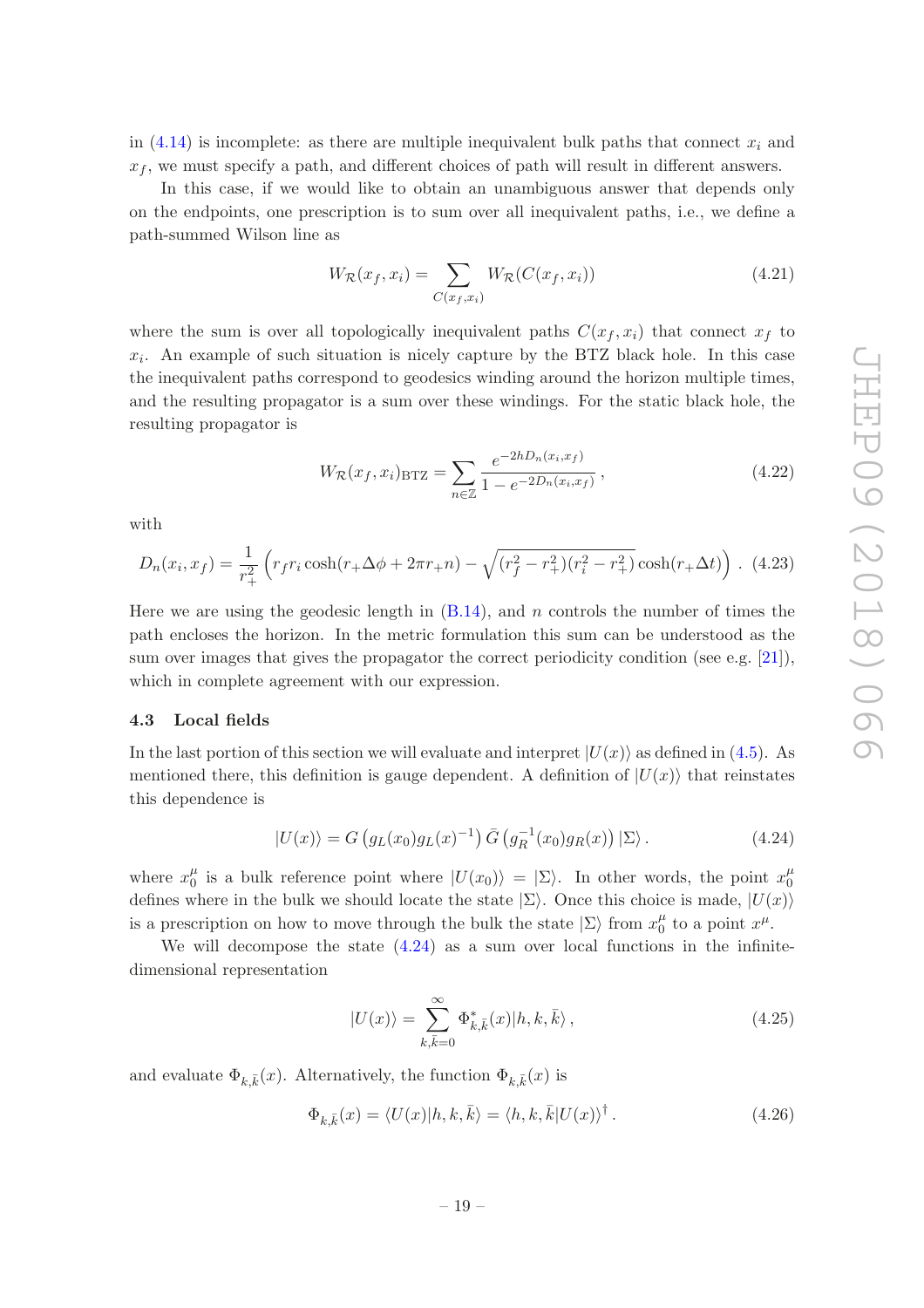in [\(4.14\)](#page-18-2) is incomplete: as there are multiple inequivalent bulk paths that connect  $x_i$  and  $x<sub>f</sub>$ , we must specify a path, and different choices of path will result in different answers.

In this case, if we would like to obtain an unambiguous answer that depends only on the endpoints, one prescription is to sum over all inequivalent paths, i.e., we define a path-summed Wilson line as

$$
W_{\mathcal{R}}(x_f, x_i) = \sum_{C(x_f, x_i)} W_{\mathcal{R}}(C(x_f, x_i))
$$
\n(4.21)

where the sum is over all topologically inequivalent paths  $C(x_f, x_i)$  that connect  $x_f$  to  $x_i$ . An example of such situation is nicely capture by the BTZ black hole. In this case the inequivalent paths correspond to geodesics winding around the horizon multiple times, and the resulting propagator is a sum over these windings. For the static black hole, the resulting propagator is

$$
W_{\mathcal{R}}(x_f, x_i)_{\text{BTZ}} = \sum_{n \in \mathbb{Z}} \frac{e^{-2hD_n(x_i, x_f)}}{1 - e^{-2D_n(x_i, x_f)}},
$$
\n(4.22)

with

$$
D_n(x_i, x_f) = \frac{1}{r_+^2} \left( r_f r_i \cosh(r_+ \Delta \phi + 2\pi r_+ n) - \sqrt{(r_f^2 - r_+^2)(r_i^2 - r_+^2)} \cosh(r_+ \Delta t) \right). \tag{4.23}
$$

Here we are using the geodesic length in  $(B.14)$ , and n controls the number of times the path encloses the horizon. In the metric formulation this sum can be understood as the sum over images that gives the propagator the correct periodicity condition (see e.g. [\[21\]](#page-43-3)), which in complete agreement with our expression.

### <span id="page-20-0"></span>4.3 Local fields

In the last portion of this section we will evaluate and interpret  $|U(x)\rangle$  as defined in [\(4.5\)](#page-17-0). As mentioned there, this definition is gauge dependent. A definition of  $|U(x)\rangle$  that reinstates this dependence is

<span id="page-20-1"></span>
$$
|U(x)\rangle = G\left(g_L(x_0)g_L(x)^{-1}\right)\bar{G}\left(g_R^{-1}(x_0)g_R(x)\right)|\Sigma\rangle.
$$
 (4.24)

where  $x_0^{\mu}$  $\frac{\mu}{0}$  is a bulk reference point where  $|U(x_0)\rangle = |\Sigma\rangle$ . In other words, the point  $x_0^{\mu}$  $\mathbf{0}$ defines where in the bulk we should locate the state  $|\Sigma\rangle$ . Once this choice is made,  $|U(x)\rangle$ is a prescription on how to move through the bulk the state  $|\Sigma\rangle$  from  $x_0^{\mu}$  $\int_0^\mu$  to a point  $x^\mu$ .

We will decompose the state  $(4.24)$  as a sum over local functions in the infinitedimensional representation

<span id="page-20-3"></span>
$$
|U(x)\rangle = \sum_{k,\bar{k}=0}^{\infty} \Phi_{k,\bar{k}}^*(x)|h,k,\bar{k}\rangle, \qquad (4.25)
$$

and evaluate  $\Phi_{k,\bar{k}}(x)$ . Alternatively, the function  $\Phi_{k,\bar{k}}(x)$  is

<span id="page-20-2"></span>
$$
\Phi_{k,\bar{k}}(x) = \langle U(x)|h,k,\bar{k}\rangle = \langle h,k,\bar{k}|U(x)\rangle^{\dagger}.
$$
\n(4.26)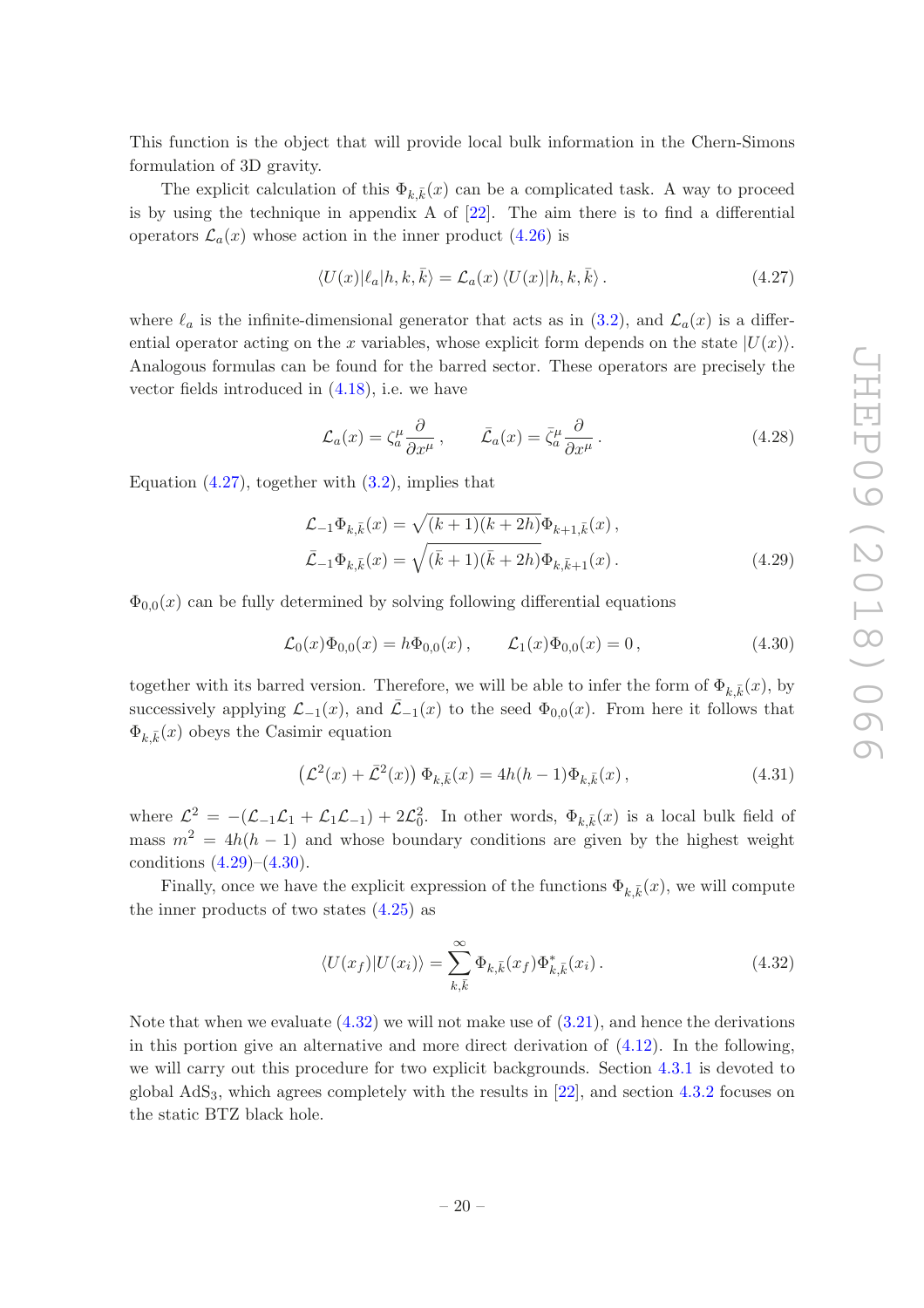This function is the object that will provide local bulk information in the Chern-Simons formulation of 3D gravity.

The explicit calculation of this  $\Phi_{k,\bar{k}}(x)$  can be a complicated task. A way to proceed is by using the technique in appendix A of [\[22](#page-43-4)]. The aim there is to find a differential operators  $\mathcal{L}_a(x)$  whose action in the inner product [\(4.26\)](#page-20-2) is

<span id="page-21-0"></span>
$$
\langle U(x)|\ell_a|h,k,\bar{k}\rangle = \mathcal{L}_a(x)\,\langle U(x)|h,k,\bar{k}\rangle\,. \tag{4.27}
$$

where  $\ell_a$  is the infinite-dimensional generator that acts as in [\(3.2\)](#page-9-2), and  $\mathcal{L}_a(x)$  is a differential operator acting on the x variables, whose explicit form depends on the state  $|U(x)\rangle$ . Analogous formulas can be found for the barred sector. These operators are precisely the vector fields introduced in [\(4.18\)](#page-19-0), i.e. we have

<span id="page-21-1"></span>
$$
\mathcal{L}_a(x) = \zeta_a^{\mu} \frac{\partial}{\partial x^{\mu}}, \qquad \bar{\mathcal{L}}_a(x) = \bar{\zeta}_a^{\mu} \frac{\partial}{\partial x^{\mu}}.
$$
\n(4.28)

Equation  $(4.27)$ , together with  $(3.2)$ , implies that

$$
\mathcal{L}_{-1}\Phi_{k,\bar{k}}(x) = \sqrt{(k+1)(k+2h)}\Phi_{k+1,\bar{k}}(x),
$$
  

$$
\bar{\mathcal{L}}_{-1}\Phi_{k,\bar{k}}(x) = \sqrt{(\bar{k}+1)(\bar{k}+2h)}\Phi_{k,\bar{k}+1}(x).
$$
 (4.29)

 $\Phi_{0,0}(x)$  can be fully determined by solving following differential equations

<span id="page-21-2"></span>
$$
\mathcal{L}_0(x)\Phi_{0,0}(x) = h\Phi_{0,0}(x), \qquad \mathcal{L}_1(x)\Phi_{0,0}(x) = 0, \qquad (4.30)
$$

together with its barred version. Therefore, we will be able to infer the form of  $\Phi_{k,\bar{k}}(x)$ , by successively applying  $\mathcal{L}_{-1}(x)$ , and  $\bar{\mathcal{L}}_{-1}(x)$  to the seed  $\Phi_{0,0}(x)$ . From here it follows that  $\Phi_{k,\bar{k}}(x)$  obeys the Casimir equation

<span id="page-21-4"></span>
$$
\left(\mathcal{L}^2(x) + \bar{\mathcal{L}}^2(x)\right)\Phi_{k,\bar{k}}(x) = 4h(h-1)\Phi_{k,\bar{k}}(x),\tag{4.31}
$$

where  $\mathcal{L}^2 = -(\mathcal{L}_{-1}\mathcal{L}_1 + \mathcal{L}_1\mathcal{L}_{-1}) + 2\mathcal{L}_0^2$ . In other words,  $\Phi_{k,\bar{k}}(x)$  is a local bulk field of mass  $m^2 = 4h(h-1)$  and whose boundary conditions are given by the highest weight conditions  $(4.29)$ – $(4.30)$ .

Finally, once we have the explicit expression of the functions  $\Phi_{k,\bar{k}}(x)$ , we will compute the inner products of two states  $(4.25)$  as

<span id="page-21-3"></span>
$$
\langle U(x_f)|U(x_i)\rangle = \sum_{k,\bar{k}}^{\infty} \Phi_{k,\bar{k}}(x_f) \Phi_{k,\bar{k}}^*(x_i). \tag{4.32}
$$

Note that when we evaluate  $(4.32)$  we will not make use of  $(3.21)$ , and hence the derivations in this portion give an alternative and more direct derivation of  $(4.12)$ . In the following, we will carry out this procedure for two explicit backgrounds. Section [4.3.1](#page-22-0) is devoted to global  $AdS<sub>3</sub>$ , which agrees completely with the results in [\[22](#page-43-4)], and section [4.3.2](#page-24-0) focuses on the static BTZ black hole.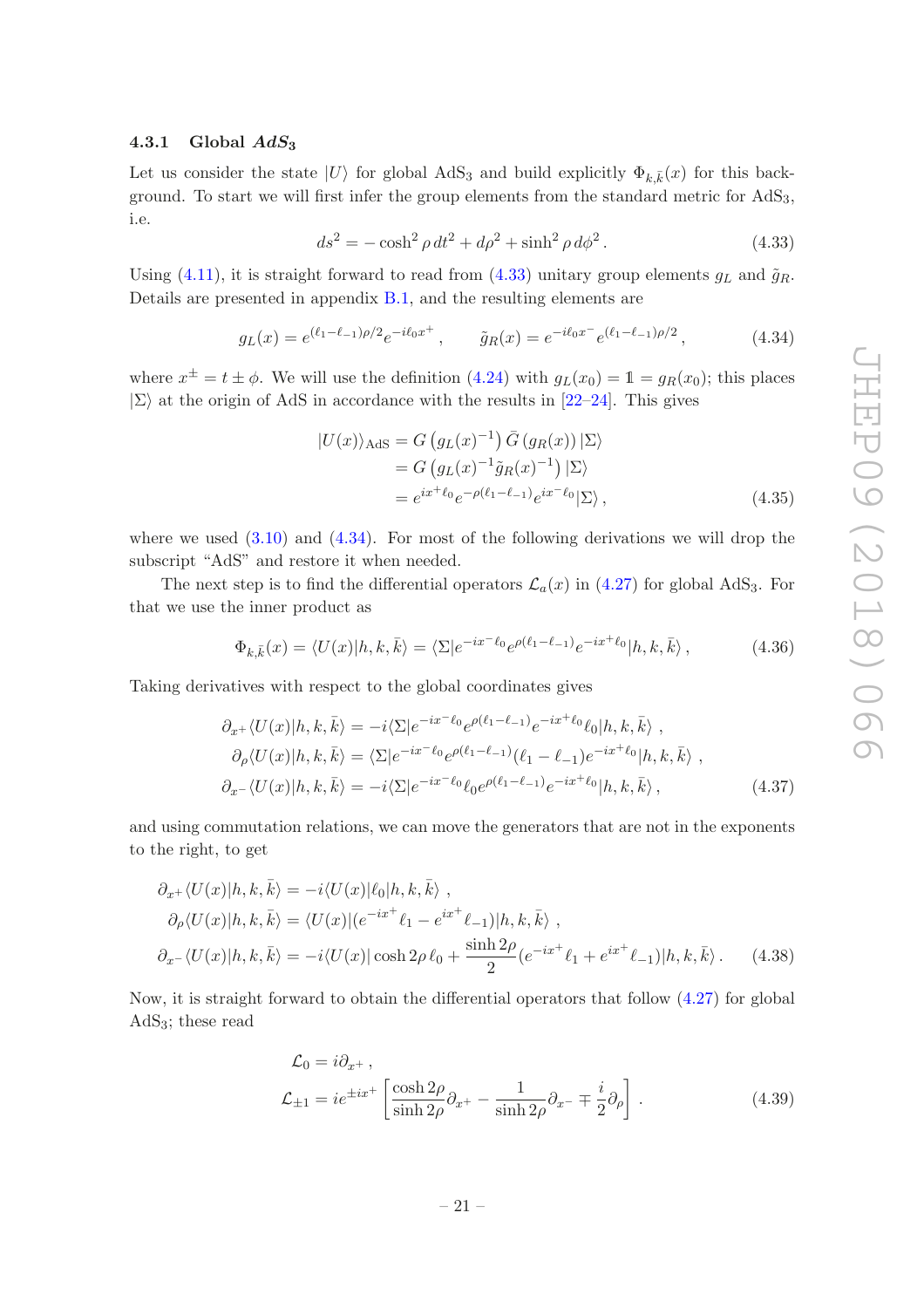### <span id="page-22-0"></span>4.3.1 Global  $AdS_3$

Let us consider the state  $|U\rangle$  for global AdS<sub>3</sub> and build explicitly  $\Phi_{k,\bar{k}}(x)$  for this background. To start we will first infer the group elements from the standard metric for  $AdS<sub>3</sub>$ , i.e.

<span id="page-22-1"></span>
$$
ds^{2} = -\cosh^{2}\rho \, dt^{2} + d\rho^{2} + \sinh^{2}\rho \, d\phi^{2}.
$$
 (4.33)

Using [\(4.11\)](#page-17-4), it is straight forward to read from [\(4.33\)](#page-22-1) unitary group elements  $g_L$  and  $\tilde{g}_R$ . Details are presented in appendix [B.1,](#page-36-0) and the resulting elements are

<span id="page-22-2"></span>
$$
g_L(x) = e^{(\ell_1 - \ell_{-1})\rho/2} e^{-i\ell_0 x^+}, \qquad \tilde{g}_R(x) = e^{-i\ell_0 x^-} e^{(\ell_1 - \ell_{-1})\rho/2}, \qquad (4.34)
$$

where  $x^{\pm} = t \pm \phi$ . We will use the definition [\(4.24\)](#page-20-1) with  $g_L(x_0) = 1 = g_R(x_0)$ ; this places  $|\Sigma\rangle$  at the origin of AdS in accordance with the results in [\[22](#page-43-4)[–24](#page-43-5)]. This gives

$$
|U(x)\rangle_{\text{AdS}} = G\left(g_L(x)^{-1}\right)\bar{G}\left(g_R(x)\right)|\Sigma\rangle
$$
  
=  $G\left(g_L(x)^{-1}\tilde{g}_R(x)^{-1}\right)|\Sigma\rangle$   
=  $e^{ix^+\ell_0}e^{-\rho(\ell_1-\ell_{-1})}e^{ix^-\ell_0}|\Sigma\rangle$ , (4.35)

where we used  $(3.10)$  and  $(4.34)$ . For most of the following derivations we will drop the subscript "AdS" and restore it when needed.

The next step is to find the differential operators  $\mathcal{L}_a(x)$  in [\(4.27\)](#page-21-0) for global AdS<sub>3</sub>. For that we use the inner product as

<span id="page-22-5"></span><span id="page-22-3"></span>
$$
\Phi_{k,\bar{k}}(x) = \langle U(x)|h,k,\bar{k}\rangle = \langle \Sigma|e^{-ix^{-}\ell_0}e^{\rho(\ell_1-\ell_{-1})}e^{-ix^{+}\ell_0}|h,k,\bar{k}\rangle, \qquad (4.36)
$$

Taking derivatives with respect to the global coordinates gives

$$
\partial_{x^{+}} \langle U(x)|h, k, \bar{k} \rangle = -i \langle \Sigma | e^{-ix^{-}\ell_{0}} e^{\rho(\ell_{1}-\ell_{-1})} e^{-ix^{+}\ell_{0}} \ell_{0} |h, k, \bar{k} \rangle ,
$$
  
\n
$$
\partial_{\rho} \langle U(x)|h, k, \bar{k} \rangle = \langle \Sigma | e^{-ix^{-}\ell_{0}} e^{\rho(\ell_{1}-\ell_{-1})} (\ell_{1}-\ell_{-1}) e^{-ix^{+}\ell_{0}} |h, k, \bar{k} \rangle ,
$$
  
\n
$$
\partial_{x^{-}} \langle U(x)|h, k, \bar{k} \rangle = -i \langle \Sigma | e^{-ix^{-}\ell_{0}} \ell_{0} e^{\rho(\ell_{1}-\ell_{-1})} e^{-ix^{+}\ell_{0}} |h, k, \bar{k} \rangle ,
$$
\n(4.37)

and using commutation relations, we can move the generators that are not in the exponents to the right, to get

$$
\partial_{x^{+}} \langle U(x)|h, k, \bar{k} \rangle = -i \langle U(x)|\ell_{0}|h, k, \bar{k} \rangle ,
$$
  
\n
$$
\partial_{\rho} \langle U(x)|h, k, \bar{k} \rangle = \langle U(x)|(e^{-ix^{+}}\ell_{1} - e^{ix^{+}}\ell_{-1})|h, k, \bar{k} \rangle ,
$$
  
\n
$$
\partial_{x^{-}} \langle U(x)|h, k, \bar{k} \rangle = -i \langle U(x)| \cosh 2\rho \ell_{0} + \frac{\sinh 2\rho}{2} (e^{-ix^{+}}\ell_{1} + e^{ix^{+}}\ell_{-1})|h, k, \bar{k} \rangle .
$$
 (4.38)

Now, it is straight forward to obtain the differential operators that follow [\(4.27\)](#page-21-0) for global AdS3; these read

<span id="page-22-6"></span><span id="page-22-4"></span>
$$
\mathcal{L}_0 = i\partial_{x^+},
$$
  
\n
$$
\mathcal{L}_{\pm 1} = ie^{\pm ix^+} \left[ \frac{\cosh 2\rho}{\sinh 2\rho} \partial_{x^+} - \frac{1}{\sinh 2\rho} \partial_{x^-} \mp \frac{i}{2} \partial_{\rho} \right].
$$
\n(4.39)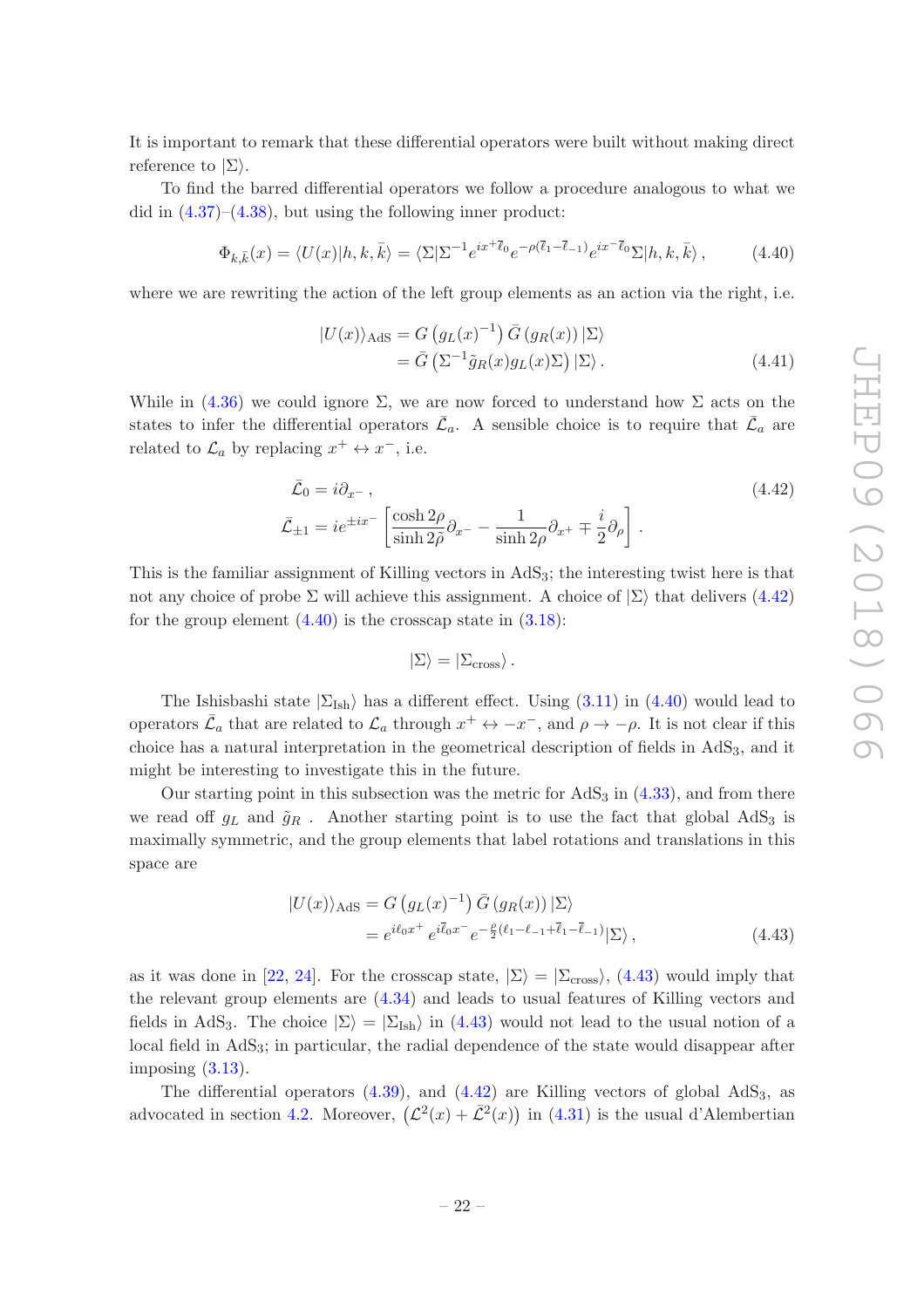It is important to remark that these differential operators were built without making direct reference to  $|\Sigma\rangle$ .

To find the barred differential operators we follow a procedure analogous to what we did in  $(4.37)$ – $(4.38)$ , but using the following inner product:

<span id="page-23-1"></span>
$$
\Phi_{k,\bar{k}}(x) = \langle U(x)|h,k,\bar{k}\rangle = \langle \Sigma|\Sigma^{-1}e^{ix+\bar{\ell}_0}e^{-\rho(\bar{\ell}_1-\bar{\ell}_{-1})}e^{ix-\bar{\ell}_0}\Sigma|h,k,\bar{k}\rangle, \qquad (4.40)
$$

where we are rewriting the action of the left group elements as an action via the right, i.e.

<span id="page-23-3"></span>
$$
|U(x)\rangle_{\text{AdS}} = G\left(g_L(x)^{-1}\right)\bar{G}\left(g_R(x)\right)|\Sigma\rangle
$$
  
=  $\bar{G}\left(\Sigma^{-1}\tilde{g}_R(x)g_L(x)\Sigma\right)|\Sigma\rangle.$  (4.41)

While in  $(4.36)$  we could ignore  $\Sigma$ , we are now forced to understand how  $\Sigma$  acts on the states to infer the differential operators  $\bar{\mathcal{L}}_a$ . A sensible choice is to require that  $\bar{\mathcal{L}}_a$  are related to  $\mathcal{L}_a$  by replacing  $x^+ \leftrightarrow x^-$ , i.e.

$$
\bar{\mathcal{L}}_0 = i\partial_{x^-},
$$
\n
$$
\bar{\mathcal{L}}_{\pm 1} = ie^{\pm ix^{-}} \left[ \frac{\cosh 2\rho}{\sinh 2\tilde{\rho}} \partial_{x^-} - \frac{1}{\sinh 2\rho} \partial_{x^+} \mp \frac{i}{2} \partial_{\rho} \right].
$$
\n(4.42)

This is the familiar assignment of Killing vectors in  $AdS<sub>3</sub>$ ; the interesting twist here is that not any choice of probe  $\Sigma$  will achieve this assignment. A choice of  $|\Sigma\rangle$  that delivers [\(4.42\)](#page-23-0) for the group element  $(4.40)$  is the crosscap state in  $(3.18)$ :

<span id="page-23-2"></span><span id="page-23-0"></span>
$$
|\Sigma\rangle = |\Sigma_{\rm cross}\rangle \,.
$$

The Ishisbashi state  $|\Sigma_{\text{Ish}}\rangle$  has a different effect. Using [\(3.11\)](#page-10-1) in [\(4.40\)](#page-23-1) would lead to operators  $\bar{\mathcal{L}}_a$  that are related to  $\mathcal{L}_a$  through  $x^+ \leftrightarrow -x^-$ , and  $\rho \rightarrow -\rho$ . It is not clear if this choice has a natural interpretation in the geometrical description of fields in AdS3, and it might be interesting to investigate this in the future.

Our starting point in this subsection was the metric for  $AdS_3$  in  $(4.33)$ , and from there we read off  $g_L$  and  $\tilde{g}_R$ . Another starting point is to use the fact that global AdS<sub>3</sub> is maximally symmetric, and the group elements that label rotations and translations in this space are

$$
\begin{split} \n|U(x)\rangle_{\text{AdS}} &= G\left(g_L(x)^{-1}\right)\bar{G}\left(g_R(x)\right)|\Sigma\rangle \\ \n&= e^{i\ell_0 x^+} e^{i\bar{\ell}_0 x^-} e^{-\frac{\rho}{2}(\ell_1 - \ell_{-1} + \bar{\ell}_1 - \bar{\ell}_{-1})}|\Sigma\rangle \,, \n\end{split} \tag{4.43}
$$

as it was done in [\[22](#page-43-4), [24\]](#page-43-5). For the crosscap state,  $|\Sigma\rangle = |\Sigma_{\rm cross}\rangle$ , [\(4.43\)](#page-23-2) would imply that the relevant group elements are [\(4.34\)](#page-22-2) and leads to usual features of Killing vectors and fields in AdS<sub>3</sub>. The choice  $|\Sigma\rangle = |\Sigma_{\text{Ish}}\rangle$  in [\(4.43\)](#page-23-2) would not lead to the usual notion of a local field in AdS<sub>3</sub>; in particular, the radial dependence of the state would disappear after imposing  $(3.13)$ .

The differential operators  $(4.39)$ , and  $(4.42)$  are Killing vectors of global  $AdS<sub>3</sub>$ , as advocated in section [4.2.](#page-18-0) Moreover,  $(\mathcal{L}^2(x) + \bar{\mathcal{L}}^2(x))$  in [\(4.31\)](#page-21-4) is the usual d'Alembertian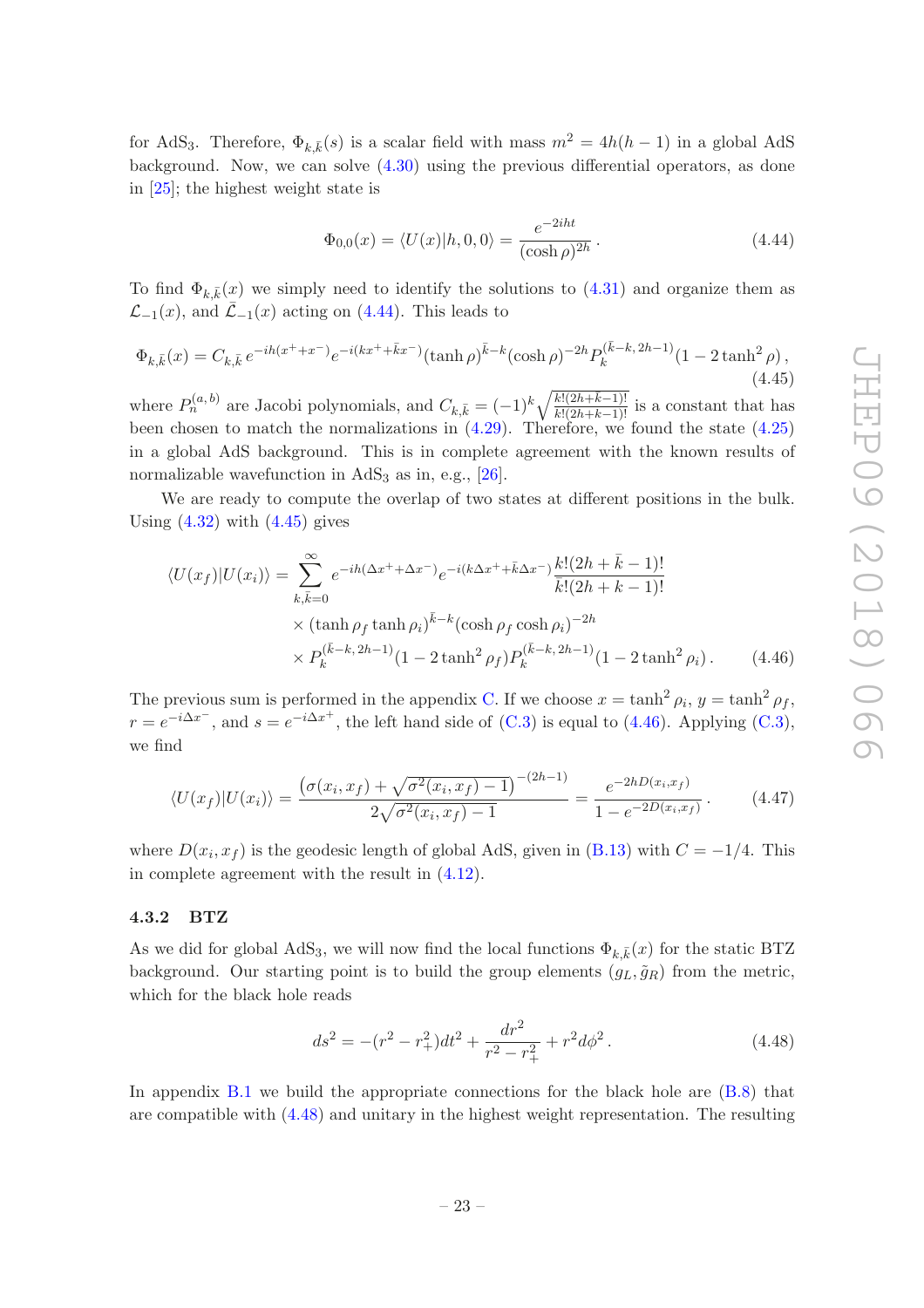for AdS<sub>3</sub>. Therefore,  $\Phi_{k,\bar{k}}(s)$  is a scalar field with mass  $m^2 = 4h(h-1)$  in a global AdS background. Now, we can solve  $(4.30)$  using the previous differential operators, as done in [\[25](#page-43-6)]; the highest weight state is

<span id="page-24-1"></span>
$$
\Phi_{0,0}(x) = \langle U(x) | h, 0, 0 \rangle = \frac{e^{-2iht}}{(\cosh \rho)^{2h}}.
$$
\n(4.44)

To find  $\Phi_{k,\bar{k}}(x)$  we simply need to identify the solutions to [\(4.31\)](#page-21-4) and organize them as  $\mathcal{L}_{-1}(x)$ , and  $\mathcal{L}_{-1}(x)$  acting on [\(4.44\)](#page-24-1). This leads to

<span id="page-24-2"></span>
$$
\Phi_{k,\bar{k}}(x) = C_{k,\bar{k}} e^{-ih(x^+ + x^-)} e^{-i(kx^+ + \bar{k}x^-)} (\tanh \rho)^{\bar{k}-k} (\cosh \rho)^{-2h} P_k^{(\bar{k}-k, 2h-1)} (1 - 2 \tanh^2 \rho),
$$
\n(4.45)

where  $P_n^{(a,b)}$  are Jacobi polynomials, and  $C_{k,\bar{k}} = (-1)^k \sqrt{\frac{k!(2h+\bar{k}-1)!}{k!(2h+k-1)!}}$  is a constant that has been chosen to match the normalizations in  $(4.29)$ . Therefore, we found the state  $(4.25)$ in a global AdS background. This is in complete agreement with the known results of normalizable wavefunction in  $AdS_3$  as in, e.g., [\[26\]](#page-43-7).

We are ready to compute the overlap of two states at different positions in the bulk. Using  $(4.32)$  with  $(4.45)$  gives

$$
\langle U(x_f)|U(x_i)\rangle = \sum_{k,\bar{k}=0}^{\infty} e^{-ih(\Delta x^+ + \Delta x^-)} e^{-i(k\Delta x^+ + \bar{k}\Delta x^-)} \frac{k!(2h + \bar{k} - 1)!}{\bar{k}!(2h + k - 1)!}
$$
  
× (tanh  $\rho_f$  tanh  $\rho_i$ ) <sup>$\bar{k}$ - $k$</sup>  (cosh  $\rho_f$  cosh  $\rho_i$ )<sup>-2h</sup>  
×  $P_k^{(\bar{k}-k, 2h-1)} (1 - 2 \tanh^2 \rho_f) P_k^{(\bar{k}-k, 2h-1)} (1 - 2 \tanh^2 \rho_i)$ . (4.46)

The previous sum is performed in the appendix [C.](#page-38-0) If we choose  $x = \tanh^2 \rho_i$ ,  $y = \tanh^2 \rho_f$ ,  $r = e^{-i\Delta x^{-}}$ , and  $s = e^{-i\Delta x^{+}}$ , the left hand side of [\(C.3\)](#page-39-1) is equal to [\(4.46\)](#page-24-3). Applying (C.3), we find

<span id="page-24-5"></span>
$$
\langle U(x_f)|U(x_i)\rangle = \frac{\left(\sigma(x_i, x_f) + \sqrt{\sigma^2(x_i, x_f) - 1}\right)^{-(2h-1)}}{2\sqrt{\sigma^2(x_i, x_f) - 1}} = \frac{e^{-2hD(x_i, x_f)}}{1 - e^{-2D(x_i, x_f)}}.
$$
(4.47)

where  $D(x_i, x_f)$  is the geodesic length of global AdS, given in [\(B.13\)](#page-37-2) with  $C = -1/4$ . This in complete agreement with the result in [\(4.12\)](#page-18-1).

## <span id="page-24-0"></span>4.3.2 BTZ

As we did for global AdS<sub>3</sub>, we will now find the local functions  $\Phi_{k,\bar{k}}(x)$  for the static BTZ background. Our starting point is to build the group elements  $(g_L, \tilde{g}_R)$  from the metric, which for the black hole reads

<span id="page-24-4"></span><span id="page-24-3"></span>
$$
ds^{2} = -(r^{2} - r_{+}^{2})dt^{2} + \frac{dr^{2}}{r^{2} - r_{+}^{2}} + r^{2}d\phi^{2}. \qquad (4.48)
$$

In appendix [B.1](#page-36-0) we build the appropriate connections for the black hole are [\(B.8\)](#page-37-0) that are compatible with [\(4.48\)](#page-24-4) and unitary in the highest weight representation. The resulting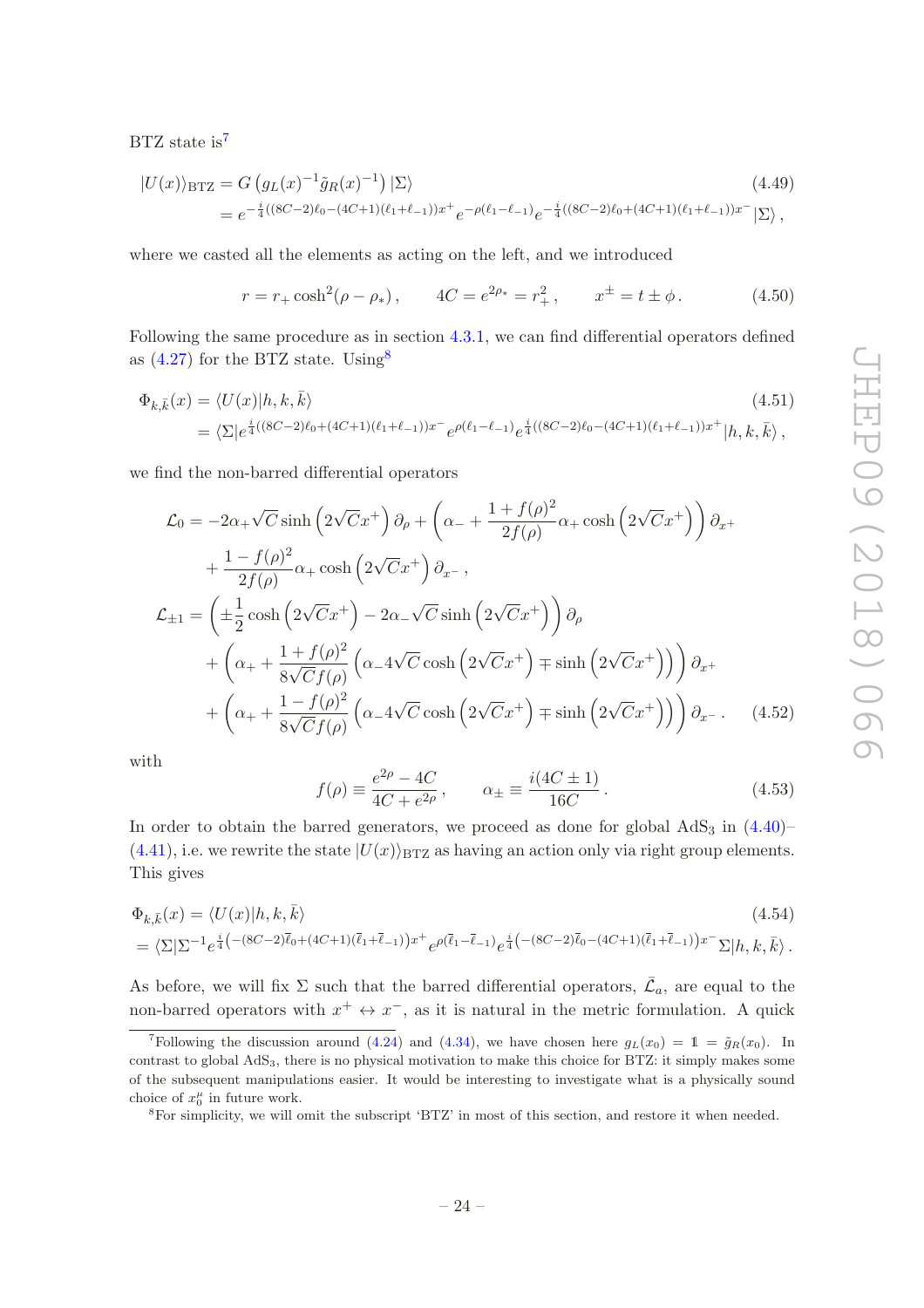BTZ state is<sup>[7](#page-25-0)</sup>

$$
|U(x)\rangle_{\text{BTZ}} = G\left(g_L(x)^{-1}\tilde{g}_R(x)^{-1}\right)|\Sigma\rangle
$$
\n
$$
= e^{-\frac{i}{4}((8C-2)\ell_0 - (4C+1)(\ell_1 + \ell_{-1}))x^+}e^{-\rho(\ell_1 - \ell_{-1})}e^{-\frac{i}{4}((8C-2)\ell_0 + (4C+1)(\ell_1 + \ell_{-1}))x^-}|\Sigma\rangle,
$$
\n(4.49)

where we casted all the elements as acting on the left, and we introduced

<span id="page-25-4"></span>
$$
r = r_+ \cosh^2(\rho - \rho_*)
$$
,  $4C = e^{2\rho_*} = r_+^2$ ,  $x^{\pm} = t \pm \phi$ . (4.50)

Following the same procedure as in section [4.3.1,](#page-22-0) we can find differential operators defined as  $(4.27)$  for the BTZ state. Using<sup>[8](#page-25-1)</sup>

$$
\begin{split} \Phi_{k,\bar{k}}(x) &= \langle U(x)|h,k,\bar{k}\rangle \\ &= \langle \Sigma|e^{\frac{i}{4}((8C-2)\ell_0 + (4C+1)(\ell_1 + \ell_{-1}))x^-} e^{\rho(\ell_1 - \ell_{-1})} e^{\frac{i}{4}((8C-2)\ell_0 - (4C+1)(\ell_1 + \ell_{-1}))x^+}|h,k,\bar{k}\rangle \,, \end{split} \tag{4.51}
$$

we find the non-barred differential operators

$$
\mathcal{L}_0 = -2\alpha_+ \sqrt{C} \sinh\left(2\sqrt{C}x^+\right) \partial_\rho + \left(\alpha_- + \frac{1+f(\rho)^2}{2f(\rho)}\alpha_+ \cosh\left(2\sqrt{C}x^+\right)\right) \partial_x +\n+ \frac{1-f(\rho)^2}{2f(\rho)}\alpha_+ \cosh\left(2\sqrt{C}x^+\right) \partial_x-,\n\mathcal{L}_{\pm 1} = \left(\pm \frac{1}{2} \cosh\left(2\sqrt{C}x^+\right) - 2\alpha_-\sqrt{C} \sinh\left(2\sqrt{C}x^+\right)\right) \partial_\rho\n+ \left(\alpha_+ + \frac{1+f(\rho)^2}{8\sqrt{C}f(\rho)}\left(\alpha_- 4\sqrt{C} \cosh\left(2\sqrt{C}x^+\right) \mp \sinh\left(2\sqrt{C}x^+\right)\right)\right) \partial_x +\n+ \left(\alpha_+ + \frac{1-f(\rho)^2}{8\sqrt{C}f(\rho)}\left(\alpha_- 4\sqrt{C} \cosh\left(2\sqrt{C}x^+\right) \mp \sinh\left(2\sqrt{C}x^+\right)\right)\right) \partial_x - . \quad (4.52)
$$

with

<span id="page-25-3"></span><span id="page-25-2"></span>
$$
f(\rho) \equiv \frac{e^{2\rho} - 4C}{4C + e^{2\rho}}, \qquad \alpha_{\pm} \equiv \frac{i(4C \pm 1)}{16C}.
$$
 (4.53)

In order to obtain the barred generators, we proceed as done for global  $AdS<sub>3</sub>$  in  $(4.40)$  $(4.41)$ , i.e. we rewrite the state  $|U(x)\rangle_{\text{BTZ}}$  as having an action only via right group elements. This gives

$$
\Phi_{k,\bar{k}}(x) = \langle U(x)|h,k,\bar{k}\rangle
$$
\n
$$
= \langle \Sigma|\Sigma^{-1}e^{\frac{i}{4}\left(-(8C-2)\bar{\ell}_{0}+(4C+1)(\bar{\ell}_{1}+\bar{\ell}_{-1})\right)x^{+}}e^{\rho(\bar{\ell}_{1}-\bar{\ell}_{-1})}e^{\frac{i}{4}\left(-(8C-2)\bar{\ell}_{0}-(4C+1)(\bar{\ell}_{1}+\bar{\ell}_{-1})\right)x^{-}}\Sigma|h,k,\bar{k}\rangle.
$$
\n(4.54)

As before, we will fix  $\Sigma$  such that the barred differential operators,  $\bar{\mathcal{L}}_a$ , are equal to the non-barred operators with  $x^+ \leftrightarrow x^-$ , as it is natural in the metric formulation. A quick

<span id="page-25-0"></span><sup>&</sup>lt;sup>7</sup>Following the discussion around [\(4.24\)](#page-20-1) and [\(4.34\)](#page-22-2), we have chosen here  $g_L(x_0) = 1 = \tilde{g}_R(x_0)$ . In contrast to global AdS3, there is no physical motivation to make this choice for BTZ: it simply makes some of the subsequent manipulations easier. It would be interesting to investigate what is a physically sound choice of  $x_0^{\mu}$  in future work.

<span id="page-25-1"></span><sup>8</sup>For simplicity, we will omit the subscript 'BTZ' in most of this section, and restore it when needed.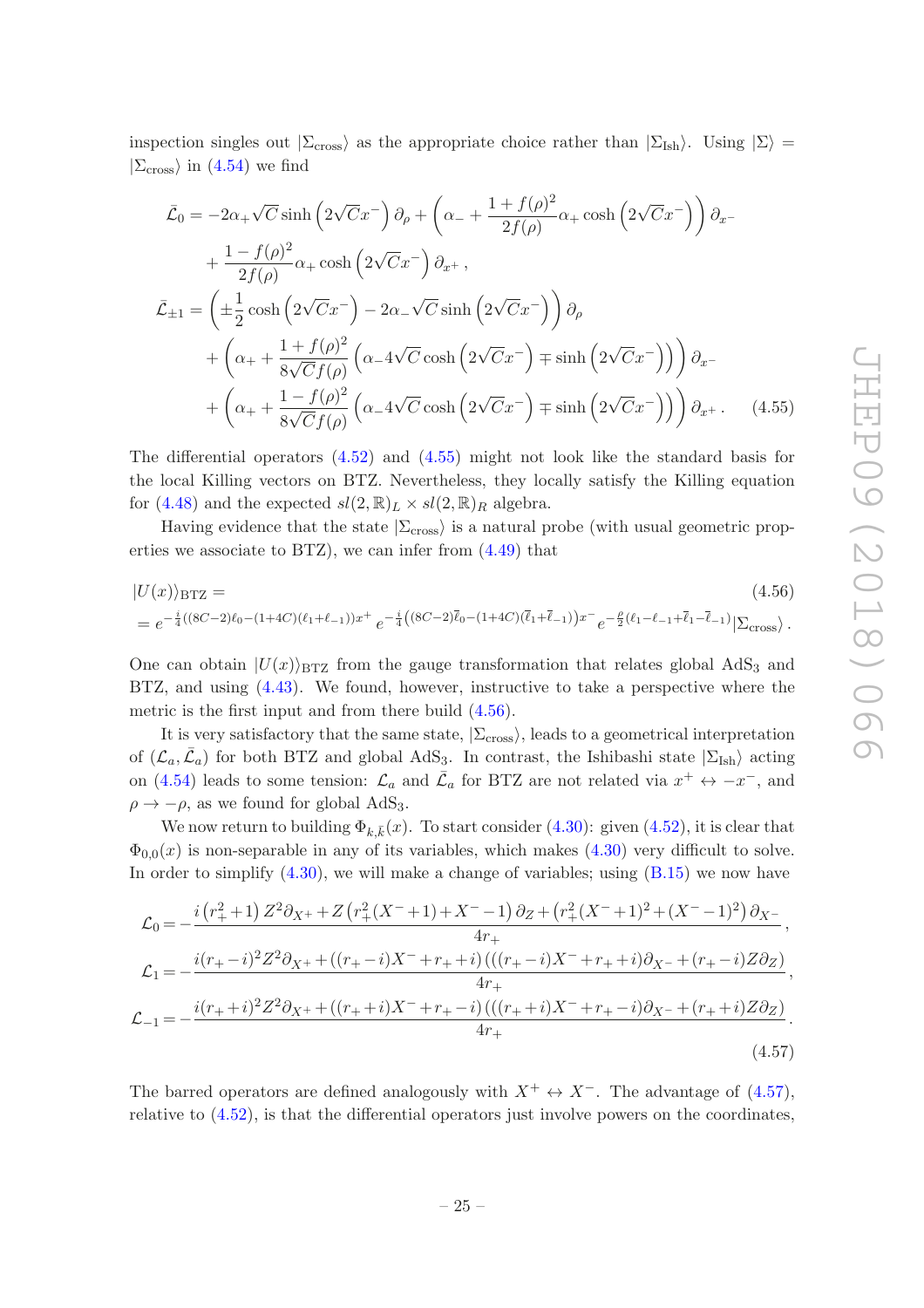inspection singles out  $|\Sigma_{\rm cross}\rangle$  as the appropriate choice rather than  $|\Sigma_{\rm Ish}\rangle$ . Using  $|\Sigma\rangle$  =  $|\Sigma_{\rm cross}\rangle$  in [\(4.54\)](#page-25-2) we find

$$
\bar{\mathcal{L}}_0 = -2\alpha_+ \sqrt{C} \sinh\left(2\sqrt{C}x^-\right) \partial_\rho + \left(\alpha_- + \frac{1+f(\rho)^2}{2f(\rho)}\alpha_+ \cosh\left(2\sqrt{C}x^-\right)\right) \partial_x -
$$
  
+ 
$$
\frac{1-f(\rho)^2}{2f(\rho)}\alpha_+ \cosh\left(2\sqrt{C}x^-\right) \partial_{x^+},
$$
  

$$
\bar{\mathcal{L}}_{\pm 1} = \left(\pm \frac{1}{2} \cosh\left(2\sqrt{C}x^-\right) - 2\alpha_-\sqrt{C} \sinh\left(2\sqrt{C}x^-\right)\right) \partial_\rho
$$
  
+ 
$$
\left(\alpha_+ + \frac{1+f(\rho)^2}{8\sqrt{C}f(\rho)}\left(\alpha_- 4\sqrt{C} \cosh\left(2\sqrt{C}x^-\right) \mp \sinh\left(2\sqrt{C}x^-\right)\right)\right) \partial_{x^-}
$$
  
+ 
$$
\left(\alpha_+ + \frac{1-f(\rho)^2}{8\sqrt{C}f(\rho)}\left(\alpha_- 4\sqrt{C} \cosh\left(2\sqrt{C}x^-\right) \mp \sinh\left(2\sqrt{C}x^-\right)\right)\right) \partial_{x^+}.
$$
 (4.55)

<span id="page-26-0"></span>The differential operators [\(4.52\)](#page-25-3) and [\(4.55\)](#page-26-0) might not look like the standard basis for the local Killing vectors on BTZ. Nevertheless, they locally satisfy the Killing equation for [\(4.48\)](#page-24-4) and the expected  $sl(2, \mathbb{R})_L \times sl(2, \mathbb{R})_R$  algebra.

Having evidence that the state  $|\Sigma_{\text{cross}}\rangle$  is a natural probe (with usual geometric properties we associate to BTZ), we can infer from [\(4.49\)](#page-25-4) that

<span id="page-26-1"></span>
$$
|U(x)\rangle_{\text{BTZ}} = (4.56)
$$
  
=  $e^{-\frac{i}{4}((8C-2)\ell_0 - (1+4C)(\ell_1+\ell_{-1}))x^+} e^{-\frac{i}{4}((8C-2)\bar{\ell}_0 - (1+4C)(\bar{\ell}_1+\bar{\ell}_{-1}))x^-} e^{-\frac{\rho}{2}(\ell_1-\ell_{-1}+\bar{\ell}_1-\bar{\ell}_{-1})} |\Sigma_{\text{cross}}\rangle.$ 

One can obtain  $|U(x)\rangle_{\text{BTZ}}$  from the gauge transformation that relates global AdS<sub>3</sub> and BTZ, and using [\(4.43\)](#page-23-2). We found, however, instructive to take a perspective where the metric is the first input and from there build [\(4.56\)](#page-26-1).

It is very satisfactory that the same state,  $|\Sigma_{\text{cross}}\rangle$ , leads to a geometrical interpretation of  $(\mathcal{L}_a, \bar{\mathcal{L}}_a)$  for both BTZ and global AdS<sub>3</sub>. In contrast, the Ishibashi state  $|\Sigma_{\text{Ish}}\rangle$  acting on [\(4.54\)](#page-25-2) leads to some tension:  $\mathcal{L}_a$  and  $\bar{\mathcal{L}}_a$  for BTZ are not related via  $x^+ \leftrightarrow -x^-$ , and  $\rho \rightarrow -\rho$ , as we found for global AdS<sub>3</sub>.

We now return to building  $\Phi_{k,\bar{k}}(x)$ . To start consider [\(4.30\)](#page-21-2): given [\(4.52\)](#page-25-3), it is clear that  $\Phi_{0,0}(x)$  is non-separable in any of its variables, which makes  $(4.30)$  very difficult to solve. In order to simplify [\(4.30\)](#page-21-2), we will make a change of variables; using [\(B.15\)](#page-38-2) we now have

$$
\mathcal{L}_0 = -\frac{i(r_+^2 + 1) Z^2 \partial_{X^+} + Z (r_+^2 (X^- + 1) + X^- - 1) \partial_Z + (r_+^2 (X^- + 1)^2 + (X^- - 1)^2) \partial_{X^-}}{4r_+},
$$
\n
$$
\mathcal{L}_1 = -\frac{i(r_+ - i)^2 Z^2 \partial_{X^+} + ((r_+ - i)X^- + r_+ + i) ((r_+ - i)X^- + r_+ + i) \partial_{X^-} + (r_+ - i)Z \partial_Z)}{4r_+},
$$
\n
$$
\mathcal{L}_{-1} = -\frac{i(r_+ + i)^2 Z^2 \partial_{X^+} + ((r_+ + i)X^- + r_+ - i) ((r_+ + i)X^- + r_+ - i) \partial_{X^-} + (r_+ + i)Z \partial_Z)}{4r_+}.
$$
\n(4.57)

<span id="page-26-2"></span>The barred operators are defined analogously with  $X^+ \leftrightarrow X^-$ . The advantage of [\(4.57\)](#page-26-2), relative to [\(4.52\)](#page-25-3), is that the differential operators just involve powers on the coordinates,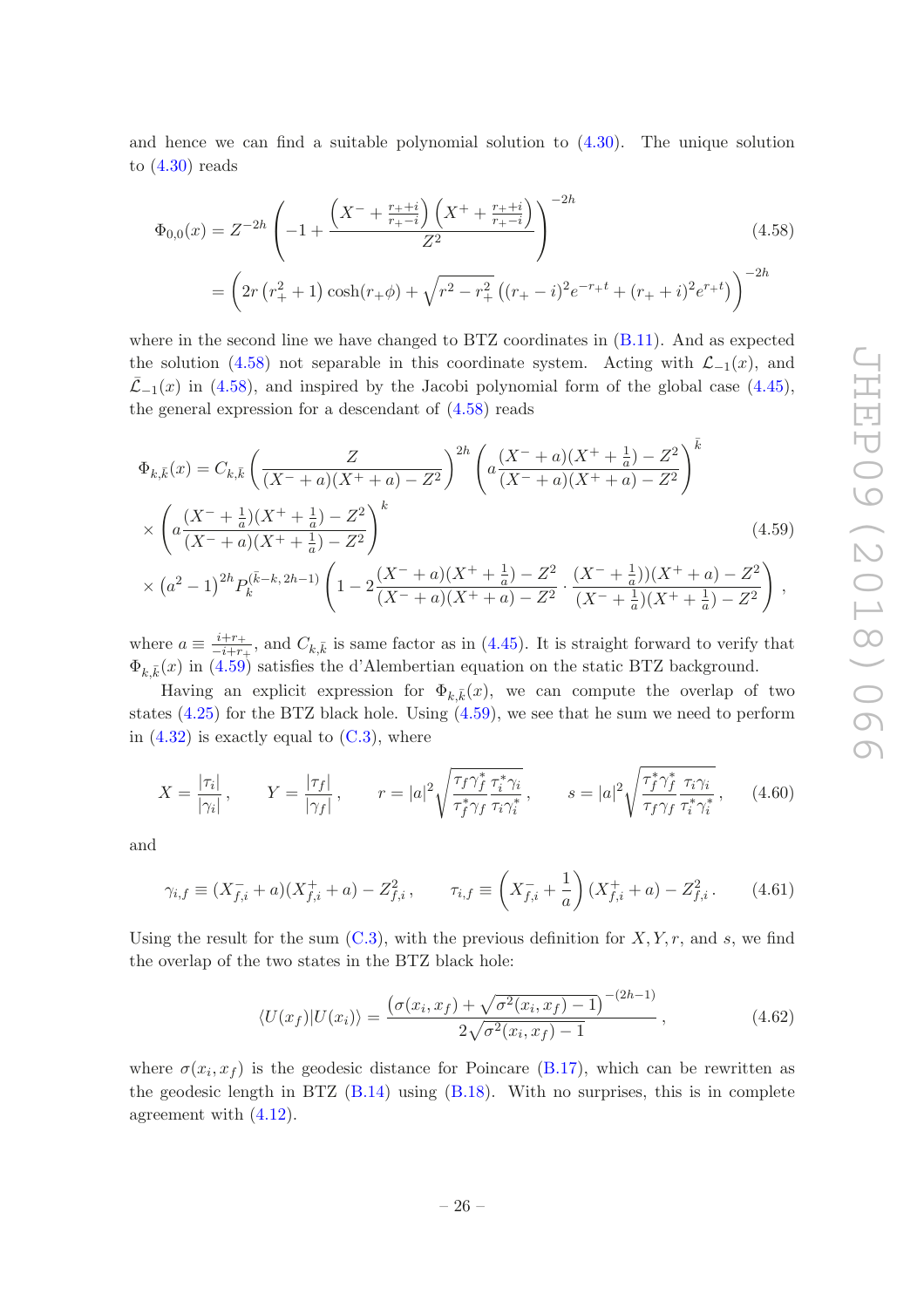and hence we can find a suitable polynomial solution to [\(4.30\)](#page-21-2). The unique solution to  $(4.30)$  reads

<span id="page-27-0"></span>
$$
\Phi_{0,0}(x) = Z^{-2h} \left( -1 + \frac{\left( X^- + \frac{r_+ + i}{r_+ - i} \right) \left( X^+ + \frac{r_+ + i}{r_+ - i} \right)}{Z^2} \right)^{-2h} \tag{4.58}
$$
\n
$$
= \left( 2r \left( r_+^2 + 1 \right) \cosh(r_+ \phi) + \sqrt{r^2 - r_+^2} \left( (r_+ - i)^2 e^{-r_+ t} + (r_+ + i)^2 e^{r_+ t} \right) \right)^{-2h}
$$

where in the second line we have changed to BTZ coordinates in [\(B.11\)](#page-37-3). And as expected the solution [\(4.58\)](#page-27-0) not separable in this coordinate system. Acting with  $\mathcal{L}_{-1}(x)$ , and  $\bar{\mathcal{L}}$ −1(x) in [\(4.58\)](#page-27-0), and inspired by the Jacobi polynomial form of the global case [\(4.45\)](#page-24-2), the general expression for a descendant of [\(4.58\)](#page-27-0) reads

<span id="page-27-1"></span>
$$
\Phi_{k,\bar{k}}(x) = C_{k,\bar{k}} \left( \frac{Z}{(X^- + a)(X^+ + a) - Z^2} \right)^{2h} \left( a \frac{(X^- + a)(X^+ + \frac{1}{a}) - Z^2}{(X^- + a)(X^+ + a) - Z^2} \right)^{\bar{k}} \times \left( a \frac{(X^- + \frac{1}{a})(X^+ + \frac{1}{a}) - Z^2}{(X^- + a)(X^+ + \frac{1}{a}) - Z^2} \right)^k \times (a^2 - 1)^{2h} P_k^{(\bar{k} - k, 2h - 1)} \left( 1 - 2 \frac{(X^- + a)(X^+ + \frac{1}{a}) - Z^2}{(X^- + a)(X^+ + a) - Z^2} \cdot \frac{(X^- + \frac{1}{a})(X^+ + a) - Z^2}{(X^- + \frac{1}{a})(X^+ + \frac{1}{a}) - Z^2} \right),
$$
\n(4.59)

where  $a \equiv \frac{i+r_+}{-i+r_-}$  $\frac{i+r_+}{-i+r_+}$ , and  $C_{k,\bar{k}}$  is same factor as in [\(4.45\)](#page-24-2). It is straight forward to verify that  $\Phi_{k,\bar{k}}(x)$  in [\(4.59\)](#page-27-1) satisfies the d'Alembertian equation on the static BTZ background.

Having an explicit expression for  $\Phi_{k,\bar{k}}(x)$ , we can compute the overlap of two states [\(4.25\)](#page-20-3) for the BTZ black hole. Using [\(4.59\)](#page-27-1), we see that he sum we need to perform in  $(4.32)$  is exactly equal to  $(C.3)$ , where

$$
X = \frac{|\tau_i|}{|\gamma_i|}, \qquad Y = \frac{|\tau_f|}{|\gamma_f|}, \qquad r = |a|^2 \sqrt{\frac{\tau_f \gamma_f^*}{\tau_f^* \gamma_f} \frac{\tau_i^* \gamma_i}{\tau_i \gamma_i^*}}, \qquad s = |a|^2 \sqrt{\frac{\tau_f^* \gamma_f^*}{\tau_f \gamma_f} \frac{\tau_i \gamma_i}{\tau_i^* \gamma_i^*}}, \qquad (4.60)
$$

and

$$
\gamma_{i,f} \equiv (X_{f,i}^- + a)(X_{f,i}^+ + a) - Z_{f,i}^2, \qquad \tau_{i,f} \equiv \left(X_{f,i}^- + \frac{1}{a}\right)(X_{f,i}^+ + a) - Z_{f,i}^2. \tag{4.61}
$$

Using the result for the sum  $(C.3)$ , with the previous definition for  $X, Y, r$ , and s, we find the overlap of the two states in the BTZ black hole:

<span id="page-27-2"></span>
$$
\langle U(x_f)|U(x_i)\rangle = \frac{\left(\sigma(x_i, x_f) + \sqrt{\sigma^2(x_i, x_f) - 1}\right)^{-(2h-1)}}{2\sqrt{\sigma^2(x_i, x_f) - 1}},
$$
\n(4.62)

where  $\sigma(x_i, x_f)$  is the geodesic distance for Poincare [\(B.17\)](#page-38-3), which can be rewritten as the geodesic length in BTZ  $(B.14)$  using  $(B.18)$ . With no surprises, this is in complete agreement with [\(4.12\)](#page-18-1).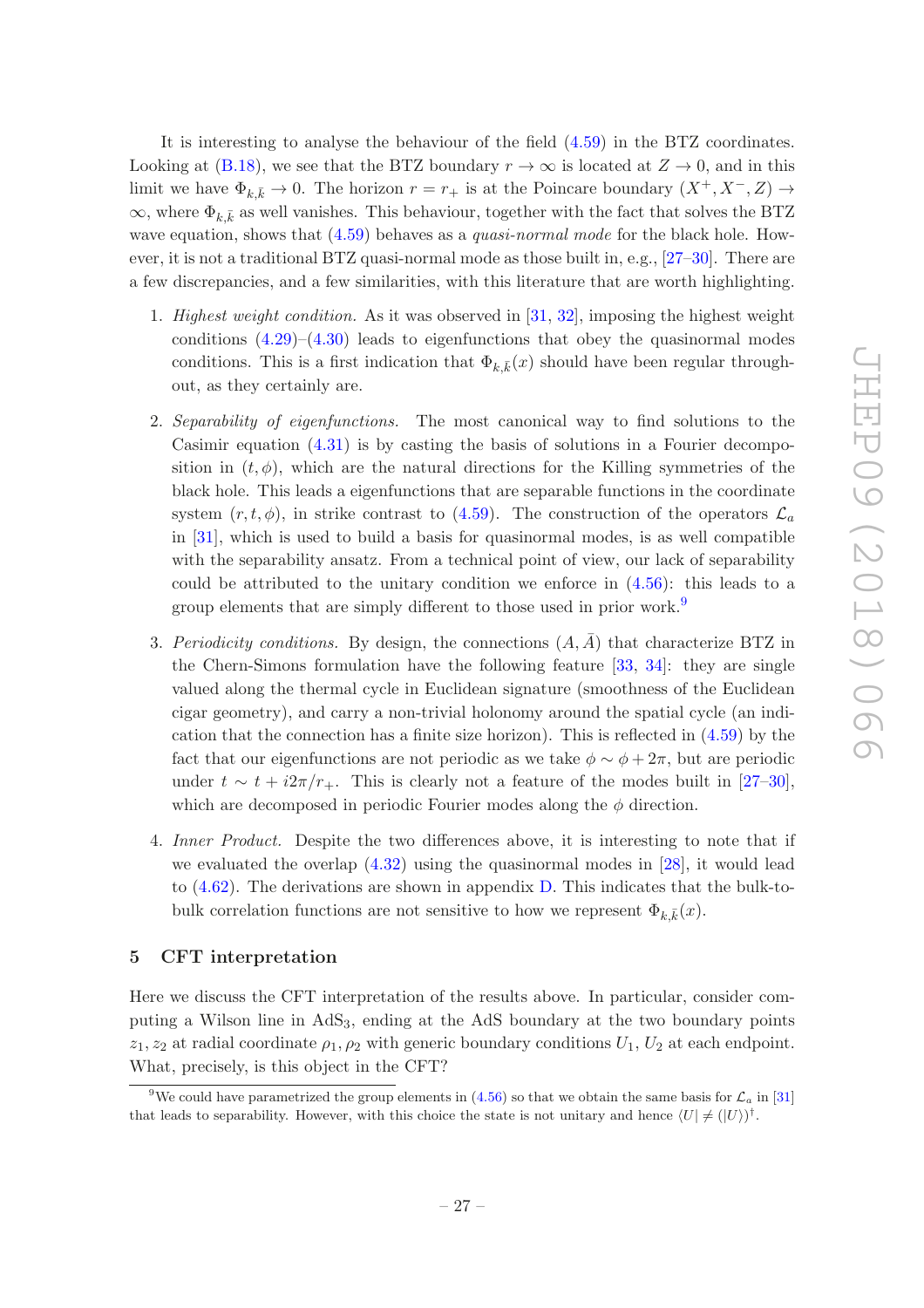It is interesting to analyse the behaviour of the field [\(4.59\)](#page-27-1) in the BTZ coordinates. Looking at [\(B.18\)](#page-38-4), we see that the BTZ boundary  $r \to \infty$  is located at  $Z \to 0$ , and in this limit we have  $\Phi_{k,\bar{k}} \to 0$ . The horizon  $r = r_+$  is at the Poincare boundary  $(X^+, X^-, Z) \to$  $\infty$ , where  $\Phi_{k,\bar{k}}$  as well vanishes. This behaviour, together with the fact that solves the BTZ wave equation, shows that  $(4.59)$  behaves as a *quasi-normal mode* for the black hole. However, it is not a traditional BTZ quasi-normal mode as those built in, e.g.,  $[27-30]$ . There are a few discrepancies, and a few similarities, with this literature that are worth highlighting.

- 1. Highest weight condition. As it was observed in  $[31, 32]$  $[31, 32]$ , imposing the highest weight conditions  $(4.29)$ – $(4.30)$  leads to eigenfunctions that obey the quasinormal modes conditions. This is a first indication that  $\Phi_{k,\bar{k}}(x)$  should have been regular throughout, as they certainly are.
- 2. Separability of eigenfunctions. The most canonical way to find solutions to the Casimir equation  $(4.31)$  is by casting the basis of solutions in a Fourier decomposition in  $(t, \phi)$ , which are the natural directions for the Killing symmetries of the black hole. This leads a eigenfunctions that are separable functions in the coordinate system  $(r, t, \phi)$ , in strike contrast to [\(4.59\)](#page-27-1). The construction of the operators  $\mathcal{L}_a$ in [\[31\]](#page-43-10), which is used to build a basis for quasinormal modes, is as well compatible with the separability ansatz. From a technical point of view, our lack of separability could be attributed to the unitary condition we enforce in [\(4.56\)](#page-26-1): this leads to a group elements that are simply different to those used in prior work.[9](#page-28-1)
- 3. Periodicity conditions. By design, the connections  $(A, \overline{A})$  that characterize BTZ in the Chern-Simons formulation have the following feature [\[33,](#page-43-12) [34\]](#page-43-13): they are single valued along the thermal cycle in Euclidean signature (smoothness of the Euclidean cigar geometry), and carry a non-trivial holonomy around the spatial cycle (an indication that the connection has a finite size horizon). This is reflected in [\(4.59\)](#page-27-1) by the fact that our eigenfunctions are not periodic as we take  $\phi \sim \phi + 2\pi$ , but are periodic under  $t \sim t + i2\pi/r_+$ . This is clearly not a feature of the modes built in [\[27](#page-43-8)[–30\]](#page-43-9), which are decomposed in periodic Fourier modes along the  $\phi$  direction.
- 4. Inner Product. Despite the two differences above, it is interesting to note that if we evaluated the overlap [\(4.32\)](#page-21-3) using the quasinormal modes in [\[28](#page-43-14)], it would lead to [\(4.62\)](#page-27-2). The derivations are shown in appendix [D.](#page-39-0) This indicates that the bulk-tobulk correlation functions are not sensitive to how we represent  $\Phi_{k,\bar{k}}(x)$ .

# <span id="page-28-0"></span>5 CFT interpretation

Here we discuss the CFT interpretation of the results above. In particular, consider computing a Wilson line in  $AdS<sub>3</sub>$ , ending at the AdS boundary at the two boundary points  $z_1, z_2$  at radial coordinate  $\rho_1, \rho_2$  with generic boundary conditions  $U_1, U_2$  at each endpoint. What, precisely, is this object in the CFT?

<span id="page-28-1"></span><sup>&</sup>lt;sup>9</sup>We could have parametrized the group elements in [\(4.56\)](#page-26-1) so that we obtain the same basis for  $\mathcal{L}_a$  in [\[31](#page-43-10)] that leads to separability. However, with this choice the state is not unitary and hence  $\langle U | \neq (|U \rangle)^{\dagger}$ .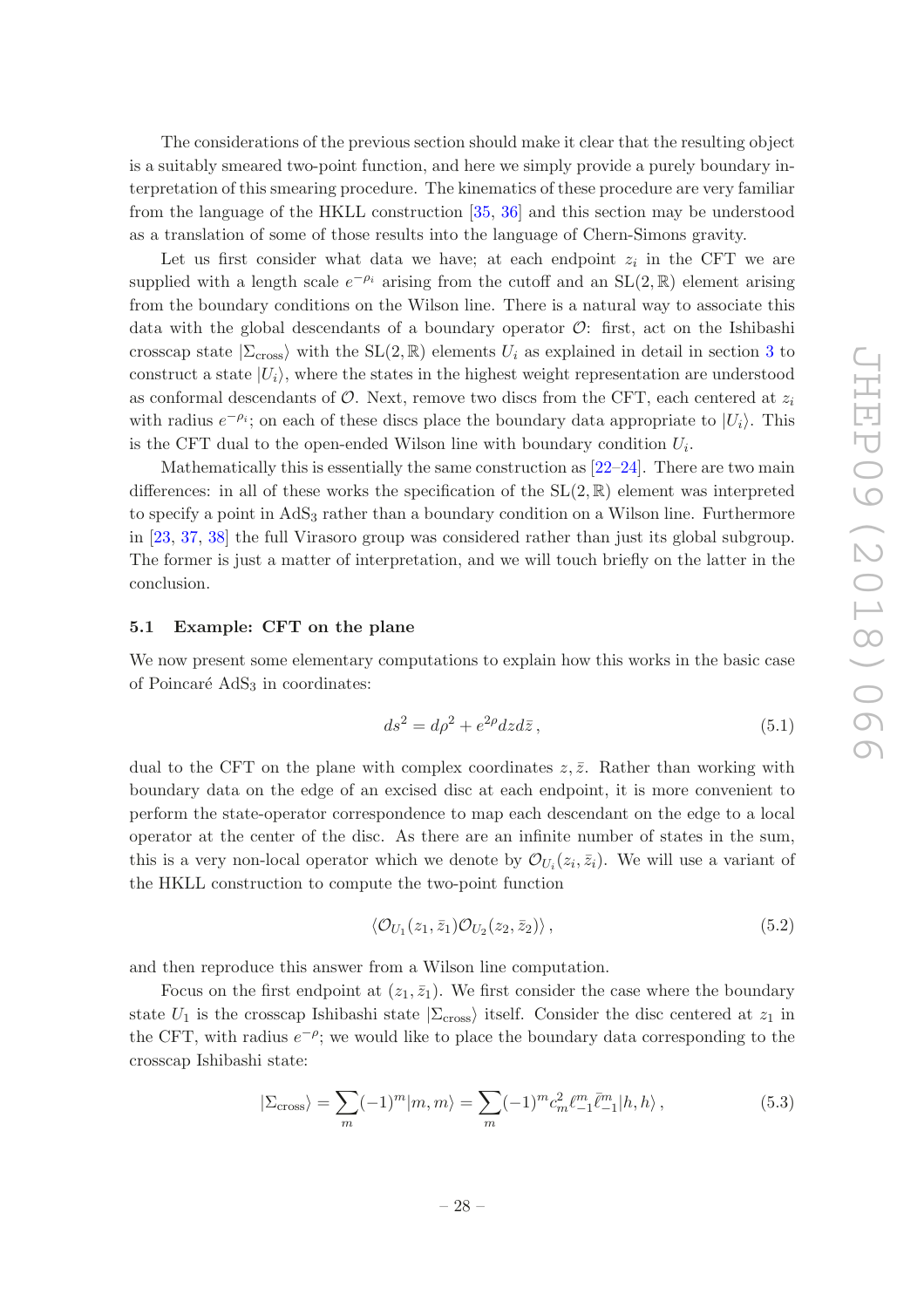The considerations of the previous section should make it clear that the resulting object is a suitably smeared two-point function, and here we simply provide a purely boundary interpretation of this smearing procedure. The kinematics of these procedure are very familiar from the language of the HKLL construction [\[35,](#page-43-15) [36\]](#page-43-16) and this section may be understood as a translation of some of those results into the language of Chern-Simons gravity.

Let us first consider what data we have; at each endpoint  $z_i$  in the CFT we are supplied with a length scale  $e^{-\rho_i}$  arising from the cutoff and an SL(2, R) element arising from the boundary conditions on the Wilson line. There is a natural way to associate this data with the global descendants of a boundary operator  $\mathcal{O}$ : first, act on the Ishibashi crosscap state  $|\Sigma_{\text{cross}}\rangle$  with the  $SL(2,\mathbb{R})$  elements  $U_i$  as explained in detail in section [3](#page-8-0) to construct a state  $|U_i\rangle$ , where the states in the highest weight representation are understood as conformal descendants of  $\mathcal{O}$ . Next, remove two discs from the CFT, each centered at  $z_i$ with radius  $e^{-\rho_i}$ ; on each of these discs place the boundary data appropriate to  $|U_i\rangle$ . This is the CFT dual to the open-ended Wilson line with boundary condition  $U_i$ .

Mathematically this is essentially the same construction as  $[22-24]$ . There are two main differences: in all of these works the specification of the  $SL(2,\mathbb{R})$  element was interpreted to specify a point in  $AdS<sub>3</sub>$  rather than a boundary condition on a Wilson line. Furthermore in [\[23,](#page-43-17) [37](#page-44-0), [38\]](#page-44-1) the full Virasoro group was considered rather than just its global subgroup. The former is just a matter of interpretation, and we will touch briefly on the latter in the conclusion.

#### <span id="page-29-0"></span>5.1 Example: CFT on the plane

We now present some elementary computations to explain how this works in the basic case of Poincaré  $AdS<sub>3</sub>$  in coordinates:

<span id="page-29-1"></span>
$$
ds^2 = d\rho^2 + e^{2\rho} dz d\bar{z},\qquad(5.1)
$$

dual to the CFT on the plane with complex coordinates  $z, \bar{z}$ . Rather than working with boundary data on the edge of an excised disc at each endpoint, it is more convenient to perform the state-operator correspondence to map each descendant on the edge to a local operator at the center of the disc. As there are an infinite number of states in the sum, this is a very non-local operator which we denote by  $\mathcal{O}_{U_i}(z_i, \bar{z}_i)$ . We will use a variant of the HKLL construction to compute the two-point function

<span id="page-29-2"></span>
$$
\langle \mathcal{O}_{U_1}(z_1,\bar{z}_1)\mathcal{O}_{U_2}(z_2,\bar{z}_2)\rangle, \qquad (5.2)
$$

and then reproduce this answer from a Wilson line computation.

Focus on the first endpoint at  $(z_1, \bar{z}_1)$ . We first consider the case where the boundary state  $U_1$  is the crosscap Ishibashi state  $|\Sigma_{\text{cross}}\rangle$  itself. Consider the disc centered at  $z_1$  in the CFT, with radius  $e^{-\rho}$ ; we would like to place the boundary data corresponding to the crosscap Ishibashi state:

$$
|\Sigma_{\rm cross}\rangle = \sum_{m} (-1)^{m} |m, m\rangle = \sum_{m} (-1)^{m} c_{m}^{2} \ell_{-1}^{m} \bar{\ell}_{-1}^{m} |h, h\rangle, \qquad (5.3)
$$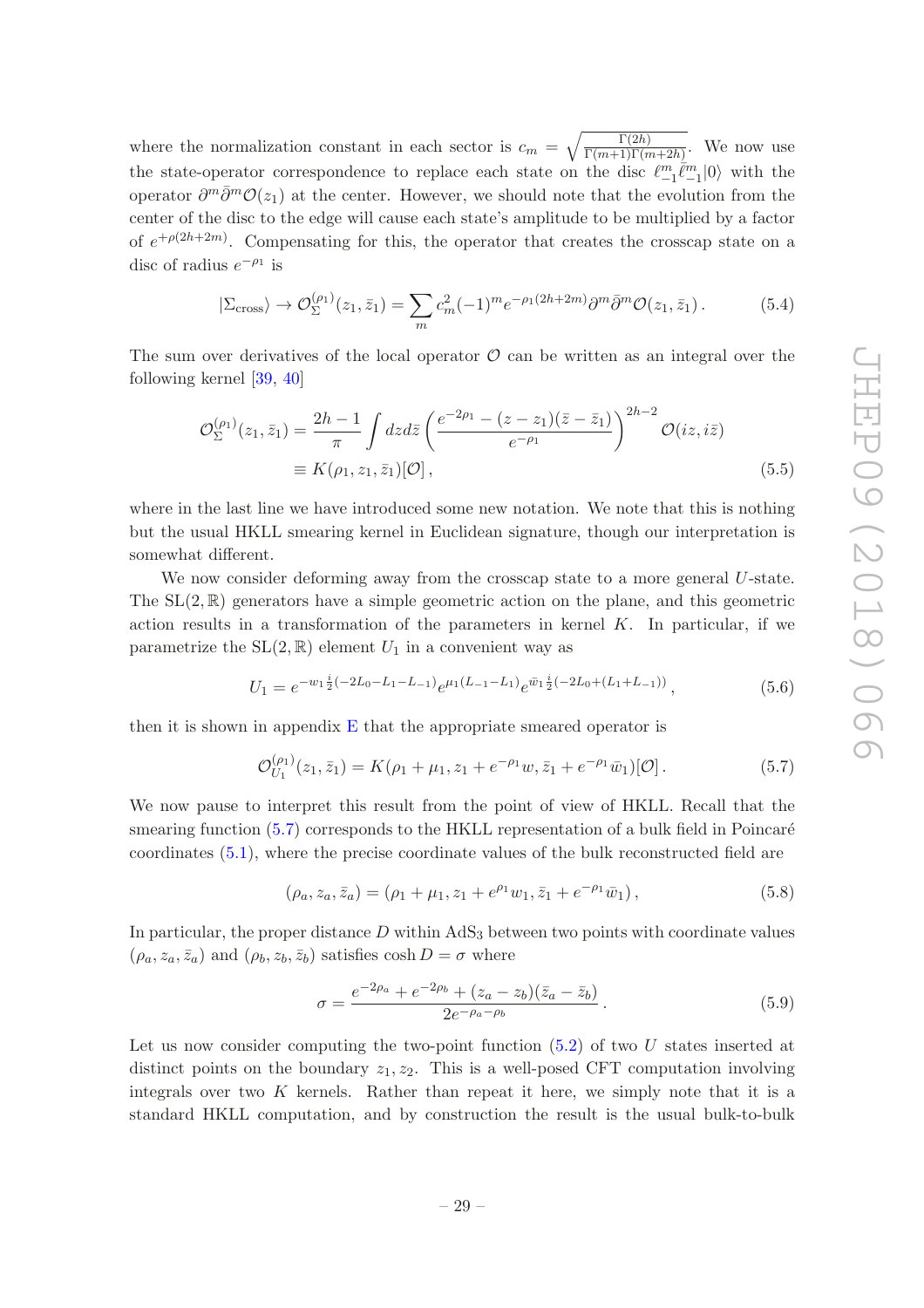where the normalization constant in each sector is  $c_m = \sqrt{\frac{\Gamma(2h)}{\Gamma(m+1)\Gamma(m+2h)}}$ . We now use the state-operator correspondence to replace each state on the disc  $\ell_{-1}^m \bar{\ell}_{-1}^m |0\rangle$  with the operator  $\partial^m \bar{\partial}^m \mathcal{O}(z_1)$  at the center. However, we should note that the evolution from the center of the disc to the edge will cause each state's amplitude to be multiplied by a factor of  $e^{+\rho(2h+2m)}$ . Compensating for this, the operator that creates the crosscap state on a disc of radius  $e^{-\rho_1}$  is

$$
|\Sigma_{\rm cross}\rangle \to \mathcal{O}_{\Sigma}^{(\rho_1)}(z_1,\bar{z}_1) = \sum_m c_m^2 (-1)^m e^{-\rho_1(2h+2m)} \partial^m \bar{\partial}^m \mathcal{O}(z_1,\bar{z}_1).
$$
 (5.4)

The sum over derivatives of the local operator  $\mathcal O$  can be written as an integral over the following kernel [\[39](#page-44-2), [40](#page-44-3)]

$$
\mathcal{O}_{\Sigma}^{(\rho_1)}(z_1, \bar{z}_1) = \frac{2h - 1}{\pi} \int dz d\bar{z} \left( \frac{e^{-2\rho_1} - (z - z_1)(\bar{z} - \bar{z}_1)}{e^{-\rho_1}} \right)^{2h - 2} \mathcal{O}(iz, i\bar{z})
$$
  
\n
$$
\equiv K(\rho_1, z_1, \bar{z}_1)[\mathcal{O}], \qquad (5.5)
$$

where in the last line we have introduced some new notation. We note that this is nothing but the usual HKLL smearing kernel in Euclidean signature, though our interpretation is somewhat different.

We now consider deforming away from the crosscap state to a more general U-state. The  $SL(2,\mathbb{R})$  generators have a simple geometric action on the plane, and this geometric action results in a transformation of the parameters in kernel  $K$ . In particular, if we parametrize the  $SL(2,\mathbb{R})$  element  $U_1$  in a convenient way as

<span id="page-30-4"></span><span id="page-30-2"></span>
$$
U_1 = e^{-w_1 \frac{i}{2}(-2L_0 - L_1 - L_{-1})} e^{\mu_1 (L_{-1} - L_1)} e^{\bar{w}_1 \frac{i}{2}(-2L_0 + (L_1 + L_{-1}))}, \qquad (5.6)
$$

then it is shown in appendix [E](#page-40-0) that the appropriate smeared operator is

<span id="page-30-0"></span>
$$
\mathcal{O}_{U_1}^{(\rho_1)}(z_1,\bar{z}_1) = K(\rho_1 + \mu_1, z_1 + e^{-\rho_1}w, \bar{z}_1 + e^{-\rho_1}\bar{w}_1)[\mathcal{O}]. \tag{5.7}
$$

We now pause to interpret this result from the point of view of HKLL. Recall that the smearing function  $(5.7)$  corresponds to the HKLL representation of a bulk field in Poincaré coordinates [\(5.1\)](#page-29-1), where the precise coordinate values of the bulk reconstructed field are

<span id="page-30-1"></span>
$$
(\rho_a, z_a, \bar{z}_a) = (\rho_1 + \mu_1, z_1 + e^{\rho_1} w_1, \bar{z}_1 + e^{-\rho_1} \bar{w}_1), \qquad (5.8)
$$

In particular, the proper distance  $D$  within  $AdS_3$  between two points with coordinate values  $(\rho_a, z_a, \bar{z}_a)$  and  $(\rho_b, z_b, \bar{z}_b)$  satisfies cosh  $D = \sigma$  where

<span id="page-30-3"></span>
$$
\sigma = \frac{e^{-2\rho_a} + e^{-2\rho_b} + (z_a - z_b)(\bar{z}_a - \bar{z}_b)}{2e^{-\rho_a - \rho_b}}.
$$
\n(5.9)

Let us now consider computing the two-point function  $(5.2)$  of two U states inserted at distinct points on the boundary  $z_1, z_2$ . This is a well-posed CFT computation involving integrals over two  $K$  kernels. Rather than repeat it here, we simply note that it is a standard HKLL computation, and by construction the result is the usual bulk-to-bulk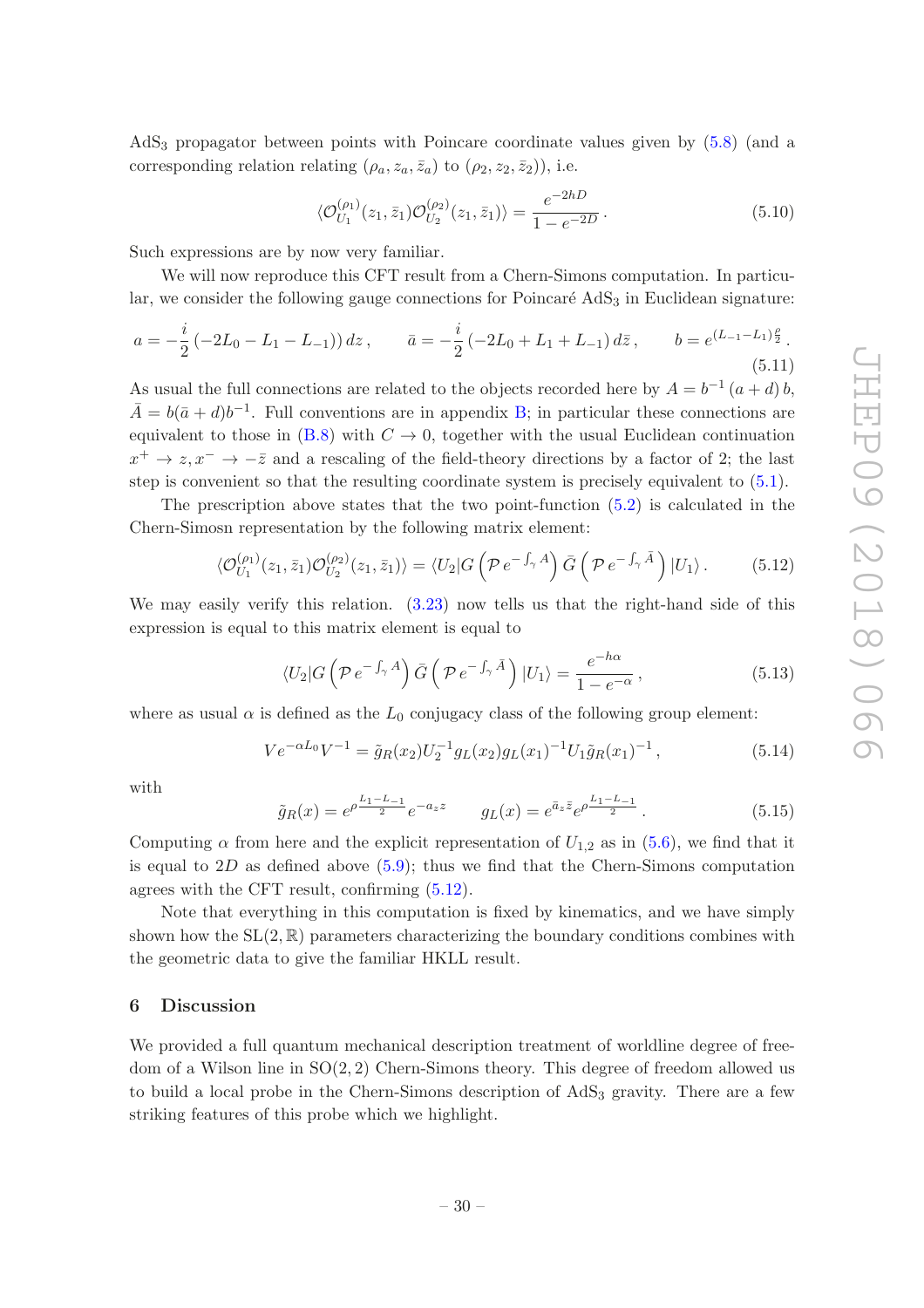AdS<sup>3</sup> propagator between points with Poincare coordinate values given by [\(5.8\)](#page-30-1) (and a corresponding relation relating  $(\rho_a, z_a, \bar{z}_a)$  to  $(\rho_2, z_2, \bar{z}_2)$ ), i.e.

$$
\langle \mathcal{O}_{U_1}^{(\rho_1)}(z_1, \bar{z}_1) \mathcal{O}_{U_2}^{(\rho_2)}(z_1, \bar{z}_1) \rangle = \frac{e^{-2hD}}{1 - e^{-2D}}.
$$
 (5.10)

Such expressions are by now very familiar.

We will now reproduce this CFT result from a Chern-Simons computation. In particular, we consider the following gauge connections for Poincaré  $AdS<sub>3</sub>$  in Euclidean signature:

<span id="page-31-2"></span>
$$
a = -\frac{i}{2} \left(-2L_0 - L_1 - L_{-1}\right) dz, \qquad \bar{a} = -\frac{i}{2} \left(-2L_0 + L_1 + L_{-1}\right) d\bar{z}, \qquad b = e^{\left(L_{-1} - L_1\right)\frac{\rho}{2}}.
$$
\n<sup>(5.11)</sup>

As usual the full connections are related to the objects recorded here by  $A = b^{-1} (a + d) b$ ,  $\bar{A} = b(\bar{a} + d)b^{-1}$ . Full conventions are in appendix [B;](#page-35-0) in particular these connections are equivalent to those in [\(B.8\)](#page-37-0) with  $C \rightarrow 0$ , together with the usual Euclidean continuation  $x^+ \to z, x^- \to -\overline{z}$  and a rescaling of the field-theory directions by a factor of 2; the last step is convenient so that the resulting coordinate system is precisely equivalent to [\(5.1\)](#page-29-1).

The prescription above states that the two point-function [\(5.2\)](#page-29-2) is calculated in the Chern-Simosn representation by the following matrix element:

<span id="page-31-1"></span>
$$
\langle \mathcal{O}_{U_1}^{(\rho_1)}(z_1,\bar{z}_1)\mathcal{O}_{U_2}^{(\rho_2)}(z_1,\bar{z}_1)\rangle = \langle U_2|G\left(\mathcal{P}e^{-\int_{\gamma}A}\right)\bar{G}\left(\mathcal{P}e^{-\int_{\gamma}\bar{A}}\right)|U_1\rangle. \tag{5.12}
$$

We may easily verify this relation.  $(3.23)$  now tells us that the right-hand side of this expression is equal to this matrix element is equal to

$$
\langle U_2 | G \left( \mathcal{P} e^{-\int_{\gamma} A} \right) \bar{G} \left( \mathcal{P} e^{-\int_{\gamma} \bar{A}} \right) | U_1 \rangle = \frac{e^{-h\alpha}}{1 - e^{-\alpha}}, \tag{5.13}
$$

where as usual  $\alpha$  is defined as the  $L_0$  conjugacy class of the following group element:

$$
Ve^{-\alpha L_0}V^{-1} = \tilde{g}_R(x_2)U_2^{-1}g_L(x_2)g_L(x_1)^{-1}U_1\tilde{g}_R(x_1)^{-1},
$$
\n(5.14)

with

$$
\tilde{g}_R(x) = e^{\rho \frac{L_1 - L_{-1}}{2}} e^{-a_z z} \qquad g_L(x) = e^{\bar{a}_z \bar{z}} e^{\rho \frac{L_1 - L_{-1}}{2}}.
$$
\n(5.15)

Computing  $\alpha$  from here and the explicit representation of  $U_{1,2}$  as in [\(5.6\)](#page-30-2), we find that it is equal to  $2D$  as defined above  $(5.9)$ ; thus we find that the Chern-Simons computation agrees with the CFT result, confirming [\(5.12\)](#page-31-1).

Note that everything in this computation is fixed by kinematics, and we have simply shown how the  $SL(2,\mathbb{R})$  parameters characterizing the boundary conditions combines with the geometric data to give the familiar HKLL result.

#### <span id="page-31-0"></span>6 Discussion

We provided a full quantum mechanical description treatment of worldline degree of freedom of a Wilson line in  $SO(2, 2)$  Chern-Simons theory. This degree of freedom allowed us to build a local probe in the Chern-Simons description of  $AdS<sub>3</sub>$  gravity. There are a few striking features of this probe which we highlight.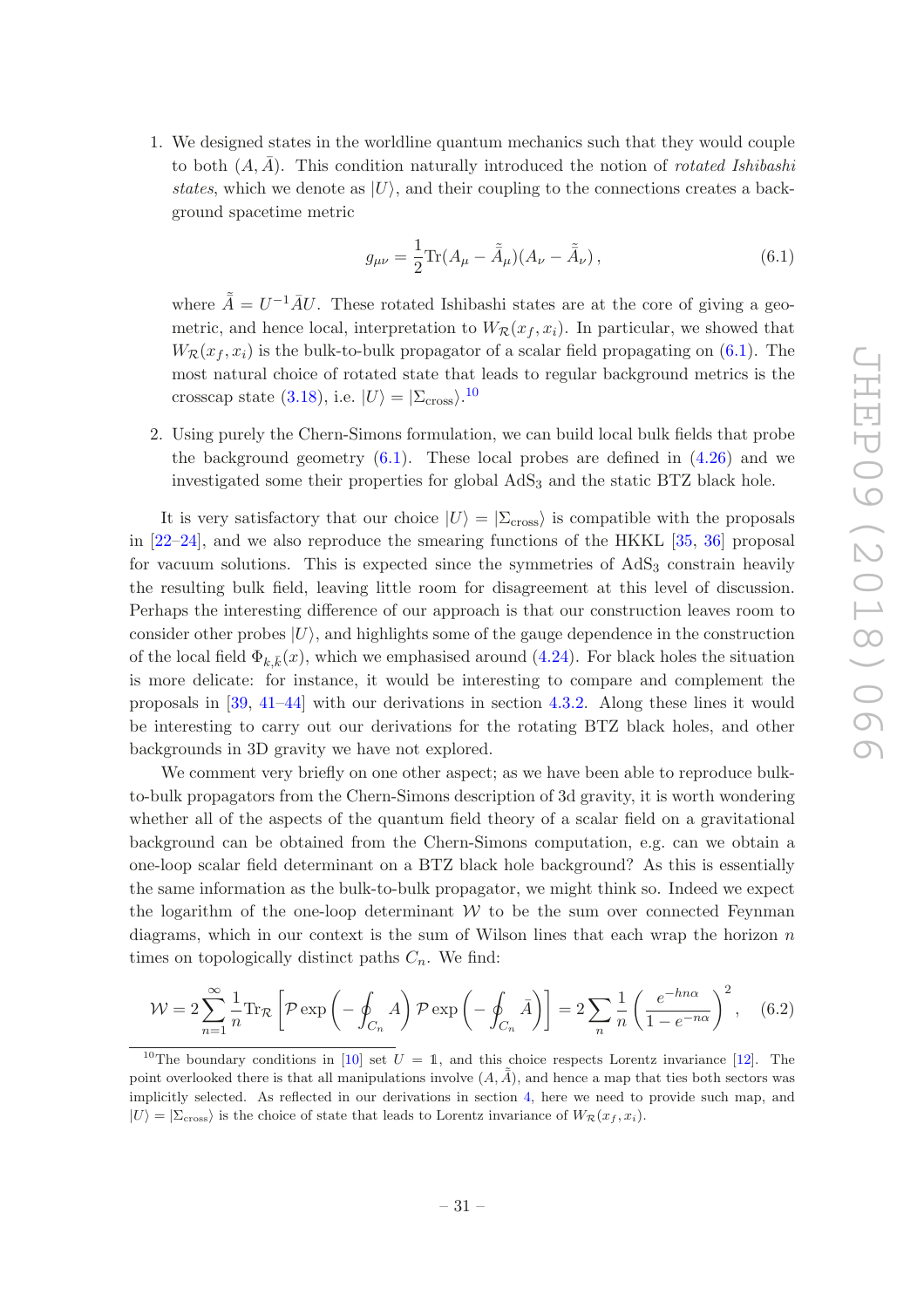1. We designed states in the worldline quantum mechanics such that they would couple to both  $(A, \overline{A})$ . This condition naturally introduced the notion of *rotated Ishibashi* states, which we denote as  $|U\rangle$ , and their coupling to the connections creates a background spacetime metric

<span id="page-32-0"></span>
$$
g_{\mu\nu} = \frac{1}{2} \text{Tr}(A_{\mu} - \tilde{\tilde{A}}_{\mu})(A_{\nu} - \tilde{\tilde{A}}_{\nu}), \qquad (6.1)
$$

where  $\tilde{\bar{A}} = U^{-1} \bar{A} U$ . These rotated Ishibashi states are at the core of giving a geometric, and hence local, interpretation to  $W_{\mathcal{R}}(x_f, x_i)$ . In particular, we showed that  $W_{\mathcal{R}}(x_f, x_i)$  is the bulk-to-bulk propagator of a scalar field propagating on [\(6.1\)](#page-32-0). The most natural choice of rotated state that leads to regular background metrics is the crosscap state [\(3.18\)](#page-11-2), i.e.  $|U\rangle = |\Sigma_{\text{cross}}\rangle$ .<sup>[10](#page-32-1)</sup>

2. Using purely the Chern-Simons formulation, we can build local bulk fields that probe the background geometry  $(6.1)$ . These local probes are defined in  $(4.26)$  and we investigated some their properties for global AdS<sub>3</sub> and the static BTZ black hole.

It is very satisfactory that our choice  $|U\rangle = |\Sigma_{\text{cross}}\rangle$  is compatible with the proposals in [\[22](#page-43-4)[–24\]](#page-43-5), and we also reproduce the smearing functions of the HKKL [\[35](#page-43-15), [36](#page-43-16)] proposal for vacuum solutions. This is expected since the symmetries of  $AdS<sub>3</sub>$  constrain heavily the resulting bulk field, leaving little room for disagreement at this level of discussion. Perhaps the interesting difference of our approach is that our construction leaves room to consider other probes  $|U\rangle$ , and highlights some of the gauge dependence in the construction of the local field  $\Phi_{k,\bar{k}}(x)$ , which we emphasised around [\(4.24\)](#page-20-1). For black holes the situation is more delicate: for instance, it would be interesting to compare and complement the proposals in [\[39,](#page-44-2) [41](#page-44-4)[–44](#page-44-5)] with our derivations in section [4.3.2.](#page-24-0) Along these lines it would be interesting to carry out our derivations for the rotating BTZ black holes, and other backgrounds in 3D gravity we have not explored.

We comment very briefly on one other aspect; as we have been able to reproduce bulkto-bulk propagators from the Chern-Simons description of 3d gravity, it is worth wondering whether all of the aspects of the quantum field theory of a scalar field on a gravitational background can be obtained from the Chern-Simons computation, e.g. can we obtain a one-loop scalar field determinant on a BTZ black hole background? As this is essentially the same information as the bulk-to-bulk propagator, we might think so. Indeed we expect the logarithm of the one-loop determinant  $W$  to be the sum over connected Feynman diagrams, which in our context is the sum of Wilson lines that each wrap the horizon  $n$ times on topologically distinct paths  $C_n$ . We find:

$$
\mathcal{W} = 2\sum_{n=1}^{\infty} \frac{1}{n} \text{Tr}_{\mathcal{R}} \left[ \mathcal{P} \exp\left( -\oint_{C_n} A \right) \mathcal{P} \exp\left( -\oint_{C_n} \bar{A} \right) \right] = 2\sum_n \frac{1}{n} \left( \frac{e^{-hn\alpha}}{1 - e^{-n\alpha}} \right)^2, \quad (6.2)
$$

<span id="page-32-1"></span><sup>&</sup>lt;sup>10</sup>The boundary conditions in [\[10](#page-42-6)] set  $U = \mathbb{1}$ , and this choice respects Lorentz invariance [\[12\]](#page-42-11). The point overlooked there is that all manipulations involve  $(A, \tilde{A})$ , and hence a map that ties both sectors was implicitly selected. As reflected in our derivations in section [4,](#page-16-0) here we need to provide such map, and  $|U\rangle = |\Sigma_{\text{cross}}\rangle$  is the choice of state that leads to Lorentz invariance of  $W_R(x_f, x_i)$ .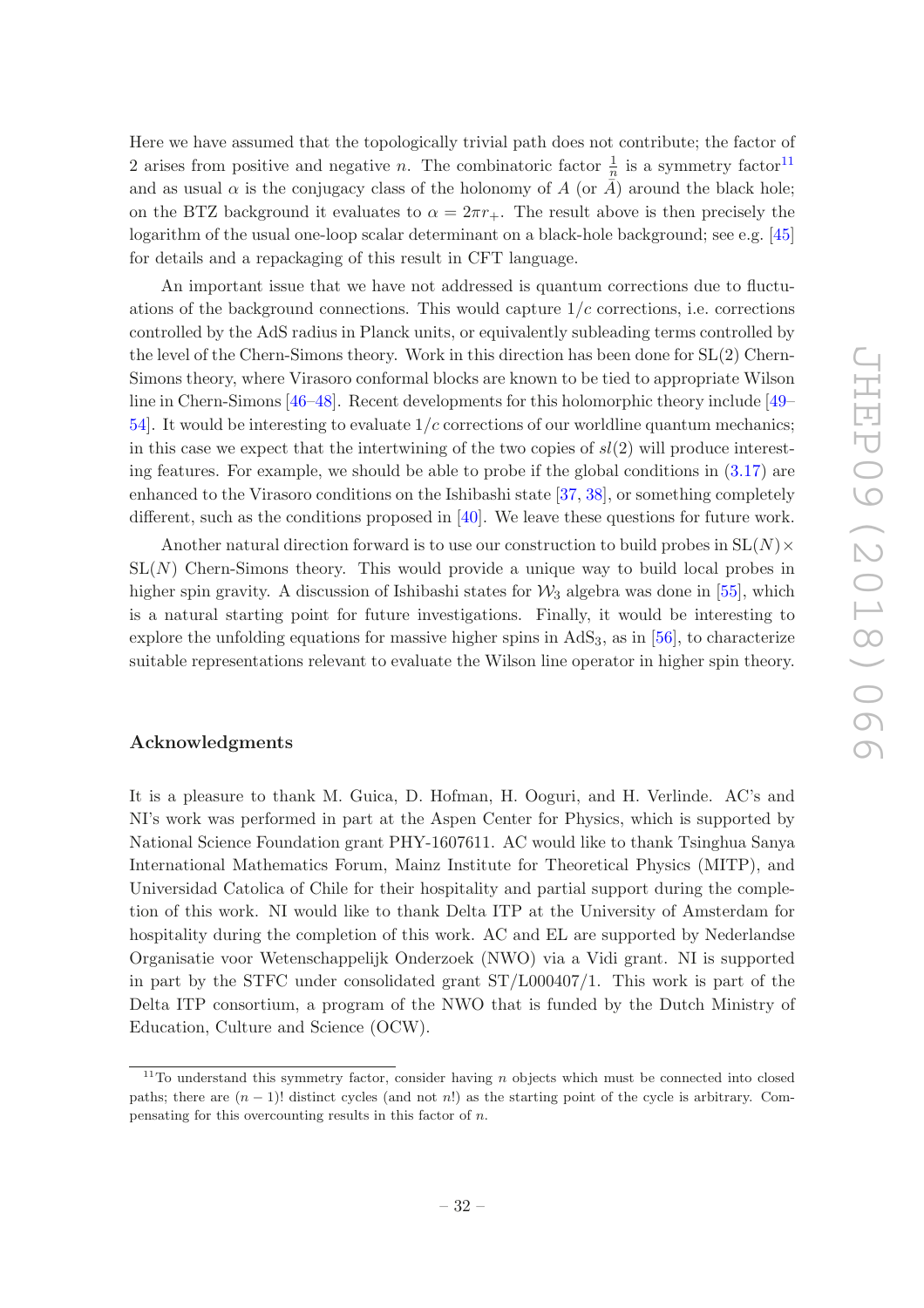Here we have assumed that the topologically trivial path does not contribute; the factor of 2 arises from positive and negative *n*. The combinatoric factor  $\frac{1}{n}$  is a symmetry factor<sup>[11](#page-33-0)</sup> and as usual  $\alpha$  is the conjugacy class of the holonomy of A (or A) around the black hole; on the BTZ background it evaluates to  $\alpha = 2\pi r_+$ . The result above is then precisely the logarithm of the usual one-loop scalar determinant on a black-hole background; see e.g. [\[45\]](#page-44-6) for details and a repackaging of this result in CFT language.

An important issue that we have not addressed is quantum corrections due to fluctuations of the background connections. This would capture  $1/c$  corrections, i.e. corrections controlled by the AdS radius in Planck units, or equivalently subleading terms controlled by the level of the Chern-Simons theory. Work in this direction has been done for SL(2) Chern-Simons theory, where Virasoro conformal blocks are known to be tied to appropriate Wilson line in Chern-Simons [\[46](#page-44-7)[–48\]](#page-44-8). Recent developments for this holomorphic theory include [\[49](#page-44-9)– [54](#page-44-10)]. It would be interesting to evaluate  $1/c$  corrections of our worldline quantum mechanics; in this case we expect that the intertwining of the two copies of  $sl(2)$  will produce interesting features. For example, we should be able to probe if the global conditions in [\(3.17\)](#page-11-4) are enhanced to the Virasoro conditions on the Ishibashi state [\[37,](#page-44-0) [38](#page-44-1)], or something completely different, such as the conditions proposed in [\[40\]](#page-44-3). We leave these questions for future work.

Another natural direction forward is to use our construction to build probes in  $SL(N) \times$  $SL(N)$  Chern-Simons theory. This would provide a unique way to build local probes in higher spin gravity. A discussion of Ishibashi states for  $\mathcal{W}_3$  algebra was done in [\[55\]](#page-44-11), which is a natural starting point for future investigations. Finally, it would be interesting to explore the unfolding equations for massive higher spins in  $AdS_3$ , as in [\[56](#page-45-0)], to characterize suitable representations relevant to evaluate the Wilson line operator in higher spin theory.

## Acknowledgments

It is a pleasure to thank M. Guica, D. Hofman, H. Ooguri, and H. Verlinde. AC's and NI's work was performed in part at the Aspen Center for Physics, which is supported by National Science Foundation grant PHY-1607611. AC would like to thank Tsinghua Sanya International Mathematics Forum, Mainz Institute for Theoretical Physics (MITP), and Universidad Catolica of Chile for their hospitality and partial support during the completion of this work. NI would like to thank Delta ITP at the University of Amsterdam for hospitality during the completion of this work. AC and EL are supported by Nederlandse Organisatie voor Wetenschappelijk Onderzoek (NWO) via a Vidi grant. NI is supported in part by the STFC under consolidated grant  $ST/L000407/1$ . This work is part of the Delta ITP consortium, a program of the NWO that is funded by the Dutch Ministry of Education, Culture and Science (OCW).

<span id="page-33-0"></span> $11$ To understand this symmetry factor, consider having n objects which must be connected into closed paths; there are  $(n - 1)!$  distinct cycles (and not n!) as the starting point of the cycle is arbitrary. Compensating for this overcounting results in this factor of n.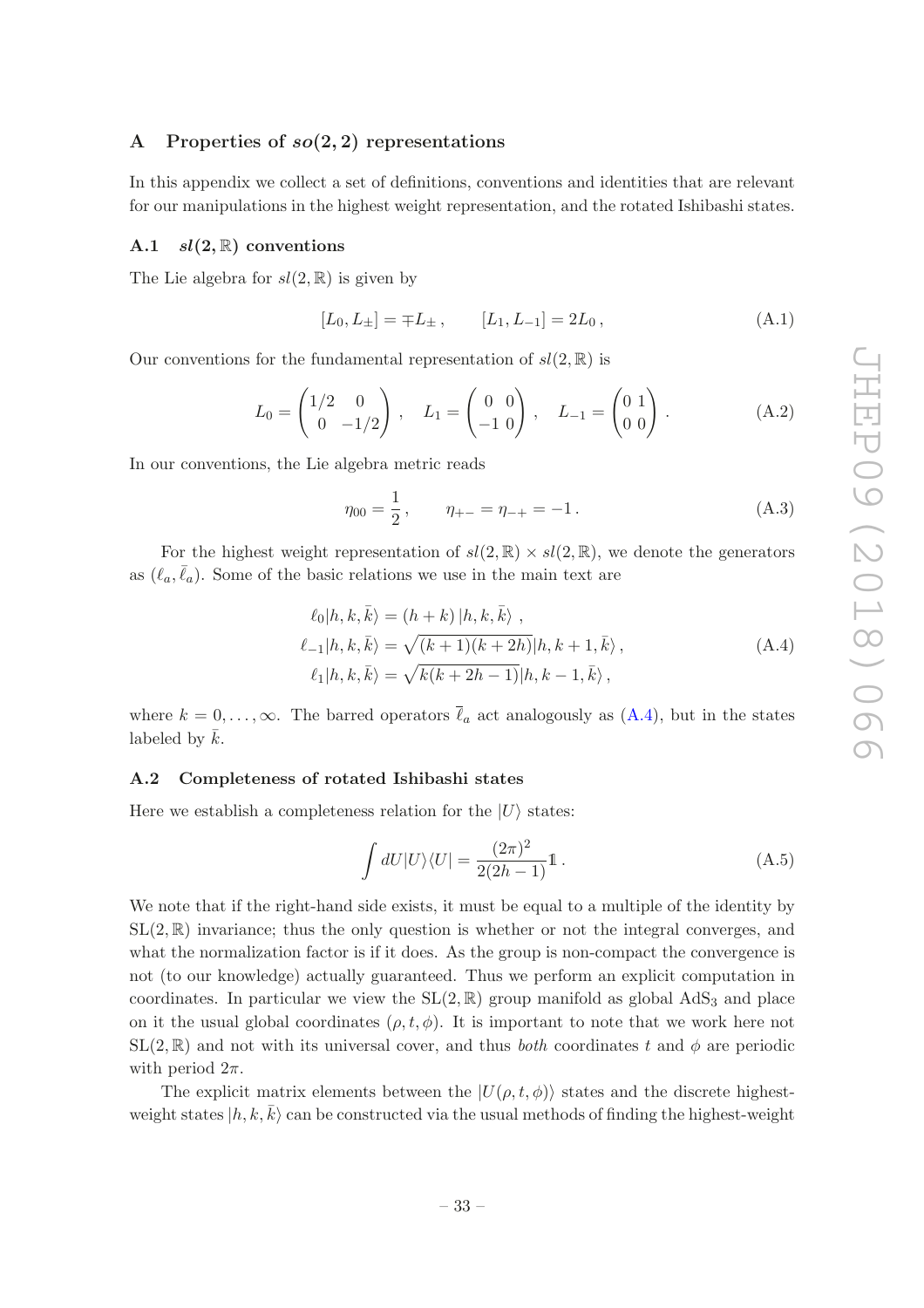### <span id="page-34-0"></span>A Properties of  $so(2, 2)$  representations

In this appendix we collect a set of definitions, conventions and identities that are relevant for our manipulations in the highest weight representation, and the rotated Ishibashi states.

### <span id="page-34-1"></span>A.1  $sl(2, \mathbb{R})$  conventions

The Lie algebra for  $sl(2, \mathbb{R})$  is given by

$$
[L_0, L_{\pm}] = \mp L_{\pm} , \qquad [L_1, L_{-1}] = 2L_0 , \qquad (A.1)
$$

Our conventions for the fundamental representation of  $sl(2,\mathbb{R})$  is

$$
L_0 = \begin{pmatrix} 1/2 & 0 \\ 0 & -1/2 \end{pmatrix}, \quad L_1 = \begin{pmatrix} 0 & 0 \\ -1 & 0 \end{pmatrix}, \quad L_{-1} = \begin{pmatrix} 0 & 1 \\ 0 & 0 \end{pmatrix}.
$$
 (A.2)

In our conventions, the Lie algebra metric reads

<span id="page-34-3"></span>
$$
\eta_{00} = \frac{1}{2}, \qquad \eta_{+-} = \eta_{-+} = -1. \tag{A.3}
$$

For the highest weight representation of  $sl(2,\mathbb{R})\times sl(2,\mathbb{R})$ , we denote the generators as  $(\ell_a, \bar{\ell}_a)$ . Some of the basic relations we use in the main text are

$$
\ell_0 | h, k, \bar{k} \rangle = (h + k) | h, k, \bar{k} \rangle ,
$$
  
\n
$$
\ell_{-1} | h, k, \bar{k} \rangle = \sqrt{(k+1)(k+2h)} | h, k+1, \bar{k} \rangle ,
$$
  
\n
$$
\ell_1 | h, k, \bar{k} \rangle = \sqrt{k(k+2h-1)} | h, k-1, \bar{k} \rangle ,
$$
  
\n(A.4)

where  $k = 0, \ldots, \infty$ . The barred operators  $\bar{\ell}_a$  act analogously as  $(A.4)$ , but in the states labeled by  $\bar{k}$ .

#### <span id="page-34-2"></span>A.2 Completeness of rotated Ishibashi states

Here we establish a completeness relation for the  $|U\rangle$  states:

<span id="page-34-4"></span>
$$
\int dU|U\rangle\langle U| = \frac{(2\pi)^2}{2(2h-1)}\mathbb{1}.
$$
\n(A.5)

We note that if the right-hand side exists, it must be equal to a multiple of the identity by  $SL(2,\mathbb{R})$  invariance; thus the only question is whether or not the integral converges, and what the normalization factor is if it does. As the group is non-compact the convergence is not (to our knowledge) actually guaranteed. Thus we perform an explicit computation in coordinates. In particular we view the  $SL(2,\mathbb{R})$  group manifold as global AdS<sub>3</sub> and place on it the usual global coordinates  $(\rho, t, \phi)$ . It is important to note that we work here not  $SL(2,\mathbb{R})$  and not with its universal cover, and thus *both* coordinates t and  $\phi$  are periodic with period  $2\pi$ .

The explicit matrix elements between the  $|U(\rho, t, \phi)\rangle$  states and the discrete highestweight states  $|h, k, \overline{k}\rangle$  can be constructed via the usual methods of finding the highest-weight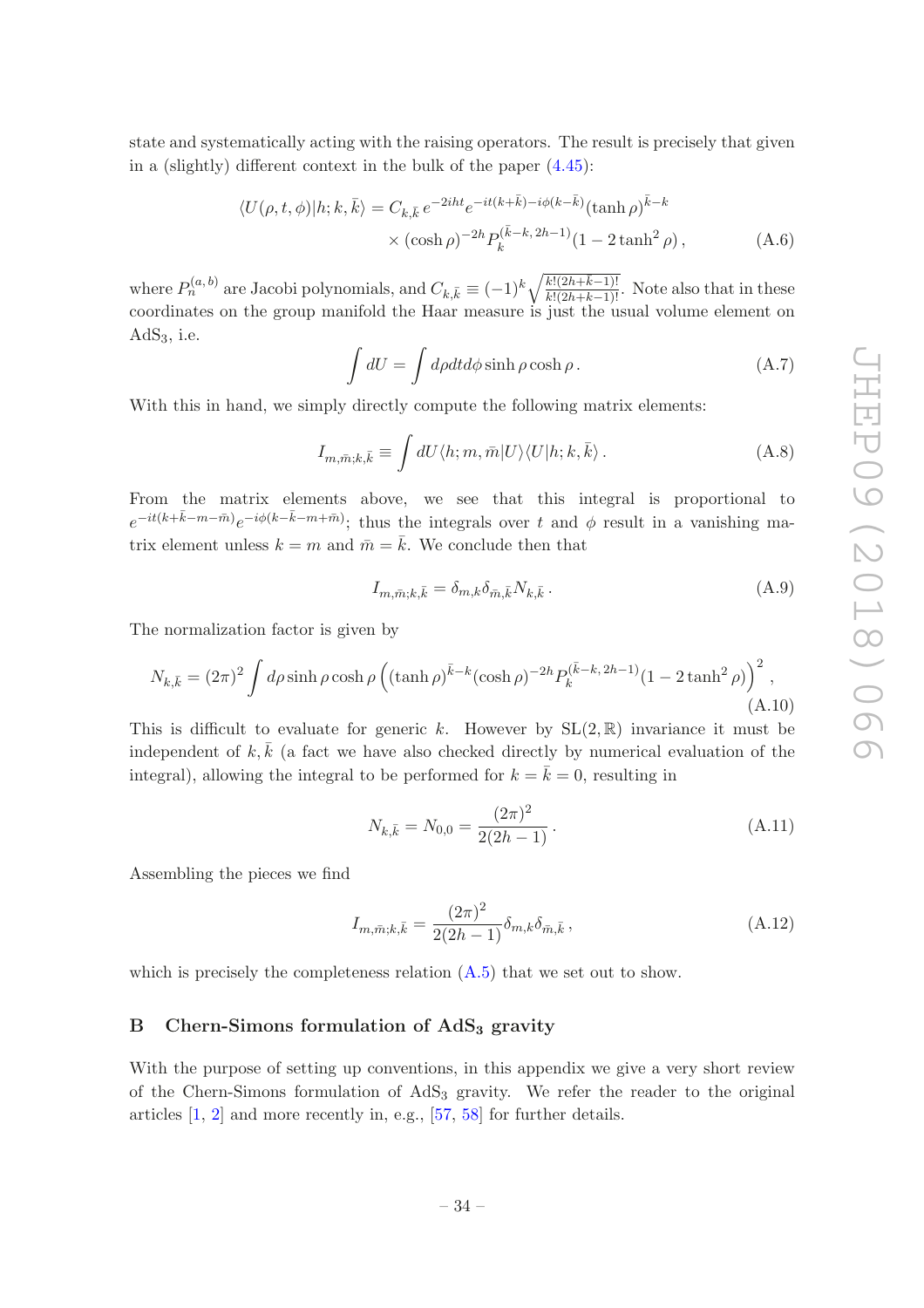state and systematically acting with the raising operators. The result is precisely that given in a (slightly) different context in the bulk of the paper [\(4.45\)](#page-24-2):

$$
\langle U(\rho, t, \phi)|h; k, \bar{k}\rangle = C_{k, \bar{k}} e^{-2iht} e^{-it(k+\bar{k})-i\phi(k-\bar{k})} (\tanh \rho)^{\bar{k}-k}
$$

$$
\times (\cosh \rho)^{-2h} P_k^{(\bar{k}-k, 2h-1)} (1 - 2 \tanh^2 \rho), \qquad (A.6)
$$

where  $P_n^{(a,b)}$  are Jacobi polynomials, and  $C_{k,\bar{k}} \equiv (-1)^k \sqrt{\frac{k!(2h+\bar{k}-1)!}{k!(2h+k-1)!}}$ . Note also that in these coordinates on the group manifold the Haar measure is just the usual volume element on  $AdS<sub>3</sub>$ , i.e.

$$
\int dU = \int d\rho dt d\phi \sinh \rho \cosh \rho. \tag{A.7}
$$

With this in hand, we simply directly compute the following matrix elements:

$$
I_{m,\bar{m};k,\bar{k}} \equiv \int dU \langle h;m,\bar{m}|U\rangle \langle U|h;k,\bar{k}\rangle \,. \tag{A.8}
$$

From the matrix elements above, we see that this integral is proportional to  $e^{-it(k+\bar{k}-m-\bar{m})}e^{-i\phi(k-\bar{k}-m+\bar{m})}$ ; thus the integrals over t and  $\phi$  result in a vanishing matrix element unless  $k = m$  and  $\bar{m} = \bar{k}$ . We conclude then that

$$
I_{m,\bar{m};k,\bar{k}} = \delta_{m,k}\delta_{\bar{m},\bar{k}}N_{k,\bar{k}}.
$$
\n(A.9)

The normalization factor is given by

$$
N_{k,\bar{k}} = (2\pi)^2 \int d\rho \sinh \rho \cosh \rho \left( (\tanh \rho)^{\bar{k}-k} (\cosh \rho)^{-2h} P_k^{(\bar{k}-k, 2h-1)} (1 - 2 \tanh^2 \rho) \right)^2, \tag{A.10}
$$

This is difficult to evaluate for generic k. However by  $SL(2,\mathbb{R})$  invariance it must be independent of k,  $\bar{k}$  (a fact we have also checked directly by numerical evaluation of the integral), allowing the integral to be performed for  $k = \bar{k} = 0$ , resulting in

$$
N_{k,\bar{k}} = N_{0,0} = \frac{(2\pi)^2}{2(2h-1)}.
$$
\n(A.11)

Assembling the pieces we find

$$
I_{m,\bar{m};k,\bar{k}} = \frac{(2\pi)^2}{2(2h-1)} \delta_{m,k} \delta_{\bar{m},\bar{k}},
$$
\n(A.12)

which is precisely the completeness relation  $(A.5)$  that we set out to show.

# <span id="page-35-0"></span>B Chern-Simons formulation of  $AdS<sub>3</sub>$  gravity

With the purpose of setting up conventions, in this appendix we give a very short review of the Chern-Simons formulation of AdS<sup>3</sup> gravity. We refer the reader to the original articles [\[1](#page-42-0), [2\]](#page-42-1) and more recently in, e.g., [\[57,](#page-45-1) [58](#page-45-2)] for further details.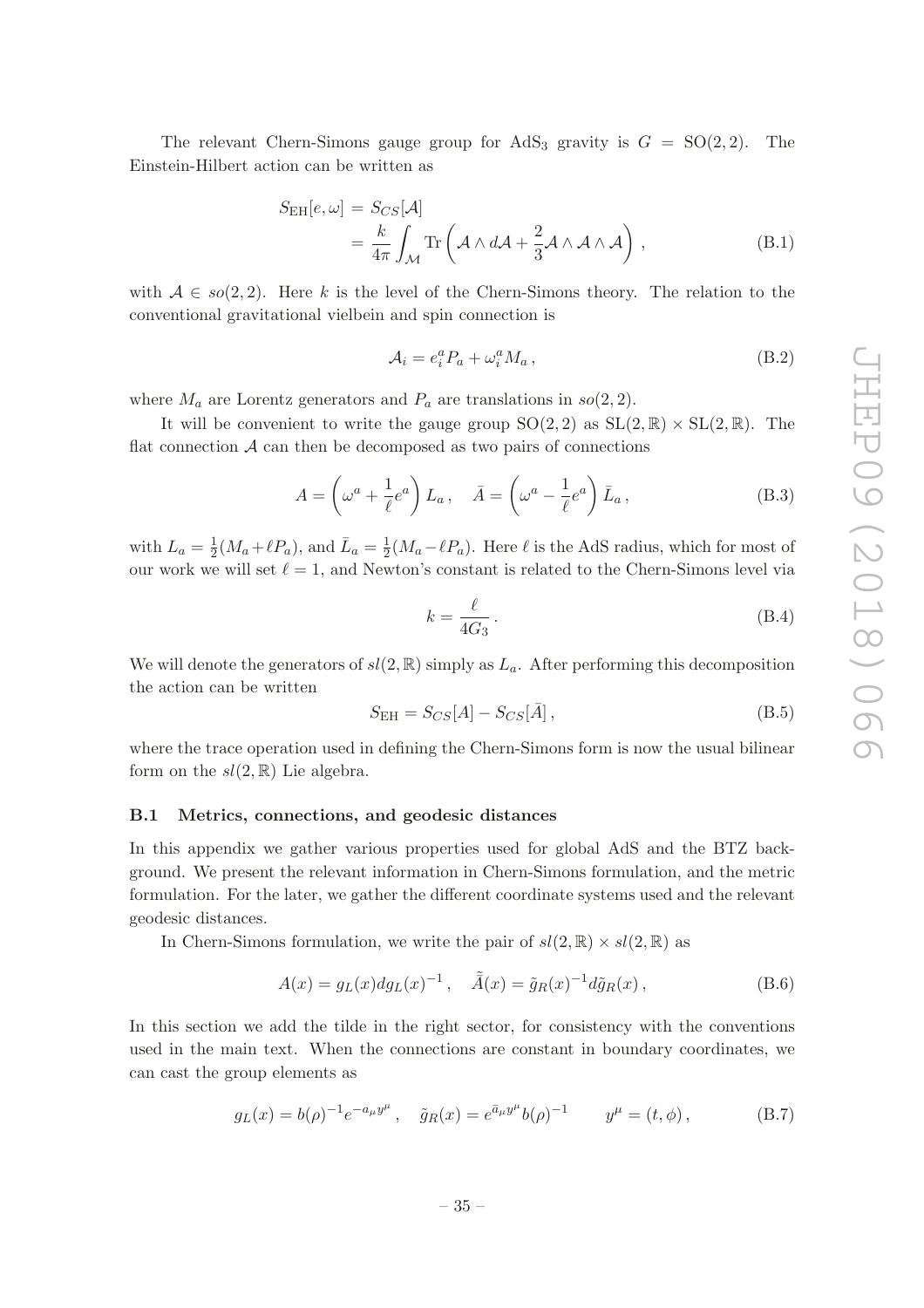The relevant Chern-Simons gauge group for AdS<sub>3</sub> gravity is  $G = SO(2, 2)$ . The Einstein-Hilbert action can be written as

$$
S_{\rm EH}[e,\omega] = S_{CS}[\mathcal{A}]
$$
  
=  $\frac{k}{4\pi} \int_{\mathcal{M}} \text{Tr}\left(\mathcal{A} \wedge d\mathcal{A} + \frac{2}{3} \mathcal{A} \wedge \mathcal{A} \wedge \mathcal{A}\right)$ , (B.1)

with  $A \in so(2, 2)$ . Here k is the level of the Chern-Simons theory. The relation to the conventional gravitational vielbein and spin connection is

$$
\mathcal{A}_i = e_i^a P_a + \omega_i^a M_a \,, \tag{B.2}
$$

where  $M_a$  are Lorentz generators and  $P_a$  are translations in  $so(2, 2)$ .

It will be convenient to write the gauge group  $SO(2, 2)$  as  $SL(2, \mathbb{R}) \times SL(2, \mathbb{R})$ . The flat connection  $A$  can then be decomposed as two pairs of connections

<span id="page-36-2"></span>
$$
A = \left(\omega^a + \frac{1}{\ell}e^a\right)L_a, \quad \bar{A} = \left(\omega^a - \frac{1}{\ell}e^a\right)\bar{L}_a,
$$
\n(B.3)

with  $L_a = \frac{1}{2}$  $\frac{1}{2}(M_a+\ell P_a)$ , and  $\bar{L}_a=\frac{1}{2}$  $\frac{1}{2}(M_a - \ell P_a)$ . Here  $\ell$  is the AdS radius, which for most of our work we will set  $\ell = 1$ , and Newton's constant is related to the Chern-Simons level via

$$
k = \frac{\ell}{4G_3} \,. \tag{B.4}
$$

We will denote the generators of  $sl(2, \mathbb{R})$  simply as  $L_a$ . After performing this decomposition the action can be written

$$
S_{\rm EH} = S_{CS}[A] - S_{CS}[\bar{A}], \qquad (B.5)
$$

where the trace operation used in defining the Chern-Simons form is now the usual bilinear form on the  $sl(2,\mathbb{R})$  Lie algebra.

#### <span id="page-36-0"></span>B.1 Metrics, connections, and geodesic distances

In this appendix we gather various properties used for global AdS and the BTZ background. We present the relevant information in Chern-Simons formulation, and the metric formulation. For the later, we gather the different coordinate systems used and the relevant geodesic distances.

In Chern-Simons formulation, we write the pair of  $sl(2, \mathbb{R}) \times sl(2, \mathbb{R})$  as

$$
A(x) = g_L(x) dg_L(x)^{-1}, \quad \tilde{A}(x) = \tilde{g}_R(x)^{-1} d\tilde{g}_R(x), \tag{B.6}
$$

In this section we add the tilde in the right sector, for consistency with the conventions used in the main text. When the connections are constant in boundary coordinates, we can cast the group elements as

<span id="page-36-1"></span>
$$
g_L(x) = b(\rho)^{-1} e^{-a_\mu y^\mu}, \quad \tilde{g}_R(x) = e^{\bar{a}_\mu y^\mu} b(\rho)^{-1} \qquad y^\mu = (t, \phi), \tag{B.7}
$$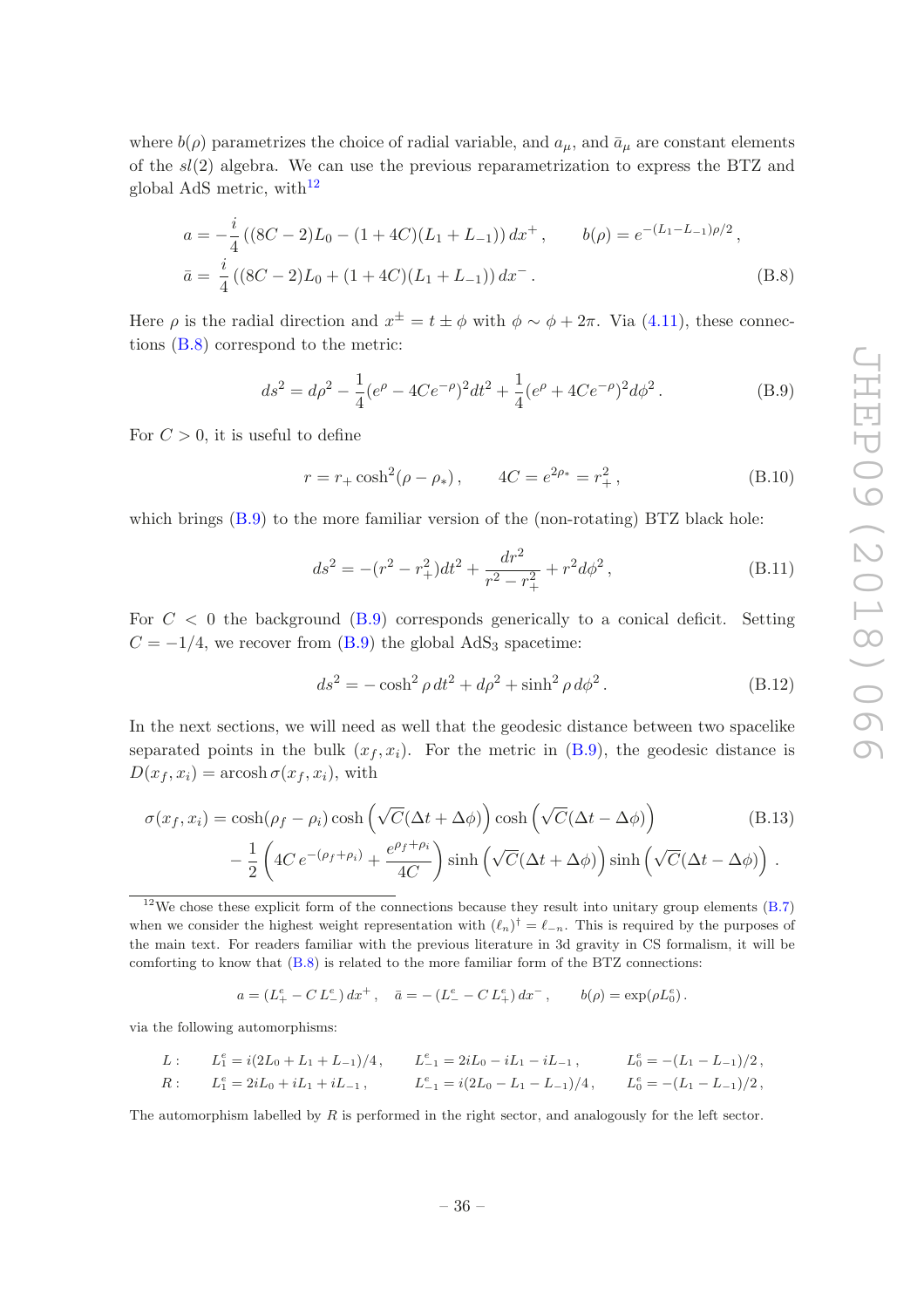where  $b(\rho)$  parametrizes the choice of radial variable, and  $a_{\mu}$ , and  $\bar{a}_{\mu}$  are constant elements of the sl(2) algebra. We can use the previous reparametrization to express the BTZ and global AdS metric, with<sup>[12](#page-37-4)</sup>

$$
a = -\frac{i}{4} \left( (8C - 2)L_0 - (1 + 4C)(L_1 + L_{-1}) \right) dx^+, \qquad b(\rho) = e^{-(L_1 - L_{-1})\rho/2},
$$
  

$$
\bar{a} = \frac{i}{4} \left( (8C - 2)L_0 + (1 + 4C)(L_1 + L_{-1}) \right) dx^-. \tag{B.8}
$$

Here  $\rho$  is the radial direction and  $x^{\pm} = t \pm \phi$  with  $\phi \sim \phi + 2\pi$ . Via [\(4.11\)](#page-17-4), these connections [\(B.8\)](#page-37-0) correspond to the metric:

<span id="page-37-1"></span>
$$
ds^{2} = d\rho^{2} - \frac{1}{4}(e^{\rho} - 4Ce^{-\rho})^{2}dt^{2} + \frac{1}{4}(e^{\rho} + 4Ce^{-\rho})^{2}d\phi^{2}.
$$
 (B.9)

For  $C > 0$ , it is useful to define

<span id="page-37-0"></span>
$$
r = r_{+} \cosh^{2}(\rho - \rho_{*}), \qquad 4C = e^{2\rho_{*}} = r_{+}^{2}, \qquad (B.10)
$$

which brings  $(B.9)$  to the more familiar version of the (non-rotating) BTZ black hole:

<span id="page-37-3"></span>
$$
ds^{2} = -(r^{2} - r_{+}^{2})dt^{2} + \frac{dr^{2}}{r^{2} - r_{+}^{2}} + r^{2}d\phi^{2},
$$
\n(B.11)

For  $C < 0$  the background  $(B.9)$  corresponds generically to a conical deficit. Setting  $C = -1/4$ , we recover from [\(B.9\)](#page-37-1) the global AdS<sub>3</sub> spacetime:

<span id="page-37-2"></span>
$$
ds^{2} = -\cosh^{2}\rho \, dt^{2} + d\rho^{2} + \sinh^{2}\rho \, d\phi^{2}.
$$
 (B.12)

In the next sections, we will need as well that the geodesic distance between two spacelike separated points in the bulk  $(x_f, x_i)$ . For the metric in  $(B.9)$ , the geodesic distance is  $D(x_f, x_i) = \operatorname{arcosh} \sigma(x_f, x_i)$ , with

$$
\sigma(x_f, x_i) = \cosh(\rho_f - \rho_i)\cosh\left(\sqrt{C}(\Delta t + \Delta\phi)\right)\cosh\left(\sqrt{C}(\Delta t - \Delta\phi)\right)
$$
(B.13)  

$$
-\frac{1}{2}\left(4C e^{-(\rho_f + \rho_i)} + \frac{e^{\rho_f + \rho_i}}{4C}\right)\sinh\left(\sqrt{C}(\Delta t + \Delta\phi)\right)\sinh\left(\sqrt{C}(\Delta t - \Delta\phi)\right).
$$

<span id="page-37-4"></span> $12$ We chose these explicit form of the connections because they result into unitary group elements [\(B.7\)](#page-36-1) when we consider the highest weight representation with  $(\ell_n)^{\dagger} = \ell_{-n}$ . This is required by the purposes of the main text. For readers familiar with the previous literature in 3d gravity in CS formalism, it will be comforting to know that  $(B.8)$  is related to the more familiar form of the BTZ connections:

$$
a = (L_{+}^{e} - CL_{-}^{e}) dx^{+}, \quad \bar{a} = - (L_{-}^{e} - CL_{+}^{e}) dx^{-}, \qquad b(\rho) = \exp(\rho L_{0}^{e}).
$$

via the following automorphisms:

*L*: 
$$
L_1^e = i(2L_0 + L_1 + L_{-1})/4
$$
,  $L_{-1}^e = 2iL_0 - iL_1 - iL_{-1}$ ,  $L_0^e = -(L_1 - L_{-1})/2$ ,  
\n*R*:  $L_1^e = 2iL_0 + iL_1 + iL_{-1}$ ,  $L_{-1}^e = i(2L_0 - L_1 - L_{-1})/4$ ,  $L_0^e = -(L_1 - L_{-1})/2$ ,

The automorphism labelled by  $R$  is performed in the right sector, and analogously for the left sector.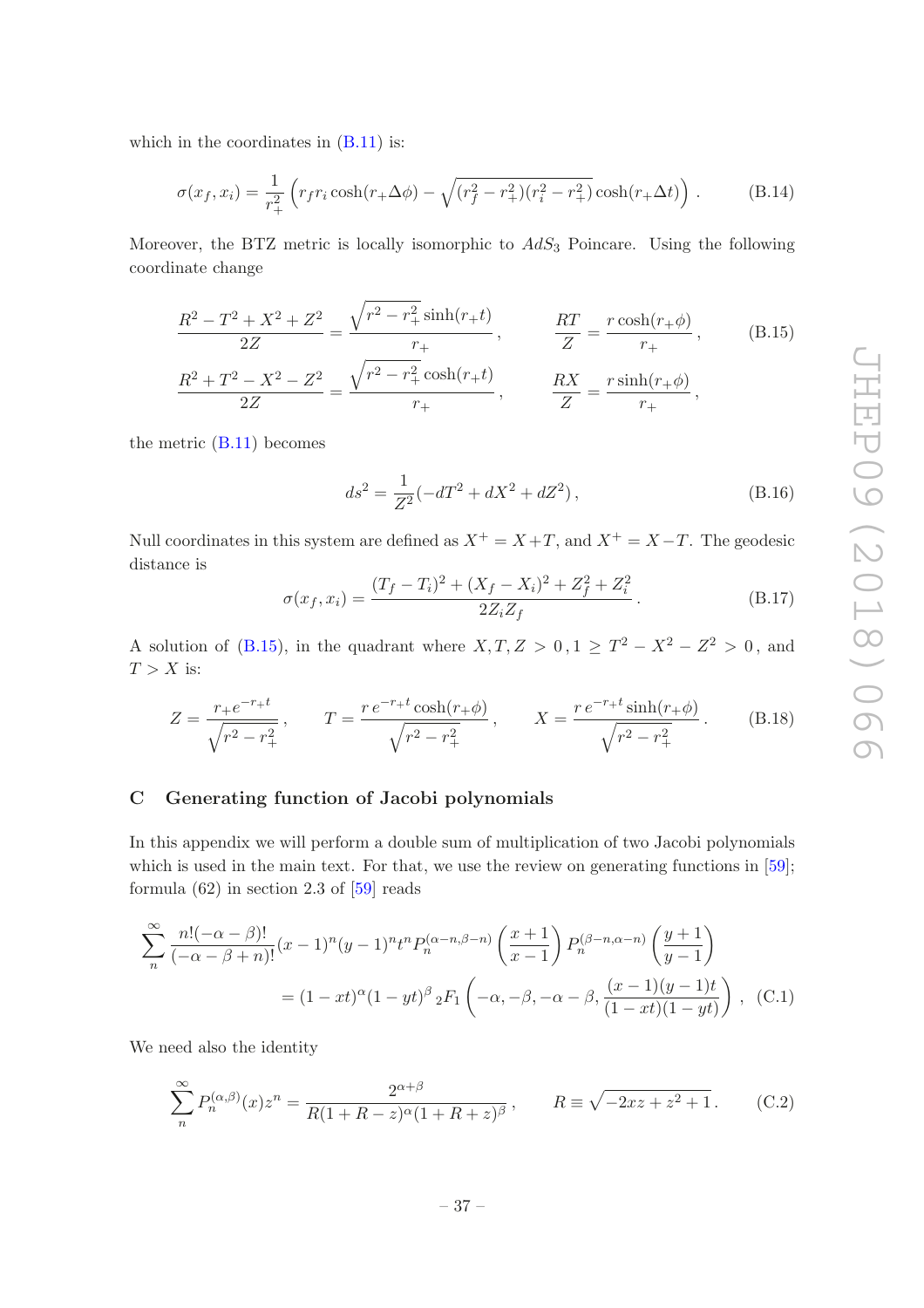which in the coordinates in  $(B.11)$  is:

<span id="page-38-1"></span>
$$
\sigma(x_f, x_i) = \frac{1}{r_+^2} \left( r_f r_i \cosh(r_+ \Delta \phi) - \sqrt{(r_f^2 - r_+^2)(r_i^2 - r_+^2)} \cosh(r_+ \Delta t) \right) . \tag{B.14}
$$

Moreover, the BTZ metric is locally isomorphic to  $AdS_3$  Poincare. Using the following coordinate change

$$
\frac{R^2 - T^2 + X^2 + Z^2}{2Z} = \frac{\sqrt{r^2 - r_+^2} \sinh(r_+ t)}{r_+}, \qquad \frac{RT}{Z} = \frac{r \cosh(r_+ \phi)}{r_+}, \qquad (B.15)
$$

$$
\frac{R^2 + T^2 - X^2 - Z^2}{2Z} = \frac{\sqrt{r^2 - r_+^2} \cosh(r_+ t)}{r_+}, \qquad \frac{RX}{Z} = \frac{r \sinh(r_+ \phi)}{r_+},
$$

the metric  $(B.11)$  becomes

<span id="page-38-2"></span>
$$
ds^{2} = \frac{1}{Z^{2}}(-dT^{2} + dX^{2} + dZ^{2}),
$$
\n(B.16)

Null coordinates in this system are defined as  $X^+ = X + T$ , and  $X^+ = X - T$ . The geodesic distance is

<span id="page-38-3"></span>
$$
\sigma(x_f, x_i) = \frac{(T_f - T_i)^2 + (X_f - X_i)^2 + Z_f^2 + Z_i^2}{2Z_i Z_f}.
$$
\n(B.17)

A solution of [\(B.15\)](#page-38-2), in the quadrant where  $X, T, Z > 0, 1 \ge T^2 - X^2 - Z^2 > 0$ , and  $T > X$  is:

<span id="page-38-4"></span>
$$
Z = \frac{r_+e^{-r_+t}}{\sqrt{r^2 - r_+^2}}, \qquad T = \frac{r e^{-r_+t} \cosh(r_+\phi)}{\sqrt{r^2 - r_+^2}}, \qquad X = \frac{r e^{-r_+t} \sinh(r_+\phi)}{\sqrt{r^2 - r_+^2}}.
$$
(B.18)

# <span id="page-38-0"></span>C Generating function of Jacobi polynomials

In this appendix we will perform a double sum of multiplication of two Jacobi polynomials which is used in the main text. For that, we use the review on generating functions in [\[59\]](#page-45-3); formula  $(62)$  in section 2.3 of  $[59]$  reads

$$
\sum_{n}^{\infty} \frac{n!(-\alpha - \beta)!}{(-\alpha - \beta + n)!} (x - 1)^n (y - 1)^n t^n P_n^{(\alpha - n, \beta - n)} \left(\frac{x + 1}{x - 1}\right) P_n^{(\beta - n, \alpha - n)} \left(\frac{y + 1}{y - 1}\right)
$$
  
=  $(1 - xt)^{\alpha} (1 - yt)^{\beta} {}_2F_1 \left(-\alpha, -\beta, -\alpha - \beta, \frac{(x - 1)(y - 1)t}{(1 - xt)(1 - yt)}\right)$ , (C.1)

We need also the identity

$$
\sum_{n}^{\infty} P_n^{(\alpha,\beta)}(x) z^n = \frac{2^{\alpha+\beta}}{R(1+R-z)^{\alpha}(1+R+z)^{\beta}}, \qquad R \equiv \sqrt{-2xz+z^2+1}.
$$
 (C.2)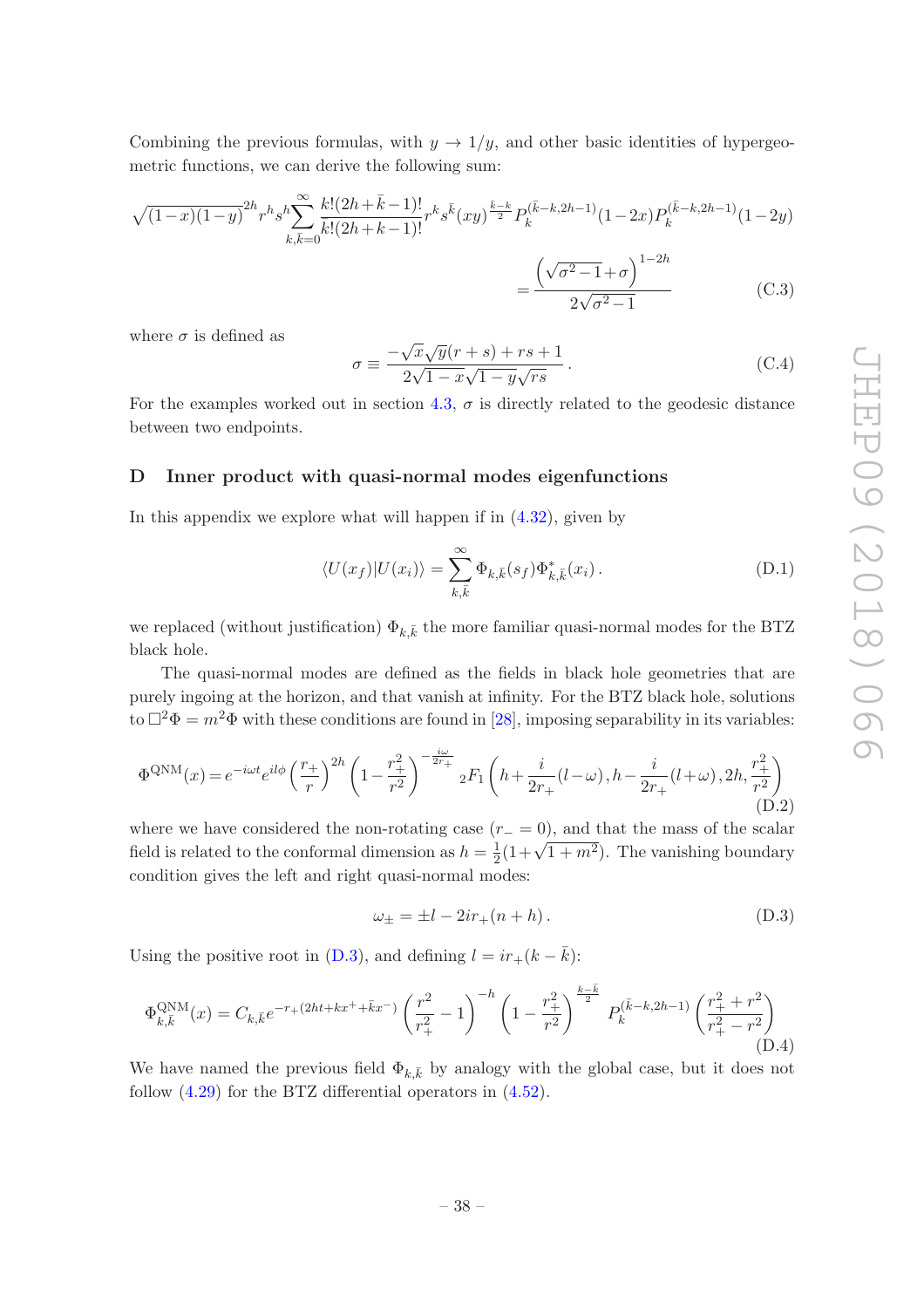Combining the previous formulas, with  $y \to 1/y$ , and other basic identities of hypergeometric functions, we can derive the following sum:

$$
\sqrt{(1-x)(1-y)}^{2h}r^h s^h \sum_{k,\bar{k}=0}^{\infty} \frac{k!(2h+\bar{k}-1)!}{\bar{k}!(2h+k-1)!} r^k s^{\bar{k}}(xy)^{\frac{\bar{k}-k}{2}} P_k^{(\bar{k}-k,2h-1)}(1-2x) P_k^{(\bar{k}-k,2h-1)}(1-2y)
$$

$$
= \frac{\left(\sqrt{\sigma^2-1}+\sigma\right)^{1-2h}}{2\sqrt{\sigma^2-1}} \tag{C.3}
$$

where  $\sigma$  is defined as

<span id="page-39-1"></span>
$$
\sigma \equiv \frac{-\sqrt{x}\sqrt{y}(r+s) + rs + 1}{2\sqrt{1-x}\sqrt{1-y}\sqrt{rs}}.
$$
\n(C.4)

For the examples worked out in section [4.3,](#page-20-0)  $\sigma$  is directly related to the geodesic distance between two endpoints.

#### <span id="page-39-0"></span>D Inner product with quasi-normal modes eigenfunctions

In this appendix we explore what will happen if in  $(4.32)$ , given by

<span id="page-39-3"></span>
$$
\langle U(x_f)|U(x_i)\rangle = \sum_{k,\bar{k}}^{\infty} \Phi_{k,\bar{k}}(s_f) \Phi_{k,\bar{k}}^*(x_i). \tag{D.1}
$$

we replaced (without justification)  $\Phi_{k,\bar{k}}$  the more familiar quasi-normal modes for the BTZ black hole.

The quasi-normal modes are defined as the fields in black hole geometries that are purely ingoing at the horizon, and that vanish at infinity. For the BTZ black hole, solutions to  $\Box^2 \Phi = m^2 \Phi$  with these conditions are found in [\[28\]](#page-43-14), imposing separability in its variables:

$$
\Phi^{\text{QNM}}(x) = e^{-i\omega t} e^{il\phi} \left(\frac{r_+}{r}\right)^{2h} \left(1 - \frac{r_+^2}{r^2}\right)^{-\frac{i\omega}{2r_+}} {}_2F_1\left(h + \frac{i}{2r_+}(l - \omega), h - \frac{i}{2r_+}(l + \omega), 2h, \frac{r_+^2}{r^2}\right)
$$
(D.2)

where we have considered the non-rotating case  $(r_ - = 0)$ , and that the mass of the scalar field is related to the conformal dimension as  $h=\frac{1}{2}$  $\frac{1}{2}(1+\sqrt{1+m^2})$ . The vanishing boundary condition gives the left and right quasi-normal modes:

<span id="page-39-2"></span>
$$
\omega_{\pm} = \pm l - 2ir_{+}(n+h). \tag{D.3}
$$

Using the positive root in [\(D.3\)](#page-39-2), and defining  $l = ir_+(k - \bar{k})$ :

<span id="page-39-4"></span>
$$
\Phi_{k,\bar{k}}^{\text{QNM}}(x) = C_{k,\bar{k}} e^{-r_+(2ht+kx^+ + \bar{k}x^-)} \left(\frac{r^2}{r_+^2} - 1\right)^{-h} \left(1 - \frac{r_+^2}{r^2}\right)^{\frac{k-\bar{k}}{2}} P_k^{(\bar{k}-k,2h-1)}\left(\frac{r_+^2 + r^2}{r_+^2 - r^2}\right)
$$
(D.4)

We have named the previous field  $\Phi_{k,\bar{k}}$  by analogy with the global case, but it does not follow [\(4.29\)](#page-21-1) for the BTZ differential operators in [\(4.52\)](#page-25-3).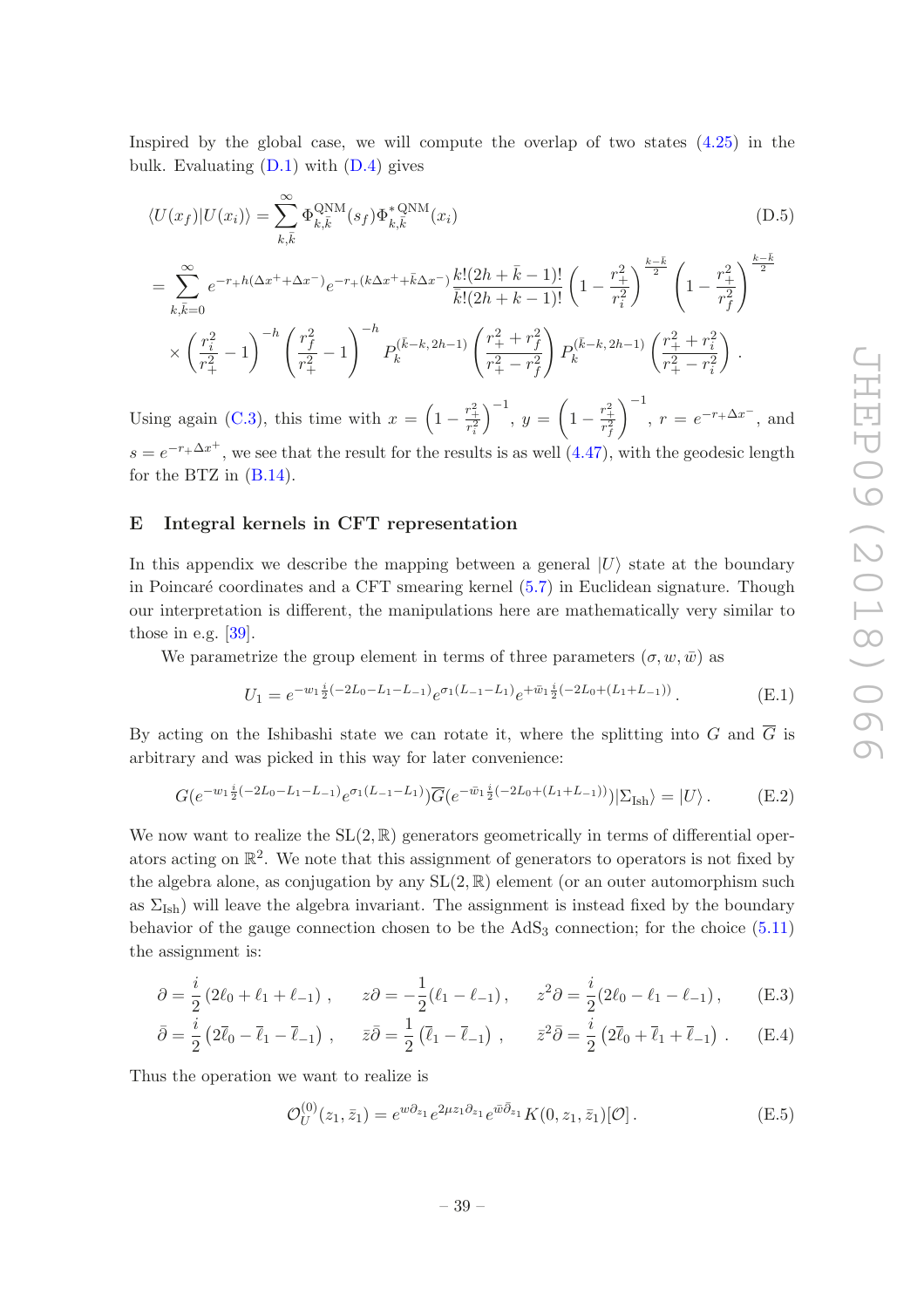Inspired by the global case, we will compute the overlap of two states [\(4.25\)](#page-20-3) in the bulk. Evaluating  $(D.1)$  with  $(D.4)$  gives

$$
\langle U(x_f)|U(x_i)\rangle = \sum_{k,\bar{k}}^{\infty} \Phi_{k,\bar{k}}^{\text{QNM}}(s_f) \Phi_{k,\bar{k}}^{* \text{QNM}}(x_i)
$$
\n
$$
= \sum_{k,\bar{k}=0}^{\infty} e^{-r+h(\Delta x^+ + \Delta x^-)} e^{-r+(k\Delta x^+ + \bar{k}\Delta x^-)} \frac{k!(2h+\bar{k}-1)!}{\bar{k}!(2h+k-1)!} \left(1 - \frac{r_+^2}{r_i^2}\right)^{\frac{k-\bar{k}}{2}} \left(1 - \frac{r_+^2}{r_f^2}\right)^{\frac{k-\bar{k}}{2}}
$$

$$
\bar{k}! (2h + k - 1)! \begin{pmatrix} 1 & r_i^2 \end{pmatrix} \begin{pmatrix} 1 & r_i^2 \end{pmatrix}
$$
\n
$$
\times \left(\frac{r_i^2}{r_+^2} - 1\right)^{-h} \begin{pmatrix} r_f^2 & r_f^2 \end{pmatrix} = P_k^{(\bar{k}-k, 2h-1)} \left(\frac{r_+^2 + r_f^2}{r_+^2 - r_f^2}\right) P_k^{(\bar{k}-k, 2h-1)} \left(\frac{r_+^2 + r_i^2}{r_+^2 - r_i^2}\right).
$$

Using again [\(C.3\)](#page-39-1), this time with  $x = \left(1 - \frac{r_+^2}{r_i^2}\right)$  $\Big)^{-1}, y = \bigg(1 - \frac{r_+^2}{r_f^2}\bigg)$  $\Big)^{-1}$ ,  $r = e^{-r_+\Delta x^-}$ , and  $s = e^{-r} \Delta x^+$ , we see that the result for the results is as well  $(4.47)$ , with the geodesic length for the BTZ in [\(B.14\)](#page-38-1).

### <span id="page-40-0"></span>E Integral kernels in CFT representation

In this appendix we describe the mapping between a general  $|U\rangle$  state at the boundary in Poincaré coordinates and a CFT smearing kernel  $(5.7)$  in Euclidean signature. Though our interpretation is different, the manipulations here are mathematically very similar to those in e.g.  $[39]$ .

We parametrize the group element in terms of three parameters  $(\sigma, w, \bar{w})$  as

$$
U_1 = e^{-w_1 \frac{i}{2}(-2L_0 - L_1 - L_{-1})} e^{\sigma_1 (L_{-1} - L_1)} e^{+ \bar{w}_1 \frac{i}{2}(-2L_0 + (L_1 + L_{-1}))}.
$$
 (E.1)

By acting on the Ishibashi state we can rotate it, where the splitting into G and  $\overline{G}$  is arbitrary and was picked in this way for later convenience:

$$
G(e^{-w_1\frac{i}{2}(-2L_0-L_1-L_{-1})}e^{\sigma_1(L_{-1}-L_1)})\overline{G}(e^{-\bar{w}_1\frac{i}{2}(-2L_0+(L_1+L_{-1}))})|\Sigma_{\text{Ish}}\rangle=|U\rangle.
$$
 (E.2)

We now want to realize the  $SL(2,\mathbb{R})$  generators geometrically in terms of differential operators acting on  $\mathbb{R}^2$ . We note that this assignment of generators to operators is not fixed by the algebra alone, as conjugation by any  $SL(2,\mathbb{R})$  element (or an outer automorphism such as  $\Sigma_{\text{Ish}}$ ) will leave the algebra invariant. The assignment is instead fixed by the boundary behavior of the gauge connection chosen to be the  $AdS<sub>3</sub>$  connection; for the choice [\(5.11\)](#page-31-2) the assignment is:

$$
\partial = \frac{i}{2} \left( 2\ell_0 + \ell_1 + \ell_{-1} \right) , \qquad z\partial = -\frac{1}{2} (\ell_1 - \ell_{-1}) , \qquad z^2 \partial = \frac{i}{2} (2\ell_0 - \ell_1 - \ell_{-1}) , \qquad (E.3)
$$

$$
\bar{\partial} = \frac{i}{2} \left( 2\bar{\ell}_0 - \bar{\ell}_1 - \bar{\ell}_{-1} \right) , \quad \bar{z}\bar{\partial} = \frac{1}{2} \left( \bar{\ell}_1 - \bar{\ell}_{-1} \right) , \quad \bar{z}^2 \bar{\partial} = \frac{i}{2} \left( 2\bar{\ell}_0 + \bar{\ell}_1 + \bar{\ell}_{-1} \right) . \quad (E.4)
$$

Thus the operation we want to realize is

$$
\mathcal{O}_U^{(0)}(z_1, \bar{z}_1) = e^{w\partial_{z_1}} e^{2\mu z_1 \partial_{z_1}} e^{\bar{w}\bar{\partial}_{z_1}} K(0, z_1, \bar{z}_1)[\mathcal{O}]. \tag{E.5}
$$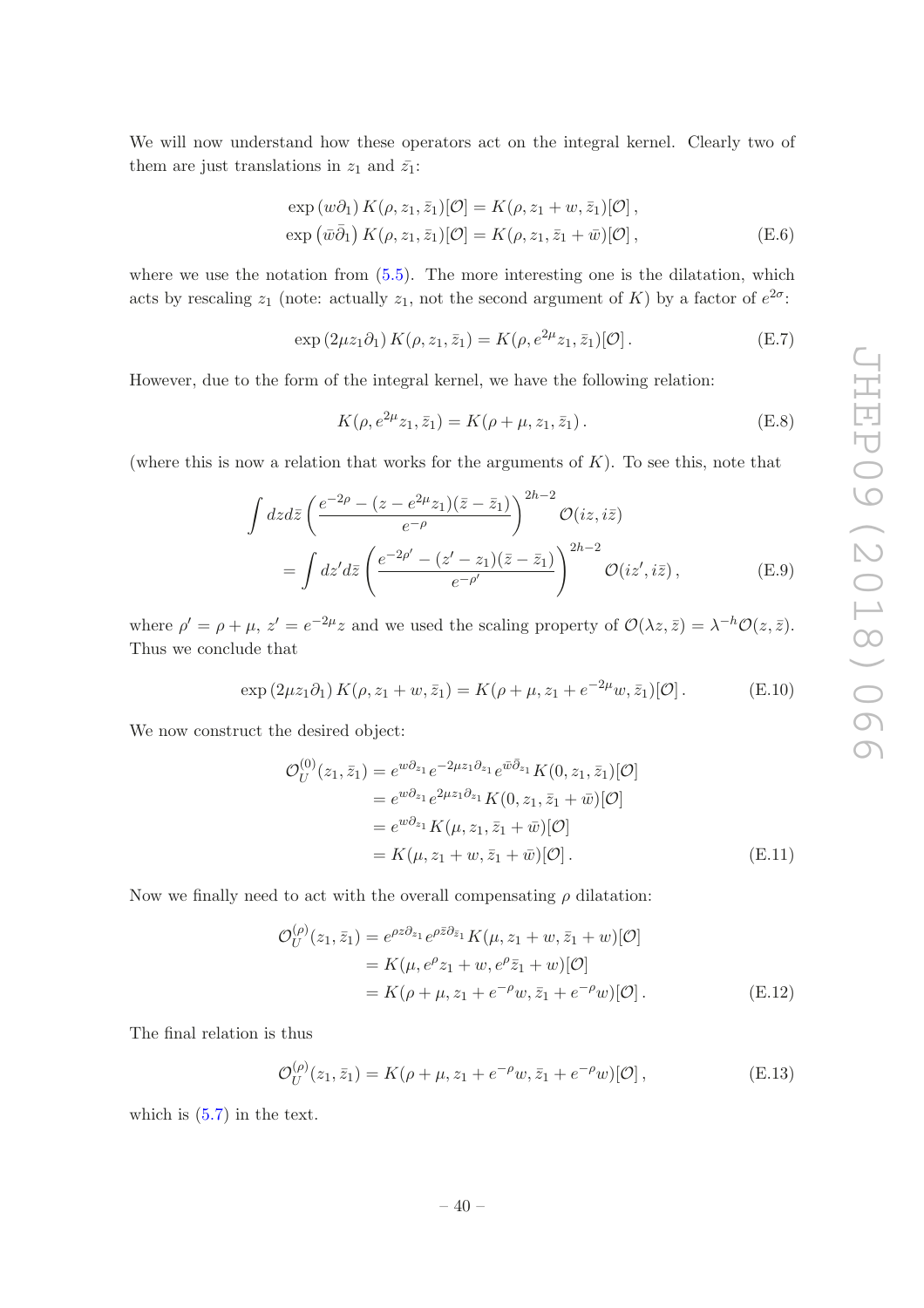We will now understand how these operators act on the integral kernel. Clearly two of them are just translations in  $z_1$  and  $\bar{z_1}$ :

$$
\exp(w\partial_1) K(\rho, z_1, \bar{z}_1)[\mathcal{O}] = K(\rho, z_1 + w, \bar{z}_1)[\mathcal{O}],
$$
  
\n
$$
\exp(\bar{w}\bar{\partial}_1) K(\rho, z_1, \bar{z}_1)[\mathcal{O}] = K(\rho, z_1, \bar{z}_1 + \bar{w})[\mathcal{O}],
$$
\n(E.6)

where we use the notation from  $(5.5)$ . The more interesting one is the dilatation, which acts by rescaling  $z_1$  (note: actually  $z_1$ , not the second argument of K) by a factor of  $e^{2\sigma}$ :

$$
\exp(2\mu z_1 \partial_1) K(\rho, z_1, \bar{z}_1) = K(\rho, e^{2\mu} z_1, \bar{z}_1)[\mathcal{O}].
$$
 (E.7)

However, due to the form of the integral kernel, we have the following relation:

$$
K(\rho, e^{2\mu}z_1, \bar{z}_1) = K(\rho + \mu, z_1, \bar{z}_1).
$$
 (E.8)

(where this is now a relation that works for the arguments of  $K$ ). To see this, note that

$$
\int dz d\bar{z} \left( \frac{e^{-2\rho} - (z - e^{2\mu} z_1)(\bar{z} - \bar{z}_1)}{e^{-\rho}} \right)^{2h-2} \mathcal{O}(iz, i\bar{z})
$$
\n
$$
= \int dz' d\bar{z} \left( \frac{e^{-2\rho'} - (z' - z_1)(\bar{z} - \bar{z}_1)}{e^{-\rho'}} \right)^{2h-2} \mathcal{O}(iz', i\bar{z}), \tag{E.9}
$$

where  $\rho' = \rho + \mu$ ,  $z' = e^{-2\mu} z$  and we used the scaling property of  $\mathcal{O}(\lambda z, \bar{z}) = \lambda^{-h} \mathcal{O}(z, \bar{z})$ . Thus we conclude that

$$
\exp(2\mu z_1 \partial_1) K(\rho, z_1 + w, \bar{z}_1) = K(\rho + \mu, z_1 + e^{-2\mu} w, \bar{z}_1)[\mathcal{O}]. \tag{E.10}
$$

We now construct the desired object:

$$
\mathcal{O}_{U}^{(0)}(z_{1}, \bar{z}_{1}) = e^{w\partial_{z_{1}}}e^{-2\mu z_{1}\partial_{z_{1}}}e^{\bar{w}\bar{\partial}_{z_{1}}}K(0, z_{1}, \bar{z}_{1})[\mathcal{O}]
$$
  
\n
$$
= e^{w\partial_{z_{1}}}e^{2\mu z_{1}\partial_{z_{1}}}K(0, z_{1}, \bar{z}_{1} + \bar{w})[\mathcal{O}]
$$
  
\n
$$
= e^{w\partial_{z_{1}}}K(\mu, z_{1}, \bar{z}_{1} + \bar{w})[\mathcal{O}]
$$
  
\n
$$
= K(\mu, z_{1} + w, \bar{z}_{1} + \bar{w})[\mathcal{O}].
$$
 (E.11)

Now we finally need to act with the overall compensating  $\rho$  dilatation:

$$
\mathcal{O}_{U}^{(\rho)}(z_{1}, \bar{z}_{1}) = e^{\rho z \partial_{z_{1}}} e^{\rho \bar{z} \partial_{\bar{z}_{1}}} K(\mu, z_{1} + w, \bar{z}_{1} + w)[\mathcal{O}]
$$
  
=  $K(\mu, e^{\rho} z_{1} + w, e^{\rho} \bar{z}_{1} + w)[\mathcal{O}]$   
=  $K(\rho + \mu, z_{1} + e^{-\rho} w, \bar{z}_{1} + e^{-\rho} w)[\mathcal{O}].$  (E.12)

The final relation is thus

$$
\mathcal{O}_U^{(\rho)}(z_1, \bar{z}_1) = K(\rho + \mu, z_1 + e^{-\rho} w, \bar{z}_1 + e^{-\rho} w)[\mathcal{O}], \tag{E.13}
$$

which is [\(5.7\)](#page-30-0) in the text.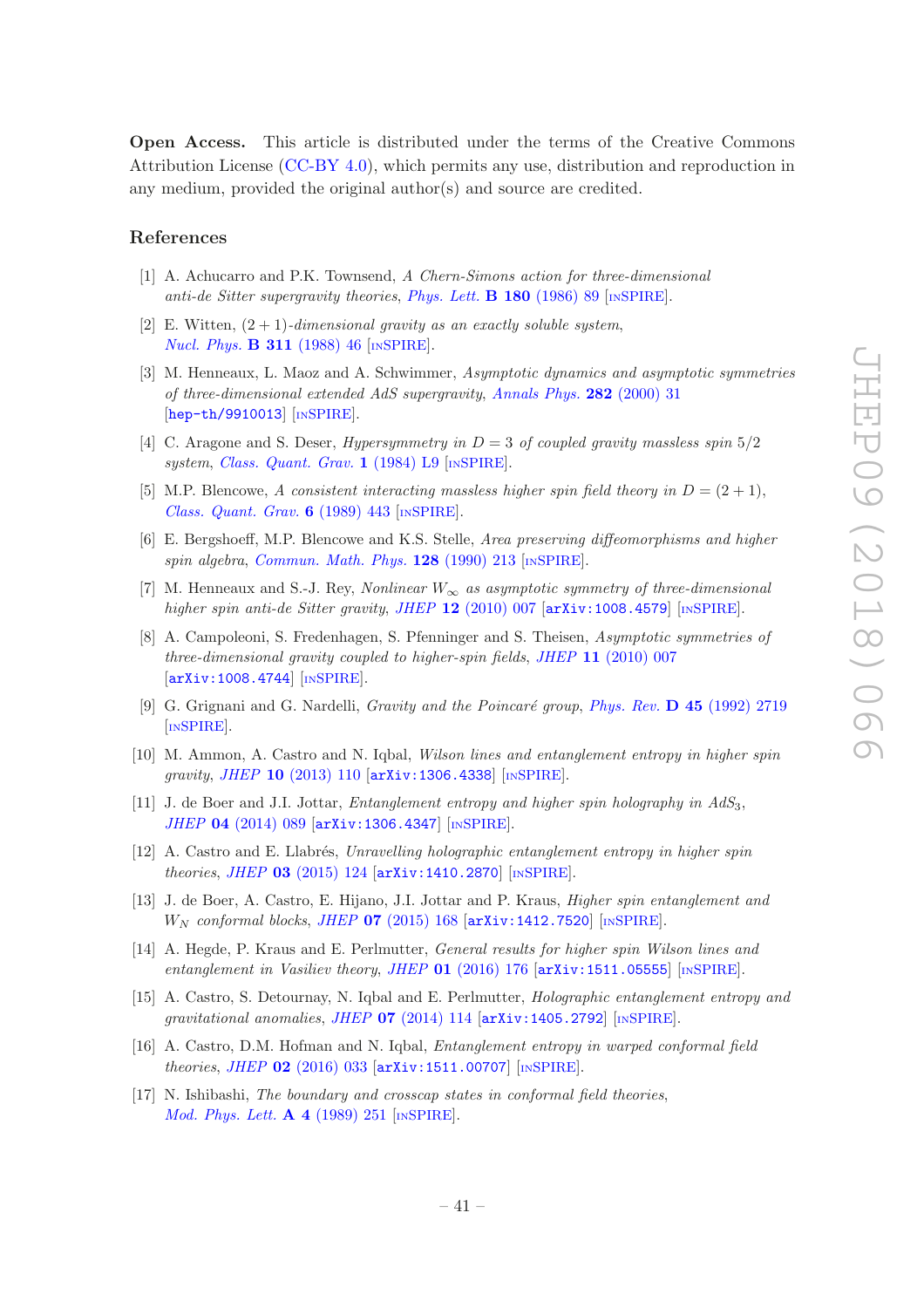Open Access. This article is distributed under the terms of the Creative Commons Attribution License [\(CC-BY 4.0\)](https://creativecommons.org/licenses/by/4.0/), which permits any use, distribution and reproduction in any medium, provided the original author(s) and source are credited.

#### References

- <span id="page-42-0"></span>[1] A. Achucarro and P.K. Townsend, A Chern-Simons action for three-dimensional anti-de Sitter supergravity theories, [Phys. Lett.](https://doi.org/10.1016/0370-2693(86)90140-1) **B 180** (1986) 89  $\text{[mSPIRE]}$  $\text{[mSPIRE]}$  $\text{[mSPIRE]}$ .
- <span id="page-42-1"></span>[2] E. Witten,  $(2 + 1)$ -dimensional gravity as an exactly soluble system, [Nucl. Phys.](https://doi.org/10.1016/0550-3213(88)90143-5) **B 311** (1988) 46 [IN[SPIRE](https://inspirehep.net/search?p=find+J+%22Nucl.Phys.,B311,46%22)].
- <span id="page-42-2"></span>[3] M. Henneaux, L. Maoz and A. Schwimmer, Asymptotic dynamics and asymptotic symmetries of three-dimensional extended AdS supergravity, [Annals Phys.](https://doi.org/10.1006/aphy.2000.5994) 282 (2000) 31 [[hep-th/9910013](https://arxiv.org/abs/hep-th/9910013)] [IN[SPIRE](https://inspirehep.net/search?p=find+EPRINT+hep-th/9910013)].
- <span id="page-42-3"></span>[4] C. Aragone and S. Deser, *Hypersymmetry in*  $D = 3$  of coupled gravity massless spin  $5/2$ system, [Class. Quant. Grav.](https://doi.org/10.1088/0264-9381/1/2/001) 1 (1984) L9 [IN[SPIRE](https://inspirehep.net/search?p=find+J+%22Class.Quant.Grav.,1,L9%22)].
- [5] M.P. Blencowe, A consistent interacting massless higher spin field theory in  $D = (2 + 1)$ , [Class. Quant. Grav.](https://doi.org/10.1088/0264-9381/6/4/005) 6 (1989) 443 [IN[SPIRE](https://inspirehep.net/search?p=find+J+%22Class.Quant.Grav.,6,443%22)].
- [6] E. Bergshoeff, M.P. Blencowe and K.S. Stelle, Area preserving diffeomorphisms and higher spin algebra, [Commun. Math. Phys.](https://doi.org/10.1007/BF02108779) 128 (1990) 213 [IN[SPIRE](https://inspirehep.net/search?p=find+J+%22Comm.Math.Phys.,128,213%22)].
- [7] M. Henneaux and S.-J. Rey, Nonlinear  $W_{\infty}$  as asymptotic symmetry of three-dimensional higher spin anti-de Sitter gravity, JHEP  $12$  [\(2010\) 007](https://doi.org/10.1007/JHEP12(2010)007) [[arXiv:1008.4579](https://arxiv.org/abs/1008.4579)] [IN[SPIRE](https://inspirehep.net/search?p=find+EPRINT+arXiv:1008.4579)].
- <span id="page-42-4"></span>[8] A. Campoleoni, S. Fredenhagen, S. Pfenninger and S. Theisen, Asymptotic symmetries of three-dimensional gravity coupled to higher-spin fields, JHEP 11 [\(2010\) 007](https://doi.org/10.1007/JHEP11(2010)007) [[arXiv:1008.4744](https://arxiv.org/abs/1008.4744)] [IN[SPIRE](https://inspirehep.net/search?p=find+EPRINT+arXiv:1008.4744)].
- <span id="page-42-5"></span>[9] G. Grignani and G. Nardelli, *Gravity and the Poincaré group*, *Phys. Rev.*  $\bf{D}$  45 [\(1992\) 2719](https://doi.org/10.1103/PhysRevD.45.2719) [IN[SPIRE](https://inspirehep.net/search?p=find+J+%22Phys.Rev.,D45,2719%22)].
- <span id="page-42-6"></span>[10] M. Ammon, A. Castro and N. Iqbal, Wilson lines and entanglement entropy in higher spin gravity, JHEP 10 [\(2013\) 110](https://doi.org/10.1007/JHEP10(2013)110) [[arXiv:1306.4338](https://arxiv.org/abs/1306.4338)] [IN[SPIRE](https://inspirehep.net/search?p=find+EPRINT+arXiv:1306.4338)].
- [11] J. de Boer and J.I. Jottar, *Entanglement entropy and higher spin holography in AdS*<sub>3</sub>, JHEP 04 [\(2014\) 089](https://doi.org/10.1007/JHEP04(2014)089) [[arXiv:1306.4347](https://arxiv.org/abs/1306.4347)] [IN[SPIRE](https://inspirehep.net/search?p=find+EPRINT+arXiv:1306.4347)].
- <span id="page-42-11"></span> $[12]$  A. Castro and E. Llabrés, Unravelling holographic entanglement entropy in higher spin theories, JHEP 03 [\(2015\) 124](https://doi.org/10.1007/JHEP03(2015)124) [[arXiv:1410.2870](https://arxiv.org/abs/1410.2870)] [IN[SPIRE](https://inspirehep.net/search?p=find+EPRINT+arXiv:1410.2870)].
- [13] J. de Boer, A. Castro, E. Hijano, J.I. Jottar and P. Kraus, Higher spin entanglement and  $W_N$  conformal blocks, JHEP 07 [\(2015\) 168](https://doi.org/10.1007/JHEP07(2015)168)  $\left[$ [arXiv:1412.7520](https://arxiv.org/abs/1412.7520) $\right]$   $\left[$ IN[SPIRE](https://inspirehep.net/search?p=find+EPRINT+arXiv:1412.7520) $\right]$ .
- <span id="page-42-7"></span>[14] A. Hegde, P. Kraus and E. Perlmutter, General results for higher spin Wilson lines and entanglement in Vasiliev theory, JHEP  $01$  [\(2016\) 176](https://doi.org/10.1007/JHEP01(2016)176)  $\left[$ [arXiv:1511.05555](https://arxiv.org/abs/1511.05555) $\right]$   $\left[$ IN[SPIRE](https://inspirehep.net/search?p=find+EPRINT+arXiv:1511.05555) $\right]$ .
- <span id="page-42-8"></span>[15] A. Castro, S. Detournay, N. Iqbal and E. Perlmutter, Holographic entanglement entropy and gravitational anomalies, JHEP 07 [\(2014\) 114](https://doi.org/10.1007/JHEP07(2014)114)  $\left[$ [arXiv:1405.2792](https://arxiv.org/abs/1405.2792) $\right]$  [IN[SPIRE](https://inspirehep.net/search?p=find+EPRINT+arXiv:1405.2792)].
- <span id="page-42-9"></span>[16] A. Castro, D.M. Hofman and N. Iqbal, Entanglement entropy in warped conformal field theories, JHEP 02 [\(2016\) 033](https://doi.org/10.1007/JHEP02(2016)033) [[arXiv:1511.00707](https://arxiv.org/abs/1511.00707)] [IN[SPIRE](https://inspirehep.net/search?p=find+EPRINT+arXiv:1511.00707)].
- <span id="page-42-10"></span>[17] N. Ishibashi, The boundary and crosscap states in conformal field theories, [Mod. Phys. Lett.](https://doi.org/10.1142/S0217732389000320) **A 4** (1989) 251 [IN[SPIRE](https://inspirehep.net/search?p=find+J+%22Mod.Phys.Lett.,A4,251%22)].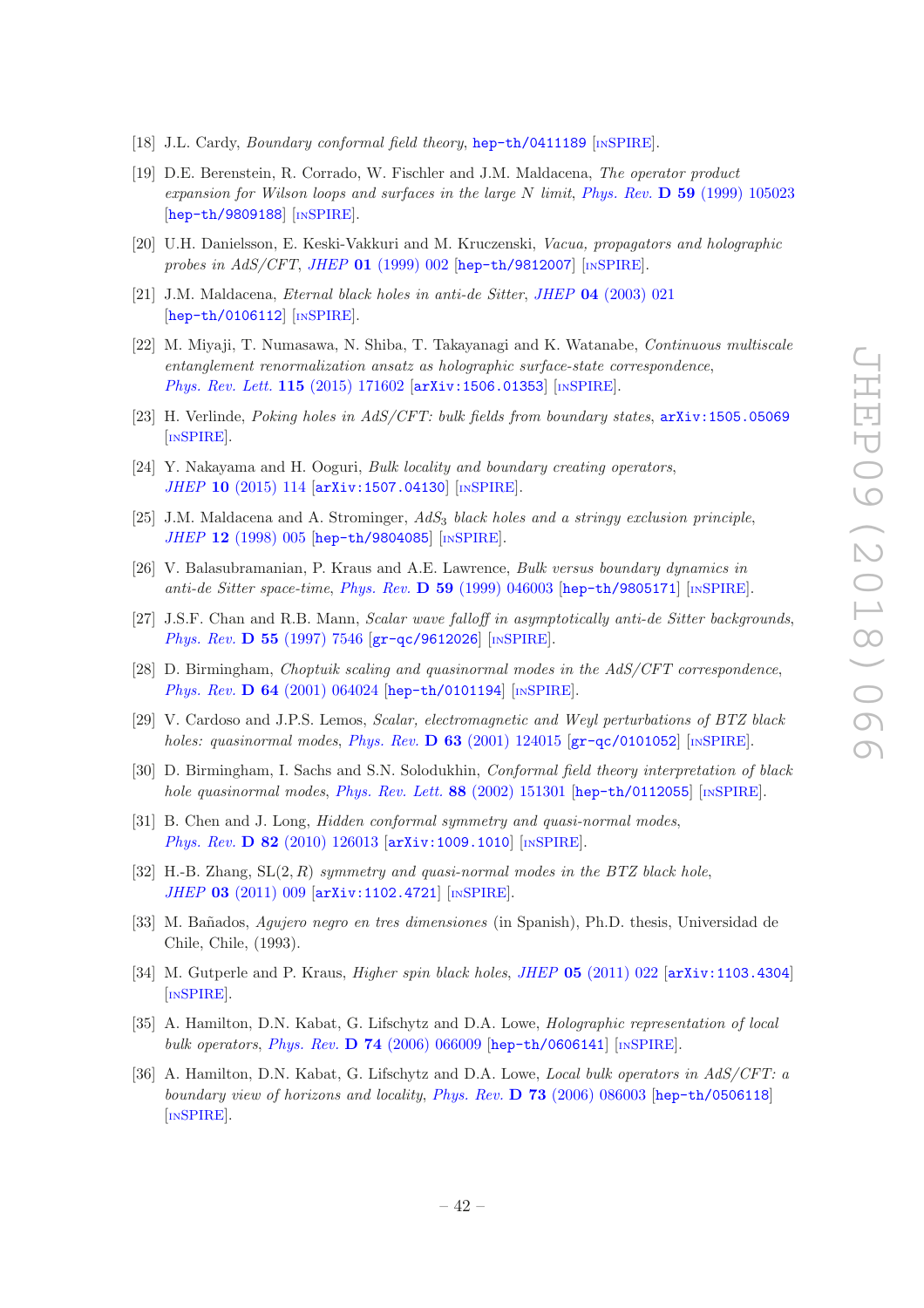- <span id="page-43-0"></span>[18] J.L. Cardy, *Boundary conformal field theory*, **[hep-th/0411189](https://arxiv.org/abs/hep-th/0411189)** [IN[SPIRE](https://inspirehep.net/search?p=find+EPRINT+hep-th/0411189)].
- <span id="page-43-1"></span>[19] D.E. Berenstein, R. Corrado, W. Fischler and J.M. Maldacena, The operator product expansion for Wilson loops and surfaces in the large N limit, Phys. Rev. D 59 [\(1999\) 105023](https://doi.org/10.1103/PhysRevD.59.105023) [[hep-th/9809188](https://arxiv.org/abs/hep-th/9809188)] [IN[SPIRE](https://inspirehep.net/search?p=find+EPRINT+hep-th/9809188)].
- <span id="page-43-2"></span>[20] U.H. Danielsson, E. Keski-Vakkuri and M. Kruczenski, Vacua, propagators and holographic probes in  $AdS/CFT$ , JHEP 01 [\(1999\) 002](https://doi.org/10.1088/1126-6708/1999/01/002) [[hep-th/9812007](https://arxiv.org/abs/hep-th/9812007)] [IN[SPIRE](https://inspirehep.net/search?p=find+EPRINT+hep-th/9812007)].
- <span id="page-43-3"></span>[21] J.M. Maldacena, Eternal black holes in anti-de Sitter, JHEP 04 [\(2003\) 021](https://doi.org/10.1088/1126-6708/2003/04/021) [[hep-th/0106112](https://arxiv.org/abs/hep-th/0106112)] [IN[SPIRE](https://inspirehep.net/search?p=find+EPRINT+hep-th/0106112)].
- <span id="page-43-4"></span>[22] M. Miyaji, T. Numasawa, N. Shiba, T. Takayanagi and K. Watanabe, Continuous multiscale entanglement renormalization ansatz as holographic surface-state correspondence, [Phys. Rev. Lett.](https://doi.org/10.1103/PhysRevLett.115.171602) 115 (2015) 171602 [[arXiv:1506.01353](https://arxiv.org/abs/1506.01353)] [IN[SPIRE](https://inspirehep.net/search?p=find+EPRINT+arXiv:1506.01353)].
- <span id="page-43-17"></span>[23] H. Verlinde, *Poking holes in AdS/CFT: bulk fields from boundary states*,  $arXiv:1505.05069$ [IN[SPIRE](https://inspirehep.net/search?p=find+EPRINT+arXiv:1505.05069)].
- <span id="page-43-5"></span>[24] Y. Nakayama and H. Ooguri, Bulk locality and boundary creating operators, JHEP 10 [\(2015\) 114](https://doi.org/10.1007/JHEP10(2015)114) [[arXiv:1507.04130](https://arxiv.org/abs/1507.04130)] [IN[SPIRE](https://inspirehep.net/search?p=find+EPRINT+arXiv:1507.04130)].
- <span id="page-43-6"></span>[25] J.M. Maldacena and A. Strominger,  $AdS_3$  black holes and a stringy exclusion principle, JHEP 12 [\(1998\) 005](https://doi.org/10.1088/1126-6708/1998/12/005) [[hep-th/9804085](https://arxiv.org/abs/hep-th/9804085)] [IN[SPIRE](https://inspirehep.net/search?p=find+EPRINT+hep-th/9804085)].
- <span id="page-43-7"></span>[26] V. Balasubramanian, P. Kraus and A.E. Lawrence, Bulk versus boundary dynamics in anti-de Sitter space-time, Phys. Rev. D 59 [\(1999\) 046003](https://doi.org/10.1103/PhysRevD.59.046003) [[hep-th/9805171](https://arxiv.org/abs/hep-th/9805171)] [IN[SPIRE](https://inspirehep.net/search?p=find+EPRINT+hep-th/9805171)].
- <span id="page-43-8"></span>[27] J.S.F. Chan and R.B. Mann, Scalar wave falloff in asymptotically anti-de Sitter backgrounds, Phys. Rev. **D 55** [\(1997\) 7546](https://doi.org/10.1103/PhysRevD.55.7546) [[gr-qc/9612026](https://arxiv.org/abs/gr-qc/9612026)] [IN[SPIRE](https://inspirehep.net/search?p=find+EPRINT+gr-qc/9612026)].
- <span id="page-43-14"></span>[28] D. Birmingham, Choptuik scaling and quasinormal modes in the AdS/CFT correspondence, Phys. Rev. D 64 [\(2001\) 064024](https://doi.org/10.1103/PhysRevD.64.064024) [[hep-th/0101194](https://arxiv.org/abs/hep-th/0101194)] [IN[SPIRE](https://inspirehep.net/search?p=find+EPRINT+hep-th/0101194)].
- [29] V. Cardoso and J.P.S. Lemos, Scalar, electromagnetic and Weyl perturbations of BTZ black holes: quasinormal modes, Phys. Rev.  $\bf{D}$  63 [\(2001\) 124015](https://doi.org/10.1103/PhysRevD.63.124015) [[gr-qc/0101052](https://arxiv.org/abs/gr-qc/0101052)] [IN[SPIRE](https://inspirehep.net/search?p=find+EPRINT+gr-qc/0101052)].
- <span id="page-43-9"></span>[30] D. Birmingham, I. Sachs and S.N. Solodukhin, Conformal field theory interpretation of black hole quasinormal modes, [Phys. Rev. Lett.](https://doi.org/10.1103/PhysRevLett.88.151301)  $88$  (2002) 151301 [[hep-th/0112055](https://arxiv.org/abs/hep-th/0112055)] [IN[SPIRE](https://inspirehep.net/search?p=find+EPRINT+hep-th/0112055)].
- <span id="page-43-10"></span>[31] B. Chen and J. Long, *Hidden conformal symmetry and quasi-normal modes*, Phys. Rev. D 82 [\(2010\) 126013](https://doi.org/10.1103/PhysRevD.82.126013) [[arXiv:1009.1010](https://arxiv.org/abs/1009.1010)] [IN[SPIRE](https://inspirehep.net/search?p=find+EPRINT+arXiv:1009.1010)].
- <span id="page-43-11"></span>[32] H.-B. Zhang,  $SL(2, R)$  symmetry and quasi-normal modes in the BTZ black hole, JHEP 03 [\(2011\) 009](https://doi.org/10.1007/JHEP03(2011)009) [[arXiv:1102.4721](https://arxiv.org/abs/1102.4721)] [IN[SPIRE](https://inspirehep.net/search?p=find+EPRINT+arXiv:1102.4721)].
- <span id="page-43-12"></span>[33] M. Bañados, Aqujero negro en tres dimensiones (in Spanish), Ph.D. thesis, Universidad de Chile, Chile, (1993).
- <span id="page-43-13"></span>[34] M. Gutperle and P. Kraus, *Higher spin black holes, JHEP* 05 [\(2011\) 022](https://doi.org/10.1007/JHEP05(2011)022) [[arXiv:1103.4304](https://arxiv.org/abs/1103.4304)] [IN[SPIRE](https://inspirehep.net/search?p=find+EPRINT+arXiv:1103.4304)].
- <span id="page-43-15"></span>[35] A. Hamilton, D.N. Kabat, G. Lifschytz and D.A. Lowe, Holographic representation of local bulk operators, Phys. Rev. D 74 [\(2006\) 066009](https://doi.org/10.1103/PhysRevD.74.066009) [[hep-th/0606141](https://arxiv.org/abs/hep-th/0606141)] [IN[SPIRE](https://inspirehep.net/search?p=find+EPRINT+hep-th/0606141)].
- <span id="page-43-16"></span>[36] A. Hamilton, D.N. Kabat, G. Lifschytz and D.A. Lowe, *Local bulk operators in AdS/CFT: a* boundary view of horizons and locality, Phys. Rev. D 73 [\(2006\) 086003](https://doi.org/10.1103/PhysRevD.73.086003) [[hep-th/0506118](https://arxiv.org/abs/hep-th/0506118)] [IN[SPIRE](https://inspirehep.net/search?p=find+EPRINT+hep-th/0506118)].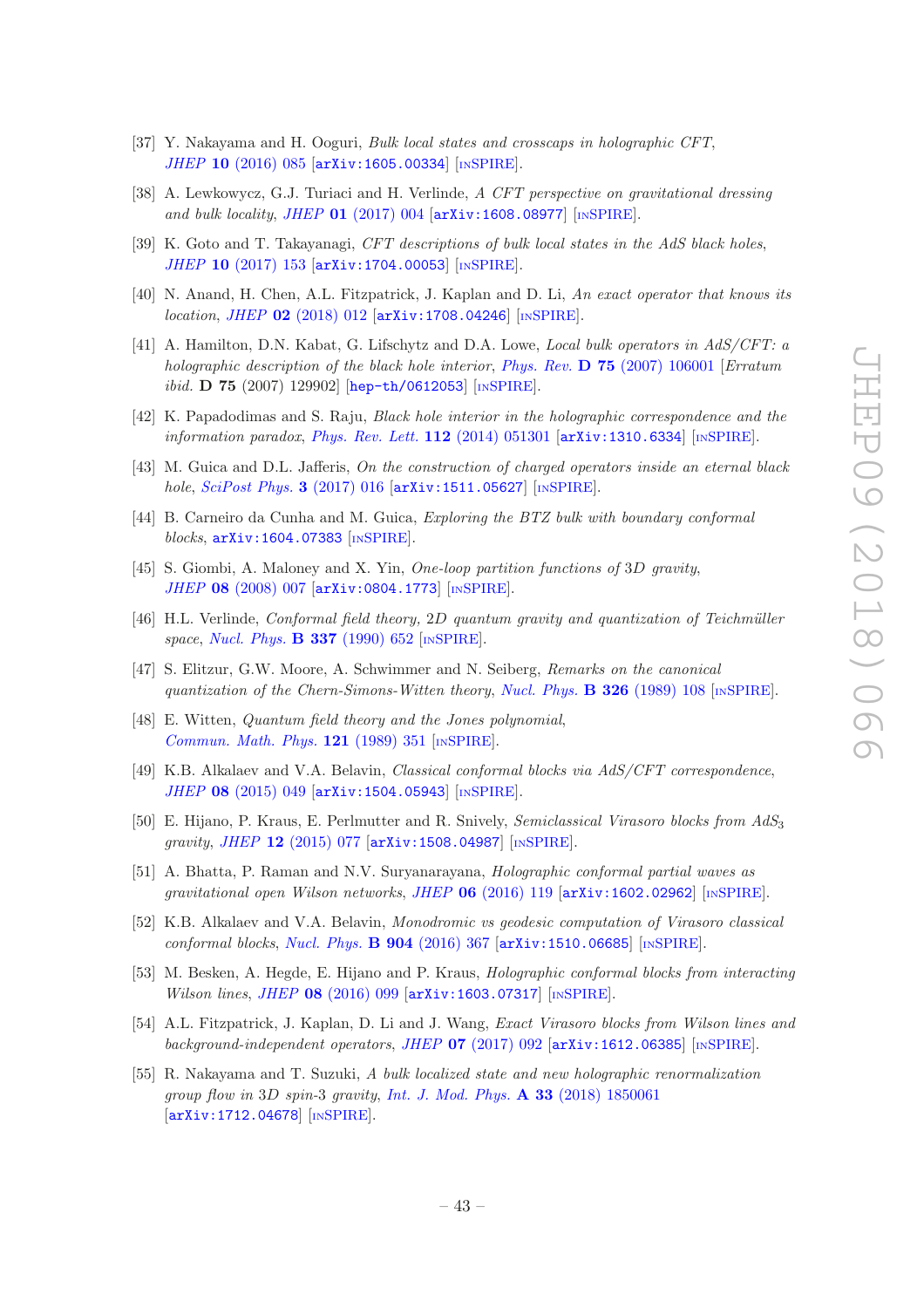- <span id="page-44-0"></span>[37] Y. Nakayama and H. Ooguri, Bulk local states and crosscaps in holographic CFT, JHEP 10 [\(2016\) 085](https://doi.org/10.1007/JHEP10(2016)085) [[arXiv:1605.00334](https://arxiv.org/abs/1605.00334)] [IN[SPIRE](https://inspirehep.net/search?p=find+EPRINT+arXiv:1605.00334)].
- <span id="page-44-1"></span>[38] A. Lewkowycz, G.J. Turiaci and H. Verlinde, A CFT perspective on gravitational dressing and bulk locality, JHEP  $01$  [\(2017\) 004](https://doi.org/10.1007/JHEP01(2017)004)  $\left[$ [arXiv:1608.08977](https://arxiv.org/abs/1608.08977) $\right]$   $\left[$ IN[SPIRE](https://inspirehep.net/search?p=find+EPRINT+arXiv:1608.08977) $\right]$ .
- <span id="page-44-2"></span>[39] K. Goto and T. Takayanagi, CFT descriptions of bulk local states in the AdS black holes, JHEP 10 [\(2017\) 153](https://doi.org/10.1007/JHEP10(2017)153) [[arXiv:1704.00053](https://arxiv.org/abs/1704.00053)] [IN[SPIRE](https://inspirehep.net/search?p=find+EPRINT+arXiv:1704.00053)].
- <span id="page-44-3"></span>[40] N. Anand, H. Chen, A.L. Fitzpatrick, J. Kaplan and D. Li, An exact operator that knows its location, JHEP 02 [\(2018\) 012](https://doi.org/10.1007/JHEP02(2018)012) [[arXiv:1708.04246](https://arxiv.org/abs/1708.04246)] [IN[SPIRE](https://inspirehep.net/search?p=find+EPRINT+arXiv:1708.04246)].
- <span id="page-44-4"></span>[41] A. Hamilton, D.N. Kabat, G. Lifschytz and D.A. Lowe, Local bulk operators in AdS/CFT: a holographic description of the black hole interior, Phys. Rev.  $\bf{D}$  75 [\(2007\) 106001](https://doi.org/10.1103/PhysRevD.75.106001) [Erratum ibid. **D 75** (2007) 129902] [[hep-th/0612053](https://arxiv.org/abs/hep-th/0612053)] [IN[SPIRE](https://inspirehep.net/search?p=find+EPRINT+hep-th/0612053)].
- [42] K. Papadodimas and S. Raju, Black hole interior in the holographic correspondence and the information paradox, [Phys. Rev. Lett.](https://doi.org/10.1103/PhysRevLett.112.051301)  $112$  (2014) 051301 [[arXiv:1310.6334](https://arxiv.org/abs/1310.6334)] [IN[SPIRE](https://inspirehep.net/search?p=find+EPRINT+arXiv:1310.6334)].
- [43] M. Guica and D.L. Jafferis, On the construction of charged operators inside an eternal black hole, [SciPost Phys.](https://doi.org/10.21468/SciPostPhys.3.2.016) 3 (2017) 016  $arXiv:1511.05627$  [IN[SPIRE](https://inspirehep.net/search?p=find+EPRINT+arXiv:1511.05627)].
- <span id="page-44-5"></span>[44] B. Carneiro da Cunha and M. Guica, Exploring the BTZ bulk with boundary conformal blocks, [arXiv:1604.07383](https://arxiv.org/abs/1604.07383) [IN[SPIRE](https://inspirehep.net/search?p=find+EPRINT+arXiv:1604.07383)].
- <span id="page-44-6"></span>[45] S. Giombi, A. Maloney and X. Yin, One-loop partition functions of 3D gravity, JHEP 08 [\(2008\) 007](https://doi.org/10.1088/1126-6708/2008/08/007) [[arXiv:0804.1773](https://arxiv.org/abs/0804.1773)] [IN[SPIRE](https://inspirehep.net/search?p=find+EPRINT+arXiv:0804.1773)].
- <span id="page-44-7"></span> $[46]$  H.L. Verlinde, Conformal field theory, 2D quantum gravity and quantization of Teichmüller space, [Nucl. Phys.](https://doi.org/10.1016/0550-3213(90)90510-K) **B 337** (1990) 652 [IN[SPIRE](https://inspirehep.net/search?p=find+J+%22Nucl.Phys.,B337,652%22)].
- [47] S. Elitzur, G.W. Moore, A. Schwimmer and N. Seiberg, Remarks on the canonical quantization of the Chern-Simons-Witten theory, [Nucl. Phys.](https://doi.org/10.1016/0550-3213(89)90436-7) **B 326** (1989) 108 [IN[SPIRE](https://inspirehep.net/search?p=find+J+%22Nucl.Phys.,B326,108%22)].
- <span id="page-44-8"></span>[48] E. Witten, Quantum field theory and the Jones polynomial, [Commun. Math. Phys.](https://doi.org/10.1007/BF01217730) 121 (1989) 351 [IN[SPIRE](https://inspirehep.net/search?p=find+J+%22Comm.Math.Phys.,121,351%22)].
- <span id="page-44-9"></span>[49] K.B. Alkalaev and V.A. Belavin, Classical conformal blocks via AdS/CFT correspondence, JHEP 08 [\(2015\) 049](https://doi.org/10.1007/JHEP08(2015)049) [[arXiv:1504.05943](https://arxiv.org/abs/1504.05943)] [IN[SPIRE](https://inspirehep.net/search?p=find+EPRINT+arXiv:1504.05943)].
- [50] E. Hijano, P. Kraus, E. Perlmutter and R. Snively, Semiclassical Virasoro blocks from AdS<sup>3</sup> gravity, JHEP 12 [\(2015\) 077](https://doi.org/10.1007/JHEP12(2015)077) [[arXiv:1508.04987](https://arxiv.org/abs/1508.04987)] [IN[SPIRE](https://inspirehep.net/search?p=find+EPRINT+arXiv:1508.04987)].
- [51] A. Bhatta, P. Raman and N.V. Suryanarayana, Holographic conformal partial waves as gravitational open Wilson networks, JHEP 06 [\(2016\) 119](https://doi.org/10.1007/JHEP06(2016)119) [[arXiv:1602.02962](https://arxiv.org/abs/1602.02962)] [IN[SPIRE](https://inspirehep.net/search?p=find+EPRINT+arXiv:1602.02962)].
- [52] K.B. Alkalaev and V.A. Belavin, Monodromic vs geodesic computation of Virasoro classical conformal blocks, [Nucl. Phys.](https://doi.org/10.1016/j.nuclphysb.2016.01.019)  $B$  904 (2016) 367  $arXiv:1510.06685$  [IN[SPIRE](https://inspirehep.net/search?p=find+EPRINT+arXiv:1510.06685)].
- [53] M. Besken, A. Hegde, E. Hijano and P. Kraus, Holographic conformal blocks from interacting Wilson lines, JHEP 08 [\(2016\) 099](https://doi.org/10.1007/JHEP08(2016)099) [[arXiv:1603.07317](https://arxiv.org/abs/1603.07317)] [IN[SPIRE](https://inspirehep.net/search?p=find+EPRINT+arXiv:1603.07317)].
- <span id="page-44-10"></span>[54] A.L. Fitzpatrick, J. Kaplan, D. Li and J. Wang, Exact Virasoro blocks from Wilson lines and background-independent operators, JHEP 07 [\(2017\) 092](https://doi.org/10.1007/JHEP07(2017)092) [[arXiv:1612.06385](https://arxiv.org/abs/1612.06385)] [IN[SPIRE](https://inspirehep.net/search?p=find+EPRINT+arXiv:1612.06385)].
- <span id="page-44-11"></span>[55] R. Nakayama and T. Suzuki, A bulk localized state and new holographic renormalization group flow in 3D spin-3 gravity, [Int. J. Mod. Phys.](https://doi.org/10.1142/S0217751X18500616) A 33 (2018) 1850061 [[arXiv:1712.04678](https://arxiv.org/abs/1712.04678)] [IN[SPIRE](https://inspirehep.net/search?p=find+EPRINT+arXiv:1712.04678)].